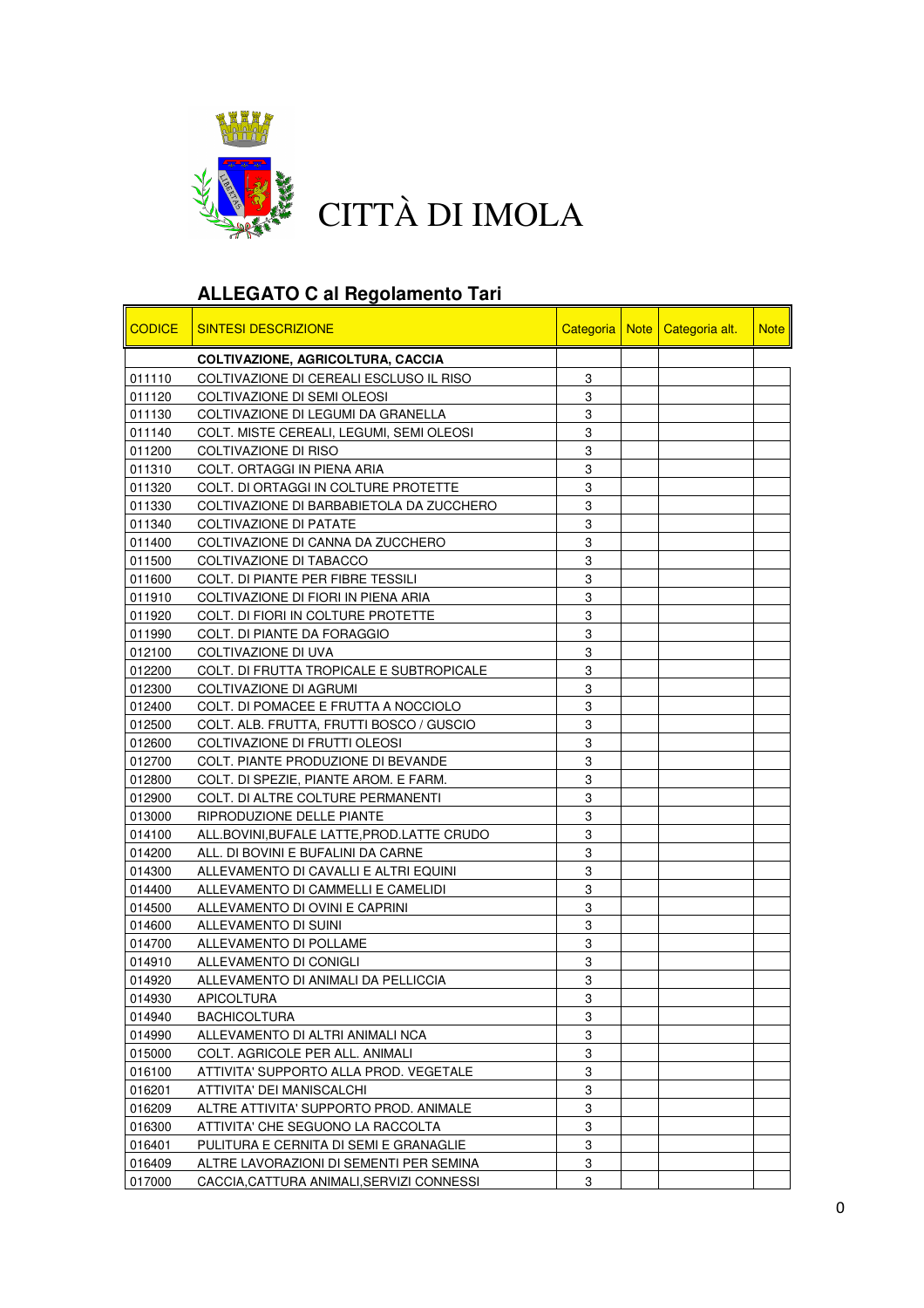

## **ALLEGATO C al Regolamento Tari**

| <b>CODICE</b> | <b>SINTESI DESCRIZIONE</b>                  |   | Categoria   Note   Categoria alt. | <b>Note</b> |
|---------------|---------------------------------------------|---|-----------------------------------|-------------|
|               | <b>COLTIVAZIONE, AGRICOLTURA, CACCIA</b>    |   |                                   |             |
| 011110        | COLTIVAZIONE DI CEREALI ESCLUSO IL RISO     | 3 |                                   |             |
| 011120        | COLTIVAZIONE DI SEMI OLEOSI                 | 3 |                                   |             |
| 011130        | COLTIVAZIONE DI LEGUMI DA GRANELLA          | 3 |                                   |             |
| 011140        | COLT. MISTE CEREALI, LEGUMI, SEMI OLEOSI    | 3 |                                   |             |
| 011200        | COLTIVAZIONE DI RISO                        | 3 |                                   |             |
| 011310        | COLT. ORTAGGI IN PIENA ARIA                 | 3 |                                   |             |
| 011320        | COLT. DI ORTAGGI IN COLTURE PROTETTE        | 3 |                                   |             |
| 011330        | COLTIVAZIONE DI BARBABIETOLA DA ZUCCHERO    | 3 |                                   |             |
| 011340        | <b>COLTIVAZIONE DI PATATE</b>               | 3 |                                   |             |
| 011400        | COLTIVAZIONE DI CANNA DA ZUCCHERO           | 3 |                                   |             |
| 011500        | COLTIVAZIONE DI TABACCO                     | 3 |                                   |             |
| 011600        | COLT. DI PIANTE PER FIBRE TESSILI           | 3 |                                   |             |
| 011910        | COLTIVAZIONE DI FIORI IN PIENA ARIA         | 3 |                                   |             |
| 011920        | COLT. DI FIORI IN COLTURE PROTETTE          | 3 |                                   |             |
| 011990        | COLT. DI PIANTE DA FORAGGIO                 | 3 |                                   |             |
| 012100        | COLTIVAZIONE DI UVA                         | 3 |                                   |             |
| 012200        | COLT. DI FRUTTA TROPICALE E SUBTROPICALE    | 3 |                                   |             |
| 012300        | COLTIVAZIONE DI AGRUMI                      | 3 |                                   |             |
| 012400        | COLT. DI POMACEE E FRUTTA A NOCCIOLO        | 3 |                                   |             |
| 012500        | COLT. ALB. FRUTTA, FRUTTI BOSCO / GUSCIO    | 3 |                                   |             |
| 012600        | COLTIVAZIONE DI FRUTTI OLEOSI               | 3 |                                   |             |
| 012700        | COLT. PIANTE PRODUZIONE DI BEVANDE          | 3 |                                   |             |
| 012800        | COLT. DI SPEZIE, PIANTE AROM. E FARM.       | 3 |                                   |             |
| 012900        | COLT. DI ALTRE COLTURE PERMANENTI           | 3 |                                   |             |
| 013000        | RIPRODUZIONE DELLE PIANTE                   | 3 |                                   |             |
| 014100        | ALL.BOVINI, BUFALE LATTE, PROD. LATTE CRUDO | 3 |                                   |             |
| 014200        | ALL. DI BOVINI E BUFALINI DA CARNE          | 3 |                                   |             |
| 014300        | ALLEVAMENTO DI CAVALLI E ALTRI EQUINI       | 3 |                                   |             |
| 014400        | ALLEVAMENTO DI CAMMELLI E CAMELIDI          | 3 |                                   |             |
| 014500        | ALLEVAMENTO DI OVINI E CAPRINI              | 3 |                                   |             |
| 014600        | ALLEVAMENTO DI SUINI                        | 3 |                                   |             |
| 014700        | ALLEVAMENTO DI POLLAME                      | 3 |                                   |             |
| 014910        | ALLEVAMENTO DI CONIGLI                      | 3 |                                   |             |
| 014920        | ALLEVAMENTO DI ANIMALI DA PELLICCIA         | 3 |                                   |             |
| 014930        | <b>APICOLTURA</b>                           | 3 |                                   |             |
| 014940        | <b>BACHICOLTURA</b>                         | 3 |                                   |             |
| 014990        | ALLEVAMENTO DI ALTRI ANIMALI NCA            | 3 |                                   |             |
| 015000        | COLT. AGRICOLE PER ALL. ANIMALI             | 3 |                                   |             |
| 016100        | ATTIVITA' SUPPORTO ALLA PROD. VEGETALE      | 3 |                                   |             |
| 016201        | ATTIVITA' DEI MANISCALCHI                   | 3 |                                   |             |
| 016209        | ALTRE ATTIVITA' SUPPORTO PROD. ANIMALE      | 3 |                                   |             |
| 016300        | ATTIVITA' CHE SEGUONO LA RACCOLTA           | 3 |                                   |             |
| 016401        | PULITURA E CERNITA DI SEMI E GRANAGLIE      | 3 |                                   |             |
| 016409        | ALTRE LAVORAZIONI DI SEMENTI PER SEMINA     | 3 |                                   |             |
| 017000        | CACCIA, CATTURA ANIMALI, SERVIZI CONNESSI   | 3 |                                   |             |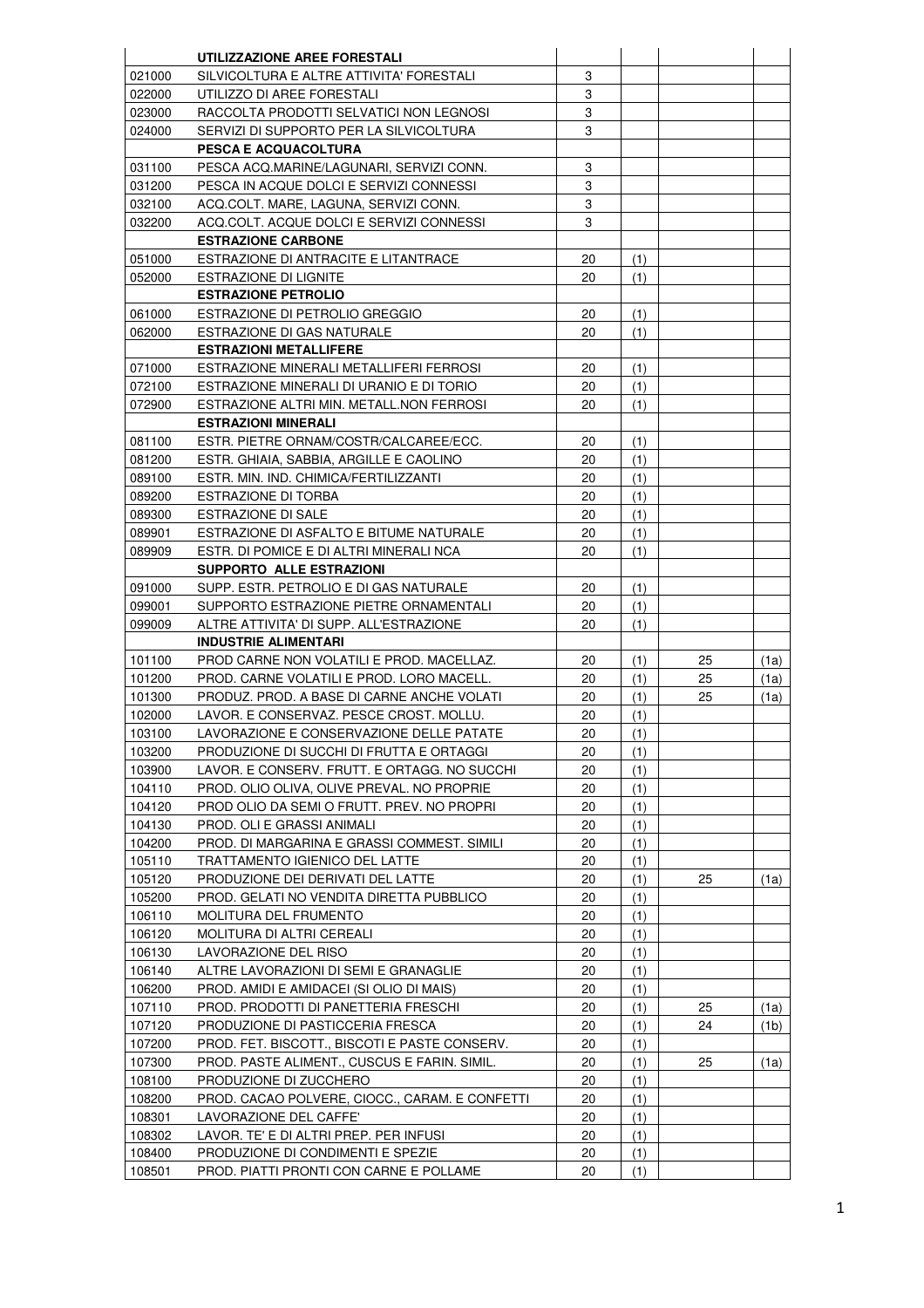|                  | UTILIZZAZIONE AREE FORESTALI                                                             |          |            |    |      |
|------------------|------------------------------------------------------------------------------------------|----------|------------|----|------|
| 021000           | SILVICOLTURA E ALTRE ATTIVITA' FORESTALI                                                 | 3        |            |    |      |
| 022000           | UTILIZZO DI AREE FORESTALI                                                               | 3        |            |    |      |
| 023000           | RACCOLTA PRODOTTI SELVATICI NON LEGNOSI                                                  | 3        |            |    |      |
| 024000           | SERVIZI DI SUPPORTO PER LA SILVICOLTURA                                                  | 3        |            |    |      |
|                  | <b>PESCA E ACQUACOLTURA</b>                                                              |          |            |    |      |
| 031100           | PESCA ACQ.MARINE/LAGUNARI, SERVIZI CONN.                                                 | 3        |            |    |      |
| 031200           | PESCA IN ACQUE DOLCI E SERVIZI CONNESSI                                                  | 3        |            |    |      |
| 032100           | ACQ.COLT. MARE, LAGUNA, SERVIZI CONN.                                                    | 3        |            |    |      |
| 032200           | ACQ.COLT. ACQUE DOLCI E SERVIZI CONNESSI                                                 | 3        |            |    |      |
|                  | <b>ESTRAZIONE CARBONE</b>                                                                |          |            |    |      |
| 051000           | ESTRAZIONE DI ANTRACITE E LITANTRACE                                                     | 20       | (1)        |    |      |
| 052000           | <b>ESTRAZIONE DI LIGNITE</b>                                                             | 20       | (1)        |    |      |
|                  | <b>ESTRAZIONE PETROLIO</b>                                                               |          |            |    |      |
| 061000           | ESTRAZIONE DI PETROLIO GREGGIO                                                           | 20       | (1)        |    |      |
| 062000           | ESTRAZIONE DI GAS NATURALE                                                               | 20       | (1)        |    |      |
|                  | <b>ESTRAZIONI METALLIFERE</b>                                                            |          |            |    |      |
| 071000           | ESTRAZIONE MINERALI METALLIFERI FERROSI                                                  | 20       | (1)        |    |      |
| 072100           | ESTRAZIONE MINERALI DI URANIO E DI TORIO                                                 | 20       | (1)        |    |      |
| 072900           | ESTRAZIONE ALTRI MIN. METALL.NON FERROSI                                                 | 20       | (1)        |    |      |
|                  | <b>ESTRAZIONI MINERALI</b>                                                               |          |            |    |      |
| 081100           | ESTR. PIETRE ORNAM/COSTR/CALCAREE/ECC.                                                   | 20       | (1)        |    |      |
| 081200           | ESTR. GHIAIA. SABBIA. ARGILLE E CAOLINO                                                  | 20       | (1)        |    |      |
| 089100           | ESTR. MIN. IND. CHIMICA/FERTILIZZANTI                                                    | 20       | (1)        |    |      |
| 089200           | ESTRAZIONE DI TORBA                                                                      | 20       | (1)        |    |      |
| 089300           | <b>ESTRAZIONE DI SALE</b>                                                                | 20       | (1)        |    |      |
| 089901           | ESTRAZIONE DI ASFALTO E BITUME NATURALE                                                  | 20       | (1)        |    |      |
| 089909           | ESTR. DI POMICE E DI ALTRI MINERALI NCA                                                  | 20       | (1)        |    |      |
|                  | <b>SUPPORTO ALLE ESTRAZIONI</b>                                                          |          |            |    |      |
| 091000           | SUPP. ESTR. PETROLIO E DI GAS NATURALE                                                   | 20       | (1)        |    |      |
| 099001           | SUPPORTO ESTRAZIONE PIETRE ORNAMENTALI                                                   | 20       | (1)        |    |      |
| 099009           | ALTRE ATTIVITA' DI SUPP. ALL'ESTRAZIONE                                                  | 20       | (1)        |    |      |
|                  | <b>INDUSTRIE ALIMENTARI</b>                                                              |          |            |    |      |
| 101100           | PROD CARNE NON VOLATILI E PROD. MACELLAZ.                                                | 20       | (1)        | 25 | (1a) |
| 101200           | PROD. CARNE VOLATILI E PROD. LORO MACELL.                                                | 20       | (1)        | 25 | (1a) |
| 101300           | PRODUZ. PROD. A BASE DI CARNE ANCHE VOLATI                                               | 20       | (1)        | 25 | (1a) |
| 102000           | LAVOR. E CONSERVAZ. PESCE CROST. MOLLU.                                                  | 20       | (1)        |    |      |
| 103100<br>103200 | LAVORAZIONE E CONSERVAZIONE DELLE PATATE                                                 | 20       | (1)        |    |      |
| 103900           | PRODUZIONE DI SUCCHI DI FRUTTA E ORTAGGI<br>LAVOR. E CONSERV. FRUTT. E ORTAGG. NO SUCCHI | 20<br>20 | (1)        |    |      |
| 104110           | PROD. OLIO OLIVA, OLIVE PREVAL. NO PROPRIE                                               | 20       | (1)<br>(1) |    |      |
| 104120           | PROD OLIO DA SEMI O FRUTT. PREV. NO PROPRI                                               | 20       | (1)        |    |      |
| 104130           | PROD. OLI E GRASSI ANIMALI                                                               | 20       | (1)        |    |      |
| 104200           | PROD. DI MARGARINA E GRASSI COMMEST. SIMILI                                              | 20       | (1)        |    |      |
| 105110           | TRATTAMENTO IGIENICO DEL LATTE                                                           | 20       | (1)        |    |      |
| 105120           | PRODUZIONE DEI DERIVATI DEL LATTE                                                        | 20       | (1)        | 25 | (1a) |
| 105200           | PROD. GELATI NO VENDITA DIRETTA PUBBLICO                                                 | 20       | (1)        |    |      |
| 106110           | MOLITURA DEL FRUMENTO                                                                    | 20       | (1)        |    |      |
| 106120           | <b>MOLITURA DI ALTRI CEREALI</b>                                                         | 20       | (1)        |    |      |
| 106130           | LAVORAZIONE DEL RISO                                                                     | 20       | (1)        |    |      |
| 106140           | ALTRE LAVORAZIONI DI SEMI E GRANAGLIE                                                    | 20       | (1)        |    |      |
| 106200           | PROD. AMIDI E AMIDACEI (SI OLIO DI MAIS)                                                 | 20       | (1)        |    |      |
| 107110           | PROD. PRODOTTI DI PANETTERIA FRESCHI                                                     | 20       | (1)        | 25 | (1a) |
| 107120           | PRODUZIONE DI PASTICCERIA FRESCA                                                         | 20       | (1)        | 24 | (1b) |
| 107200           | PROD. FET. BISCOTT., BISCOTI E PASTE CONSERV.                                            | 20       | (1)        |    |      |
| 107300           | PROD. PASTE ALIMENT., CUSCUS E FARIN. SIMIL.                                             | 20       | (1)        | 25 | (1a) |
| 108100           | PRODUZIONE DI ZUCCHERO                                                                   | 20       | (1)        |    |      |
| 108200           | PROD. CACAO POLVERE, CIOCC., CARAM. E CONFETTI                                           | 20       | (1)        |    |      |
| 108301           | LAVORAZIONE DEL CAFFE'                                                                   | 20       | (1)        |    |      |
| 108302           | LAVOR. TE' E DI ALTRI PREP. PER INFUSI                                                   | 20       | (1)        |    |      |
| 108400           | PRODUZIONE DI CONDIMENTI E SPEZIE                                                        | 20       | (1)        |    |      |
| 108501           | PROD. PIATTI PRONTI CON CARNE E POLLAME                                                  | 20       | (1)        |    |      |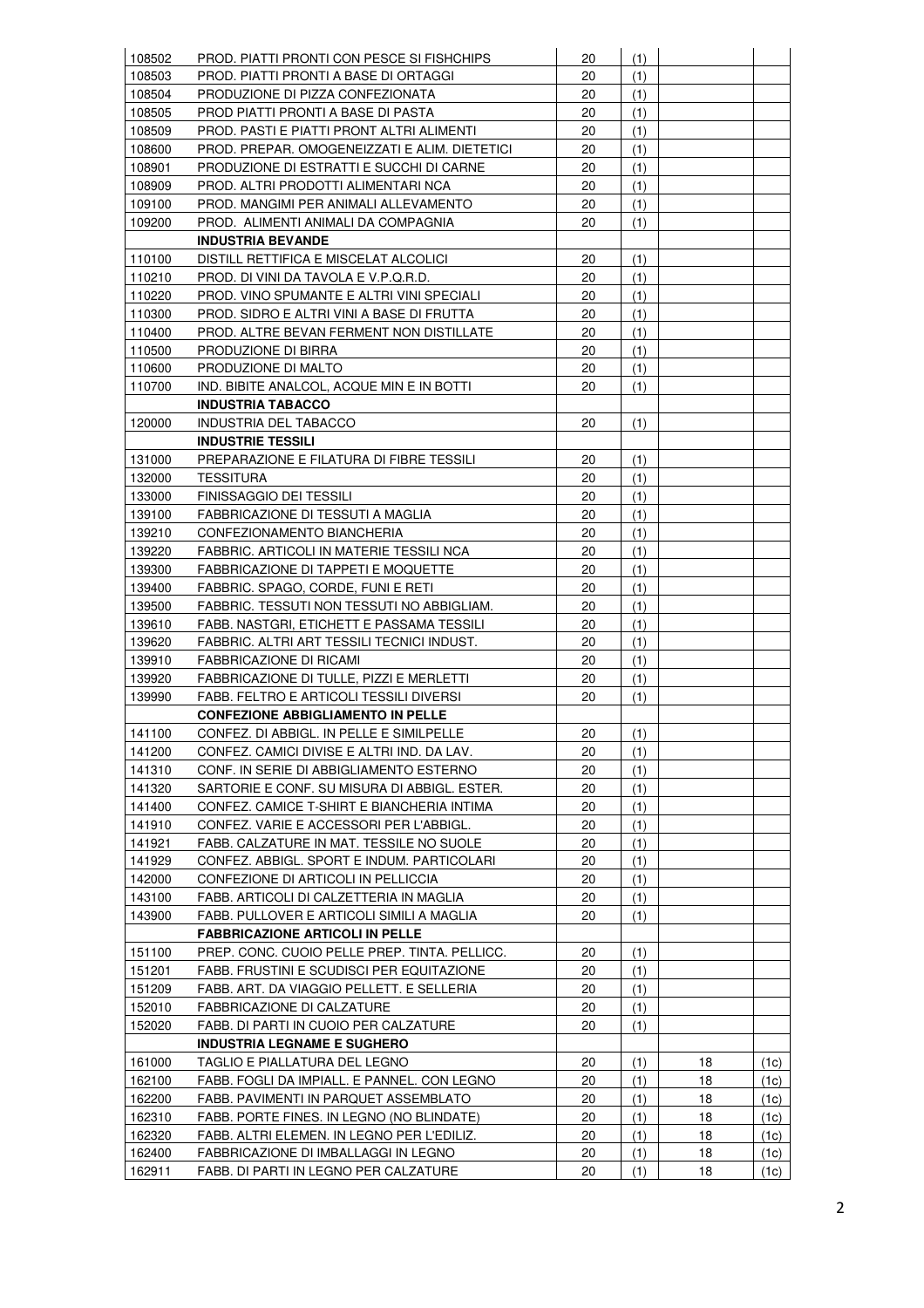| 108502           | PROD. PIATTI PRONTI CON PESCE SI FISHCHIPS                                   | 20 | (1)        |          |              |
|------------------|------------------------------------------------------------------------------|----|------------|----------|--------------|
| 108503           | PROD. PIATTI PRONTI A BASE DI ORTAGGI                                        | 20 | (1)        |          |              |
| 108504           | PRODUZIONE DI PIZZA CONFEZIONATA                                             | 20 | (1)        |          |              |
| 108505           | PROD PIATTI PRONTI A BASE DI PASTA                                           | 20 | (1)        |          |              |
| 108509           | PROD. PASTI E PIATTI PRONT ALTRI ALIMENTI                                    | 20 | (1)        |          |              |
| 108600           | PROD. PREPAR. OMOGENEIZZATI E ALIM. DIETETICI                                | 20 | (1)        |          |              |
| 108901           | PRODUZIONE DI ESTRATTI E SUCCHI DI CARNE                                     | 20 | (1)        |          |              |
| 108909           | PROD. ALTRI PRODOTTI ALIMENTARI NCA                                          | 20 | (1)        |          |              |
| 109100           | PROD. MANGIMI PER ANIMALI ALLEVAMENTO                                        | 20 | (1)        |          |              |
| 109200           | PROD. ALIMENTI ANIMALI DA COMPAGNIA                                          | 20 | (1)        |          |              |
|                  | <b>INDUSTRIA BEVANDE</b>                                                     |    |            |          |              |
| 110100           | DISTILL RETTIFICA E MISCELAT ALCOLICI                                        | 20 | (1)        |          |              |
| 110210           | PROD. DI VINI DA TAVOLA E V.P.Q.R.D.                                         | 20 | (1)        |          |              |
| 110220           | PROD. VINO SPUMANTE E ALTRI VINI SPECIALI                                    | 20 | (1)        |          |              |
| 110300           | PROD. SIDRO E ALTRI VINI A BASE DI FRUTTA                                    | 20 | (1)        |          |              |
| 110400           | PROD. ALTRE BEVAN FERMENT NON DISTILLATE                                     | 20 | (1)        |          |              |
| 110500           | PRODUZIONE DI BIRRA                                                          | 20 | (1)        |          |              |
| 110600           | PRODUZIONE DI MALTO                                                          | 20 | (1)        |          |              |
| 110700           | IND. BIBITE ANALCOL, ACQUE MIN E IN BOTTI                                    | 20 | (1)        |          |              |
|                  | <b>INDUSTRIA TABACCO</b>                                                     |    |            |          |              |
| 120000           | INDUSTRIA DEL TABACCO                                                        | 20 | (1)        |          |              |
|                  | <b>INDUSTRIE TESSILI</b>                                                     |    |            |          |              |
| 131000           | PREPARAZIONE E FILATURA DI FIBRE TESSILI                                     | 20 | (1)        |          |              |
| 132000           | <b>TESSITURA</b>                                                             | 20 | (1)        |          |              |
| 133000           | <b>FINISSAGGIO DEI TESSILI</b>                                               | 20 | (1)        |          |              |
| 139100           | FABBRICAZIONE DI TESSUTI A MAGLIA                                            | 20 | (1)        |          |              |
| 139210           | CONFEZIONAMENTO BIANCHERIA                                                   | 20 | (1)        |          |              |
| 139220           | FABBRIC. ARTICOLI IN MATERIE TESSILI NCA                                     | 20 | (1)        |          |              |
| 139300           | FABBRICAZIONE DI TAPPETI E MOQUETTE                                          | 20 | (1)        |          |              |
| 139400           | FABBRIC. SPAGO, CORDE, FUNI E RETI                                           | 20 | (1)        |          |              |
| 139500           | FABBRIC. TESSUTI NON TESSUTI NO ABBIGLIAM.                                   | 20 | (1)        |          |              |
| 139610           | FABB. NASTGRI, ETICHETT E PASSAMA TESSILI                                    | 20 | (1)        |          |              |
| 139620           | FABBRIC. ALTRI ART TESSILI TECNICI INDUST.                                   | 20 | (1)        |          |              |
| 139910           | FABBRICAZIONE DI RICAMI                                                      | 20 | (1)        |          |              |
| 139920           | FABBRICAZIONE DI TULLE, PIZZI E MERLETTI                                     | 20 | (1)        |          |              |
| 139990           | FABB. FELTRO E ARTICOLI TESSILI DIVERSI                                      | 20 | (1)        |          |              |
|                  | <b>CONFEZIONE ABBIGLIAMENTO IN PELLE</b>                                     |    |            |          |              |
| 141100           | CONFEZ. DI ABBIGL. IN PELLE E SIMILPELLE                                     | 20 | (1)        |          |              |
| 141200           | CONFEZ. CAMICI DIVISE E ALTRI IND. DA LAV.                                   | 20 | (1)        |          |              |
| 141310           | CONF. IN SERIE DI ABBIGLIAMENTO ESTERNO                                      | 20 | (1)        |          |              |
| 141320           | SARTORIE E CONF. SU MISURA DI ABBIGL. ESTER.                                 | 20 | (1)        |          |              |
| 141400           | CONFEZ. CAMICE T-SHIRT E BIANCHERIA INTIMA                                   | 20 | (1)        |          |              |
| 141910           | CONFEZ. VARIE E ACCESSORI PER L'ABBIGL.                                      | 20 | (1)        |          |              |
| 141921           | FABB. CALZATURE IN MAT. TESSILE NO SUOLE                                     | 20 | (1)        |          |              |
| 141929           | CONFEZ. ABBIGL. SPORT E INDUM. PARTICOLARI                                   | 20 | (1)        |          |              |
| 142000           | CONFEZIONE DI ARTICOLI IN PELLICCIA                                          | 20 | (1)        |          |              |
| 143100           | FABB. ARTICOLI DI CALZETTERIA IN MAGLIA                                      | 20 | (1)        |          |              |
| 143900           | FABB. PULLOVER E ARTICOLI SIMILI A MAGLIA                                    | 20 | (1)        |          |              |
|                  | <b>FABBRICAZIONE ARTICOLI IN PELLE</b>                                       |    |            |          |              |
| 151100           | PREP. CONC. CUOIO PELLE PREP. TINTA. PELLICC.                                | 20 | (1)        |          |              |
| 151201           | FABB. FRUSTINI E SCUDISCI PER EQUITAZIONE                                    | 20 | (1)        |          |              |
| 151209           | FABB. ART. DA VIAGGIO PELLETT. E SELLERIA                                    | 20 | (1)        |          |              |
| 152010           | FABBRICAZIONE DI CALZATURE                                                   | 20 | (1)        |          |              |
| 152020           | FABB. DI PARTI IN CUOIO PER CALZATURE                                        | 20 | (1)        |          |              |
|                  | <b>INDUSTRIA LEGNAME E SUGHERO</b>                                           |    |            |          |              |
|                  |                                                                              | 20 |            |          |              |
| 161000<br>162100 | TAGLIO E PIALLATURA DEL LEGNO<br>FABB. FOGLI DA IMPIALL. E PANNEL. CON LEGNO | 20 | (1)<br>(1) | 18<br>18 | (1c)         |
| 162200           | FABB. PAVIMENTI IN PARQUET ASSEMBLATO                                        | 20 | (1)        | 18       | (1c)<br>(1c) |
|                  | FABB. PORTE FINES. IN LEGNO (NO BLINDATE)                                    | 20 |            | 18       |              |
| 162310<br>162320 | FABB. ALTRI ELEMEN. IN LEGNO PER L'EDILIZ.                                   | 20 | (1)        | 18       | (1c)         |
| 162400           | FABBRICAZIONE DI IMBALLAGGI IN LEGNO                                         | 20 | (1)        | 18       | (1c)         |
|                  |                                                                              |    | (1)        |          | (1c)         |
| 162911           | FABB. DI PARTI IN LEGNO PER CALZATURE                                        | 20 | (1)        | 18       | (1c)         |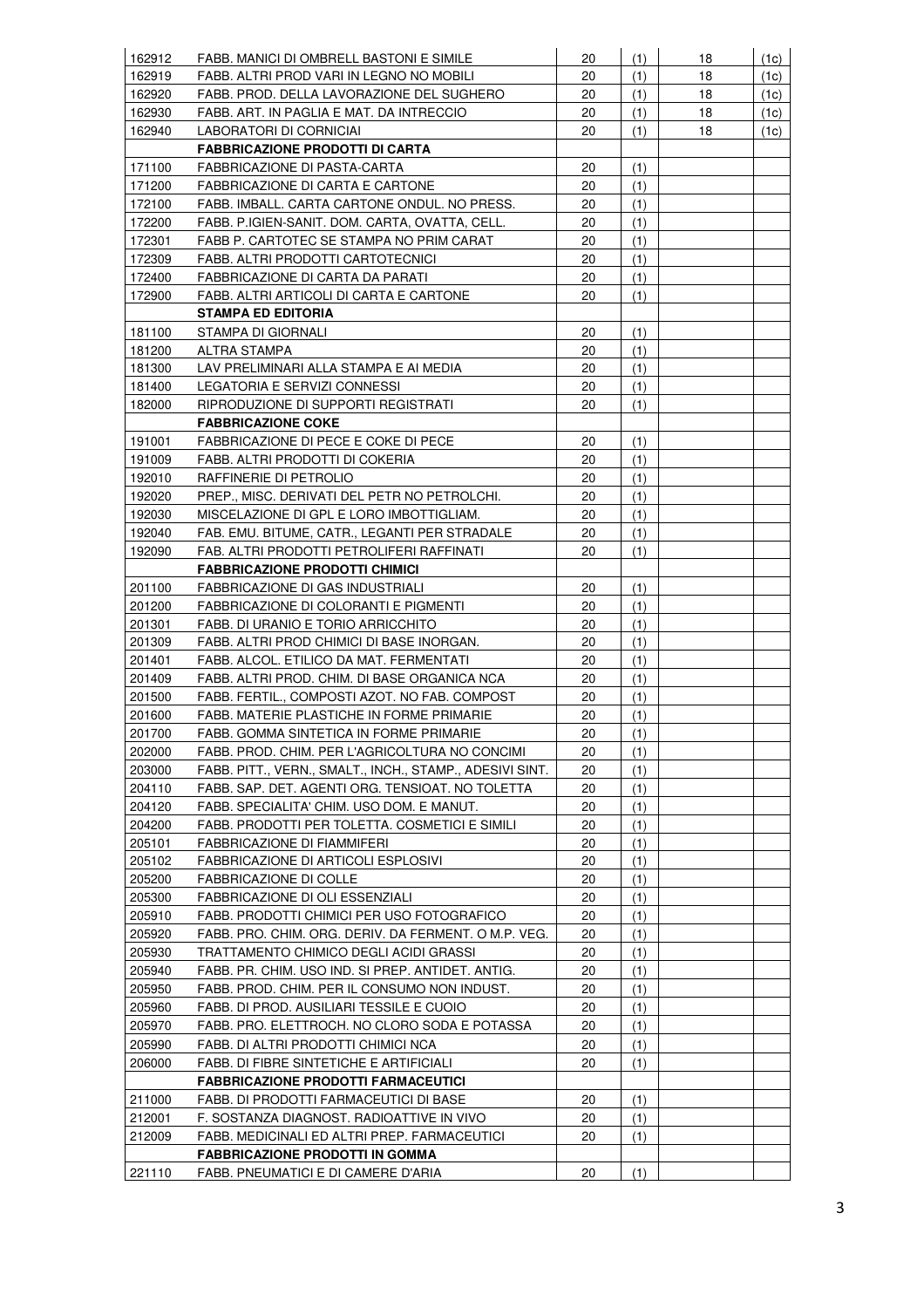| 162912 | FABB. MANICI DI OMBRELL BASTONI E SIMILE                 | 20 | (1) | 18 | (1c) |
|--------|----------------------------------------------------------|----|-----|----|------|
| 162919 | FABB. ALTRI PROD VARI IN LEGNO NO MOBILI                 | 20 | (1) | 18 | (1c) |
| 162920 | FABB. PROD. DELLA LAVORAZIONE DEL SUGHERO                | 20 | (1) | 18 | (1c) |
| 162930 | FABB. ART. IN PAGLIA E MAT. DA INTRECCIO                 | 20 | (1) | 18 | (1c) |
| 162940 | LABORATORI DI CORNICIAI                                  | 20 | (1) | 18 | (1c) |
|        | <b>FABBRICAZIONE PRODOTTI DI CARTA</b>                   |    |     |    |      |
| 171100 | FABBRICAZIONE DI PASTA-CARTA                             | 20 | (1) |    |      |
| 171200 | FABBRICAZIONE DI CARTA E CARTONE                         | 20 | (1) |    |      |
| 172100 | FABB. IMBALL. CARTA CARTONE ONDUL. NO PRESS.             | 20 | (1) |    |      |
| 172200 | FABB. P.IGIEN-SANIT. DOM. CARTA, OVATTA, CELL.           | 20 | (1) |    |      |
| 172301 | FABB P. CARTOTEC SE STAMPA NO PRIM CARAT                 | 20 | (1) |    |      |
| 172309 | FABB. ALTRI PRODOTTI CARTOTECNICI                        | 20 | (1) |    |      |
| 172400 | FABBRICAZIONE DI CARTA DA PARATI                         | 20 | (1) |    |      |
| 172900 | FABB. ALTRI ARTICOLI DI CARTA E CARTONE                  | 20 | (1) |    |      |
|        | <b>STAMPA ED EDITORIA</b>                                |    |     |    |      |
|        |                                                          |    |     |    |      |
| 181100 | STAMPA DI GIORNALI                                       | 20 | (1) |    |      |
| 181200 | ALTRA STAMPA                                             | 20 | (1) |    |      |
| 181300 | LAV PRELIMINARI ALLA STAMPA E AI MEDIA                   | 20 | (1) |    |      |
| 181400 | LEGATORIA E SERVIZI CONNESSI                             | 20 | (1) |    |      |
| 182000 | RIPRODUZIONE DI SUPPORTI REGISTRATI                      | 20 | (1) |    |      |
|        | <b>FABBRICAZIONE COKE</b>                                |    |     |    |      |
| 191001 | FABBRICAZIONE DI PECE E COKE DI PECE                     | 20 | (1) |    |      |
| 191009 | FABB. ALTRI PRODOTTI DI COKERIA                          | 20 | (1) |    |      |
| 192010 | RAFFINERIE DI PETROLIO                                   | 20 | (1) |    |      |
| 192020 | PREP., MISC. DERIVATI DEL PETR NO PETROLCHI.             | 20 | (1) |    |      |
| 192030 | MISCELAZIONE DI GPL E LORO IMBOTTIGLIAM.                 | 20 | (1) |    |      |
| 192040 | FAB. EMU. BITUME, CATR., LEGANTI PER STRADALE            | 20 | (1) |    |      |
| 192090 | FAB. ALTRI PRODOTTI PETROLIFERI RAFFINATI                | 20 | (1) |    |      |
|        | <b>FABBRICAZIONE PRODOTTI CHIMICI</b>                    |    |     |    |      |
| 201100 | FABBRICAZIONE DI GAS INDUSTRIALI                         | 20 | (1) |    |      |
| 201200 | FABBRICAZIONE DI COLORANTI E PIGMENTI                    | 20 | (1) |    |      |
| 201301 | FABB. DI URANIO E TORIO ARRICCHITO                       | 20 | (1) |    |      |
| 201309 | FABB. ALTRI PROD CHIMICI DI BASE INORGAN.                | 20 | (1) |    |      |
| 201401 | FABB. ALCOL. ETILICO DA MAT. FERMENTATI                  | 20 | (1) |    |      |
| 201409 | FABB. ALTRI PROD. CHIM. DI BASE ORGANICA NCA             | 20 | (1) |    |      |
| 201500 | FABB. FERTIL., COMPOSTI AZOT. NO FAB. COMPOST            | 20 | (1) |    |      |
| 201600 | FABB. MATERIE PLASTICHE IN FORME PRIMARIE                | 20 | (1) |    |      |
| 201700 | FABB. GOMMA SINTETICA IN FORME PRIMARIE                  | 20 | (1) |    |      |
| 202000 | FABB. PROD. CHIM. PER L'AGRICOLTURA NO CONCIMI           | 20 | (1) |    |      |
| 203000 | FABB. PITT., VERN., SMALT., INCH., STAMP., ADESIVI SINT. | 20 | (1) |    |      |
| 204110 | FABB. SAP. DET. AGENTI ORG. TENSIOAT. NO TOLETTA         | 20 | (1) |    |      |
| 204120 | FABB. SPECIALITA' CHIM. USO DOM. E MANUT.                | 20 | (1) |    |      |
| 204200 | FABB. PRODOTTI PER TOLETTA. COSMETICI E SIMILI           | 20 | (1) |    |      |
| 205101 | FABBRICAZIONE DI FIAMMIFERI                              | 20 | (1) |    |      |
| 205102 | FABBRICAZIONE DI ARTICOLI ESPLOSIVI                      | 20 | (1) |    |      |
| 205200 | <b>FABBRICAZIONE DI COLLE</b>                            | 20 | (1) |    |      |
| 205300 | FABBRICAZIONE DI OLI ESSENZIALI                          | 20 | (1) |    |      |
| 205910 | FABB. PRODOTTI CHIMICI PER USO FOTOGRAFICO               | 20 | (1) |    |      |
|        |                                                          |    |     |    |      |
| 205920 | FABB. PRO. CHIM. ORG. DERIV. DA FERMENT. O M.P. VEG.     | 20 | (1) |    |      |
| 205930 | TRATTAMENTO CHIMICO DEGLI ACIDI GRASSI                   | 20 | (1) |    |      |
| 205940 | FABB. PR. CHIM. USO IND. SI PREP. ANTIDET. ANTIG.        | 20 | (1) |    |      |
| 205950 | FABB. PROD. CHIM. PER IL CONSUMO NON INDUST.             | 20 | (1) |    |      |
| 205960 | FABB. DI PROD. AUSILIARI TESSILE E CUOIO                 | 20 | (1) |    |      |
| 205970 | FABB. PRO. ELETTROCH. NO CLORO SODA E POTASSA            | 20 | (1) |    |      |
| 205990 | FABB. DI ALTRI PRODOTTI CHIMICI NCA                      | 20 | (1) |    |      |
| 206000 | FABB. DI FIBRE SINTETICHE E ARTIFICIALI                  | 20 | (1) |    |      |
|        | <b>FABBRICAZIONE PRODOTTI FARMACEUTICI</b>               |    |     |    |      |
| 211000 | FABB. DI PRODOTTI FARMACEUTICI DI BASE                   | 20 | (1) |    |      |
| 212001 | F. SOSTANZA DIAGNOST. RADIOATTIVE IN VIVO                | 20 | (1) |    |      |
| 212009 | FABB. MEDICINALI ED ALTRI PREP. FARMACEUTICI             | 20 | (1) |    |      |
|        | <b>FABBRICAZIONE PRODOTTI IN GOMMA</b>                   |    |     |    |      |
| 221110 | FABB. PNEUMATICI E DI CAMERE D'ARIA                      | 20 | (1) |    |      |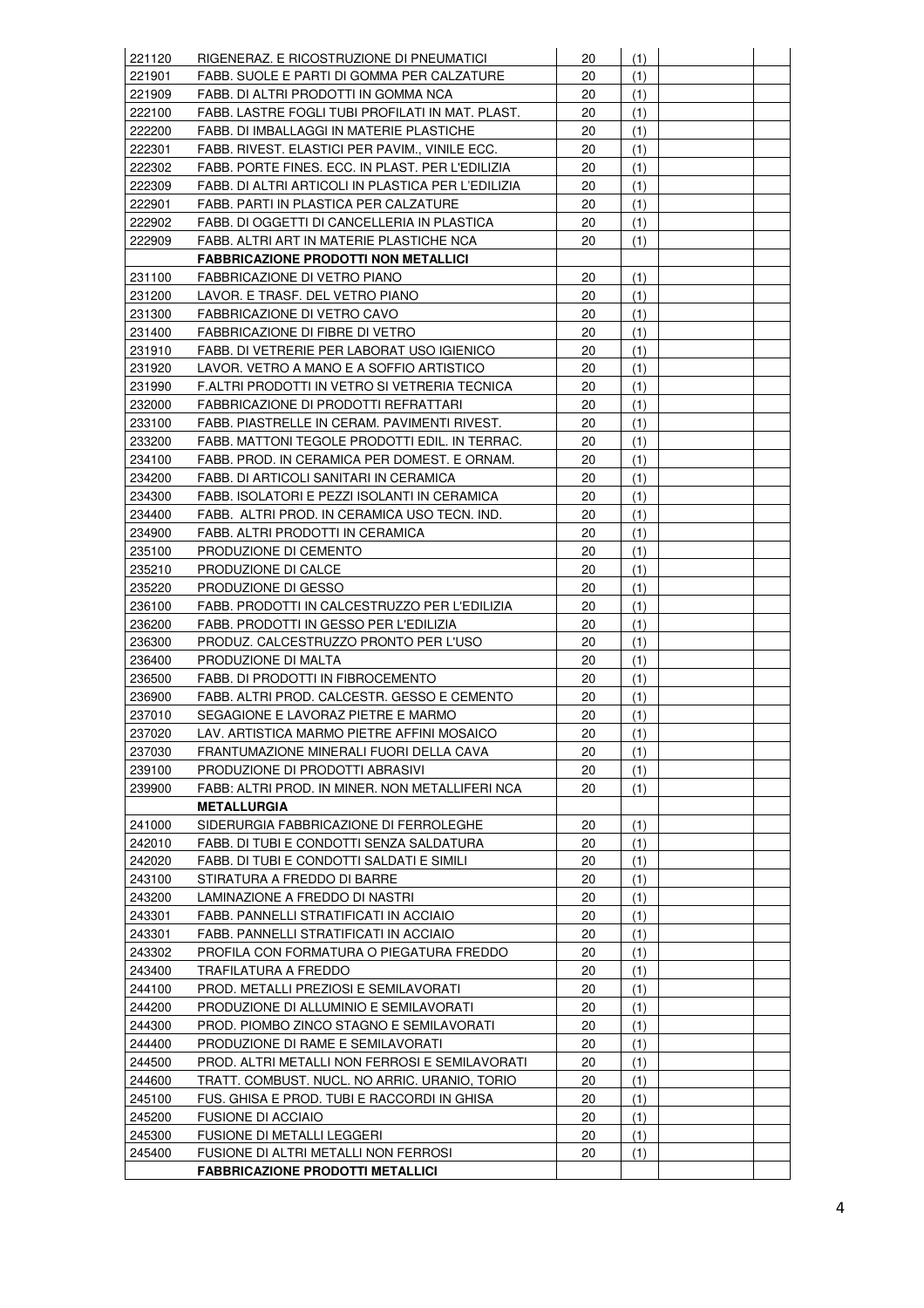| 221120           | RIGENERAZ. E RICOSTRUZIONE DI PNEUMATICI                                          | 20       | (1) |  |
|------------------|-----------------------------------------------------------------------------------|----------|-----|--|
| 221901           | FABB. SUOLE E PARTI DI GOMMA PER CALZATURE                                        | 20       | (1) |  |
| 221909           | FABB. DI ALTRI PRODOTTI IN GOMMA NCA                                              | 20       | (1) |  |
| 222100           | FABB. LASTRE FOGLI TUBI PROFILATI IN MAT. PLAST.                                  | 20       | (1) |  |
| 222200           | FABB. DI IMBALLAGGI IN MATERIE PLASTICHE                                          | 20       | (1) |  |
| 222301           | FABB. RIVEST. ELASTICI PER PAVIM., VINILE ECC.                                    | 20       | (1) |  |
| 222302           | FABB. PORTE FINES. ECC. IN PLAST. PER L'EDILIZIA                                  | 20       | (1) |  |
| 222309           | FABB. DI ALTRI ARTICOLI IN PLASTICA PER L'EDILIZIA                                | 20       | (1) |  |
| 222901           | FABB. PARTI IN PLASTICA PER CALZATURE                                             | 20       | (1) |  |
| 222902           | FABB. DI OGGETTI DI CANCELLERIA IN PLASTICA                                       | 20       | (1) |  |
| 222909           | FABB. ALTRI ART IN MATERIE PLASTICHE NCA                                          | 20       | (1) |  |
|                  | <b>FABBRICAZIONE PRODOTTI NON METALLICI</b>                                       |          |     |  |
| 231100           | FABBRICAZIONE DI VETRO PIANO                                                      | 20       | (1) |  |
| 231200           | LAVOR. E TRASF. DEL VETRO PIANO                                                   | 20       | (1) |  |
| 231300           | FABBRICAZIONE DI VETRO CAVO                                                       | 20       | (1) |  |
| 231400           | FABBRICAZIONE DI FIBRE DI VETRO                                                   | 20       | (1) |  |
| 231910           | FABB. DI VETRERIE PER LABORAT USO IGIENICO                                        | 20       | (1) |  |
| 231920           | LAVOR. VETRO A MANO E A SOFFIO ARTISTICO                                          | 20       | (1) |  |
| 231990           | F.ALTRI PRODOTTI IN VETRO SI VETRERIA TECNICA                                     | 20       | (1) |  |
| 232000           | FABBRICAZIONE DI PRODOTTI REFRATTARI                                              | 20       | (1) |  |
| 233100           | FABB. PIASTRELLE IN CERAM. PAVIMENTI RIVEST.                                      | 20       | (1) |  |
| 233200           | FABB. MATTONI TEGOLE PRODOTTI EDIL. IN TERRAC.                                    | 20       | (1) |  |
| 234100           | FABB. PROD. IN CERAMICA PER DOMEST. E ORNAM.                                      | 20       | (1) |  |
| 234200           | FABB. DI ARTICOLI SANITARI IN CERAMICA                                            | 20       | (1) |  |
| 234300           | FABB. ISOLATORI E PEZZI ISOLANTI IN CERAMICA                                      | 20       | (1) |  |
| 234400           | FABB. ALTRI PROD. IN CERAMICA USO TECN. IND.                                      | 20       | (1) |  |
| 234900           | FABB. ALTRI PRODOTTI IN CERAMICA                                                  | 20       | (1) |  |
| 235100           | PRODUZIONE DI CEMENTO                                                             | 20       | (1) |  |
|                  |                                                                                   |          |     |  |
| 235210           | PRODUZIONE DI CALCE                                                               | 20<br>20 | (1) |  |
| 235220           | PRODUZIONE DI GESSO                                                               | 20       | (1) |  |
| 236100           | FABB. PRODOTTI IN CALCESTRUZZO PER L'EDILIZIA                                     | 20       | (1) |  |
| 236200           | FABB. PRODOTTI IN GESSO PER L'EDILIZIA                                            |          | (1) |  |
| 236300           | PRODUZ. CALCESTRUZZO PRONTO PER L'USO<br>PRODUZIONE DI MALTA                      | 20<br>20 | (1) |  |
| 236400<br>236500 | FABB. DI PRODOTTI IN FIBROCEMENTO                                                 | 20       | (1) |  |
|                  |                                                                                   | 20       | (1) |  |
| 236900           | FABB. ALTRI PROD. CALCESTR. GESSO E CEMENTO<br>SEGAGIONE E LAVORAZ PIETRE E MARMO |          | (1) |  |
| 237010           |                                                                                   | 20       | (1) |  |
| 237020           | LAV. ARTISTICA MARMO PIETRE AFFINI MOSAICO                                        | 20       | (1) |  |
| 237030           | FRANTUMAZIONE MINERALI FUORI DELLA CAVA                                           | 20       | (1) |  |
| 239100           | PRODUZIONE DI PRODOTTI ABRASIVI                                                   | 20       | (1) |  |
| 239900           | FABB: ALTRI PROD. IN MINER. NON METALLIFERI NCA                                   | 20       | (1) |  |
|                  | <b>METALLURGIA</b>                                                                |          |     |  |
| 241000           | SIDERURGIA FABBRICAZIONE DI FERROLEGHE                                            | 20       | (1) |  |
| 242010           | FABB. DI TUBI E CONDOTTI SENZA SALDATURA                                          | 20       | (1) |  |
| 242020           | FABB. DI TUBI E CONDOTTI SALDATI E SIMILI                                         | 20       | (1) |  |
| 243100           | STIRATURA A FREDDO DI BARRE                                                       | 20       | (1) |  |
| 243200           | LAMINAZIONE A FREDDO DI NASTRI                                                    | 20       | (1) |  |
| 243301           | FABB. PANNELLI STRATIFICATI IN ACCIAIO                                            | 20       | (1) |  |
| 243301           | FABB. PANNELLI STRATIFICATI IN ACCIAIO                                            | 20       | (1) |  |
| 243302           | PROFILA CON FORMATURA O PIEGATURA FREDDO                                          | 20       | (1) |  |
| 243400           | TRAFILATURA A FREDDO                                                              | 20       | (1) |  |
| 244100           | PROD. METALLI PREZIOSI E SEMILAVORATI                                             | 20       | (1) |  |
| 244200           | PRODUZIONE DI ALLUMINIO E SEMILAVORATI                                            | 20       | (1) |  |
| 244300           | PROD. PIOMBO ZINCO STAGNO E SEMILAVORATI                                          | 20       | (1) |  |
| 244400           | PRODUZIONE DI RAME E SEMILAVORATI                                                 | 20       | (1) |  |
| 244500           | PROD. ALTRI METALLI NON FERROSI E SEMILAVORATI                                    | 20       | (1) |  |
| 244600           | TRATT. COMBUST. NUCL. NO ARRIC. URANIO, TORIO                                     | 20       | (1) |  |
| 245100           | FUS. GHISA E PROD. TUBI E RACCORDI IN GHISA                                       | 20       | (1) |  |
| 245200           | <b>FUSIONE DI ACCIAIO</b>                                                         | 20       | (1) |  |
| 245300           | FUSIONE DI METALLI LEGGERI                                                        | 20       | (1) |  |
| 245400           | FUSIONE DI ALTRI METALLI NON FERROSI                                              | 20       | (1) |  |
|                  | <b>FABBRICAZIONE PRODOTTI METALLICI</b>                                           |          |     |  |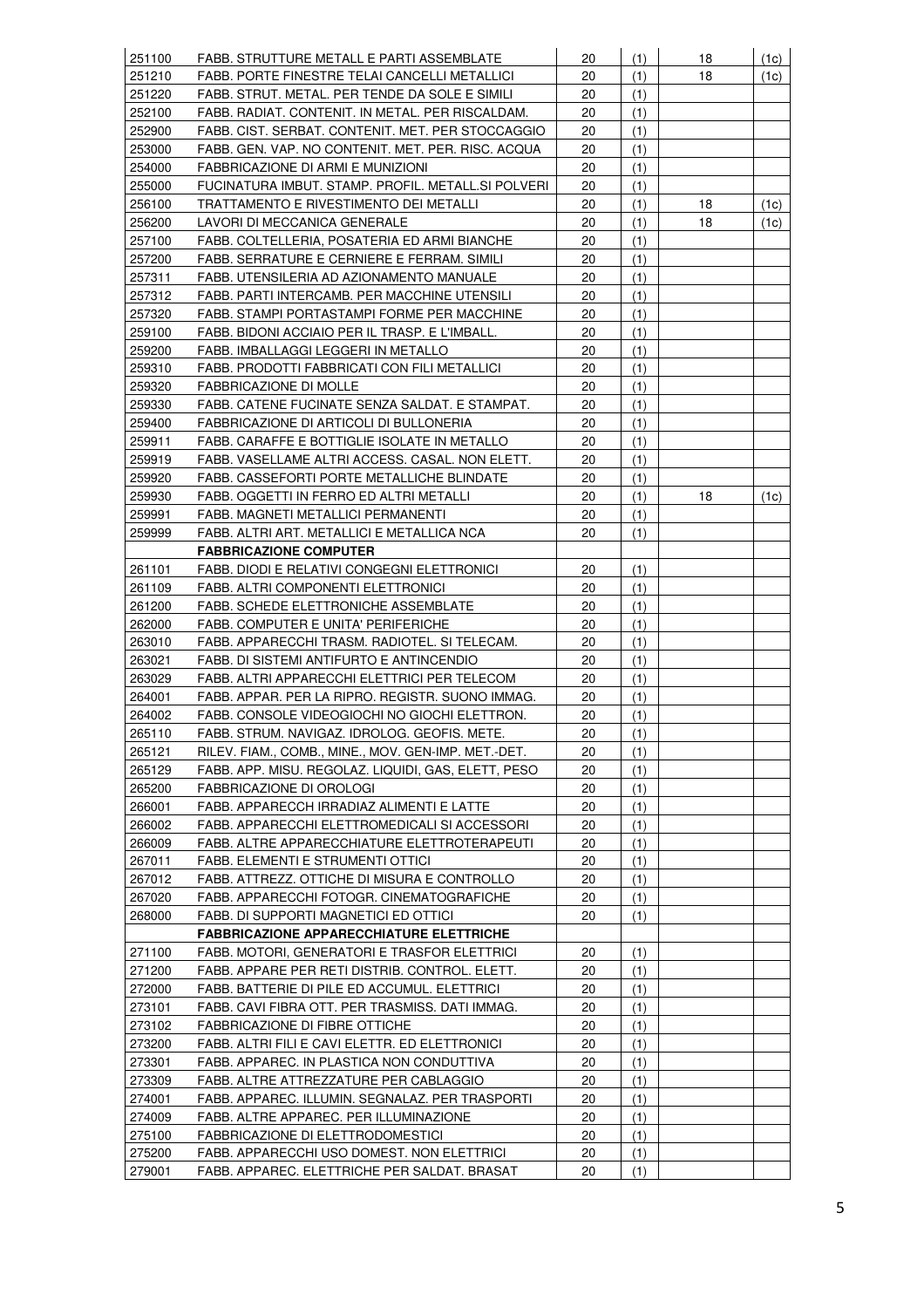| 251100 | FABB. STRUTTURE METALL E PARTI ASSEMBLATE           | 20 | (1) | 18 | (1c) |
|--------|-----------------------------------------------------|----|-----|----|------|
| 251210 | FABB. PORTE FINESTRE TELAI CANCELLI METALLICI       | 20 | (1) | 18 | (1c) |
| 251220 | FABB. STRUT. METAL. PER TENDE DA SOLE E SIMILI      | 20 | (1) |    |      |
| 252100 | FABB. RADIAT. CONTENIT. IN METAL. PER RISCALDAM.    | 20 | (1) |    |      |
| 252900 | FABB. CIST. SERBAT. CONTENIT. MET. PER STOCCAGGIO   | 20 | (1) |    |      |
| 253000 | FABB. GEN. VAP. NO CONTENIT. MET. PER. RISC. ACQUA  | 20 | (1) |    |      |
| 254000 | FABBRICAZIONE DI ARMI E MUNIZIONI                   | 20 | (1) |    |      |
| 255000 | FUCINATURA IMBUT. STAMP. PROFIL. METALL.SI POLVERI  | 20 | (1) |    |      |
| 256100 | TRATTAMENTO E RIVESTIMENTO DEI METALLI              | 20 | (1) | 18 | (1c) |
| 256200 | LAVORI DI MECCANICA GENERALE                        | 20 | (1) | 18 | (1c) |
| 257100 | FABB. COLTELLERIA, POSATERIA ED ARMI BIANCHE        | 20 | (1) |    |      |
| 257200 | FABB. SERRATURE E CERNIERE E FERRAM. SIMILI         | 20 | (1) |    |      |
| 257311 | FABB. UTENSILERIA AD AZIONAMENTO MANUALE            | 20 | (1) |    |      |
| 257312 | FABB. PARTI INTERCAMB. PER MACCHINE UTENSILI        | 20 | (1) |    |      |
| 257320 | FABB. STAMPI PORTASTAMPI FORME PER MACCHINE         | 20 | (1) |    |      |
| 259100 | FABB. BIDONI ACCIAIO PER IL TRASP. E L'IMBALL.      | 20 | (1) |    |      |
| 259200 | FABB. IMBALLAGGI LEGGERI IN METALLO                 | 20 | (1) |    |      |
| 259310 | FABB. PRODOTTI FABBRICATI CON FILI METALLICI        | 20 | (1) |    |      |
| 259320 | <b>FABBRICAZIONE DI MOLLE</b>                       | 20 | (1) |    |      |
| 259330 | FABB. CATENE FUCINATE SENZA SALDAT. E STAMPAT.      | 20 | (1) |    |      |
| 259400 | FABBRICAZIONE DI ARTICOLI DI BULLONERIA             | 20 | (1) |    |      |
| 259911 | FABB. CARAFFE E BOTTIGLIE ISOLATE IN METALLO        | 20 | (1) |    |      |
| 259919 | FABB. VASELLAME ALTRI ACCESS. CASAL. NON ELETT.     | 20 |     |    |      |
| 259920 |                                                     |    | (1) |    |      |
|        | FABB. CASSEFORTI PORTE METALLICHE BLINDATE          | 20 | (1) |    |      |
| 259930 | FABB. OGGETTI IN FERRO ED ALTRI METALLI             | 20 | (1) | 18 | (1c) |
| 259991 | FABB. MAGNETI METALLICI PERMANENTI                  | 20 | (1) |    |      |
| 259999 | FABB. ALTRI ART. METALLICI E METALLICA NCA          | 20 | (1) |    |      |
|        | <b>FABBRICAZIONE COMPUTER</b>                       |    |     |    |      |
| 261101 | FABB. DIODI E RELATIVI CONGEGNI ELETTRONICI         | 20 | (1) |    |      |
| 261109 | FABB. ALTRI COMPONENTI ELETTRONICI                  | 20 | (1) |    |      |
| 261200 | FABB. SCHEDE ELETTRONICHE ASSEMBLATE                | 20 | (1) |    |      |
| 262000 | FABB. COMPUTER E UNITA' PERIFERICHE                 | 20 | (1) |    |      |
| 263010 | FABB. APPARECCHI TRASM. RADIOTEL. SI TELECAM.       | 20 | (1) |    |      |
| 263021 | FABB. DI SISTEMI ANTIFURTO E ANTINCENDIO            | 20 | (1) |    |      |
| 263029 | FABB. ALTRI APPARECCHI ELETTRICI PER TELECOM        | 20 | (1) |    |      |
| 264001 | FABB. APPAR. PER LA RIPRO. REGISTR. SUONO IMMAG.    | 20 | (1) |    |      |
| 264002 | FABB. CONSOLE VIDEOGIOCHI NO GIOCHI ELETTRON.       | 20 | (1) |    |      |
| 265110 | FABB. STRUM. NAVIGAZ. IDROLOG. GEOFIS. METE.        | 20 | (1) |    |      |
| 265121 | RILEV. FIAM., COMB., MINE., MOV. GEN-IMP. MET.-DET. | 20 | (1) |    |      |
| 265129 | FABB. APP. MISU. REGOLAZ. LIQUIDI, GAS, ELETT, PESO | 20 | (1) |    |      |
| 265200 | FABBRICAZIONE DI OROLOGI                            | 20 | (1) |    |      |
| 266001 | FABB. APPARECCH IRRADIAZ ALIMENTI E LATTE           | 20 | (1) |    |      |
| 266002 | FABB. APPARECCHI ELETTROMEDICALI SI ACCESSORI       | 20 | (1) |    |      |
| 266009 | FABB. ALTRE APPARECCHIATURE ELETTROTERAPEUTI        | 20 | (1) |    |      |
| 267011 | FABB. ELEMENTI E STRUMENTI OTTICI                   | 20 | (1) |    |      |
| 267012 | FABB. ATTREZZ. OTTICHE DI MISURA E CONTROLLO        | 20 | (1) |    |      |
| 267020 | FABB. APPARECCHI FOTOGR. CINEMATOGRAFICHE           | 20 | (1) |    |      |
| 268000 | FABB. DI SUPPORTI MAGNETICI ED OTTICI               | 20 | (1) |    |      |
|        | <b>FABBRICAZIONE APPARECCHIATURE ELETTRICHE</b>     |    |     |    |      |
| 271100 | FABB. MOTORI, GENERATORI E TRASFOR ELETTRICI        | 20 | (1) |    |      |
| 271200 | FABB. APPARE PER RETI DISTRIB. CONTROL. ELETT.      | 20 | (1) |    |      |
| 272000 | FABB. BATTERIE DI PILE ED ACCUMUL. ELETTRICI        | 20 | (1) |    |      |
| 273101 | FABB. CAVI FIBRA OTT. PER TRASMISS. DATI IMMAG.     | 20 | (1) |    |      |
| 273102 | <b>FABBRICAZIONE DI FIBRE OTTICHE</b>               | 20 | (1) |    |      |
| 273200 | FABB. ALTRI FILI E CAVI ELETTR. ED ELETTRONICI      | 20 | (1) |    |      |
| 273301 | FABB. APPAREC. IN PLASTICA NON CONDUTTIVA           | 20 | (1) |    |      |
| 273309 | FABB. ALTRE ATTREZZATURE PER CABLAGGIO              | 20 | (1) |    |      |
| 274001 | FABB. APPAREC. ILLUMIN. SEGNALAZ. PER TRASPORTI     | 20 | (1) |    |      |
| 274009 | FABB. ALTRE APPAREC. PER ILLUMINAZIONE              | 20 | (1) |    |      |
| 275100 | FABBRICAZIONE DI ELETTRODOMESTICI                   | 20 | (1) |    |      |
| 275200 | FABB. APPARECCHI USO DOMEST. NON ELETTRICI          | 20 | (1) |    |      |
| 279001 | FABB. APPAREC. ELETTRICHE PER SALDAT. BRASAT        | 20 | (1) |    |      |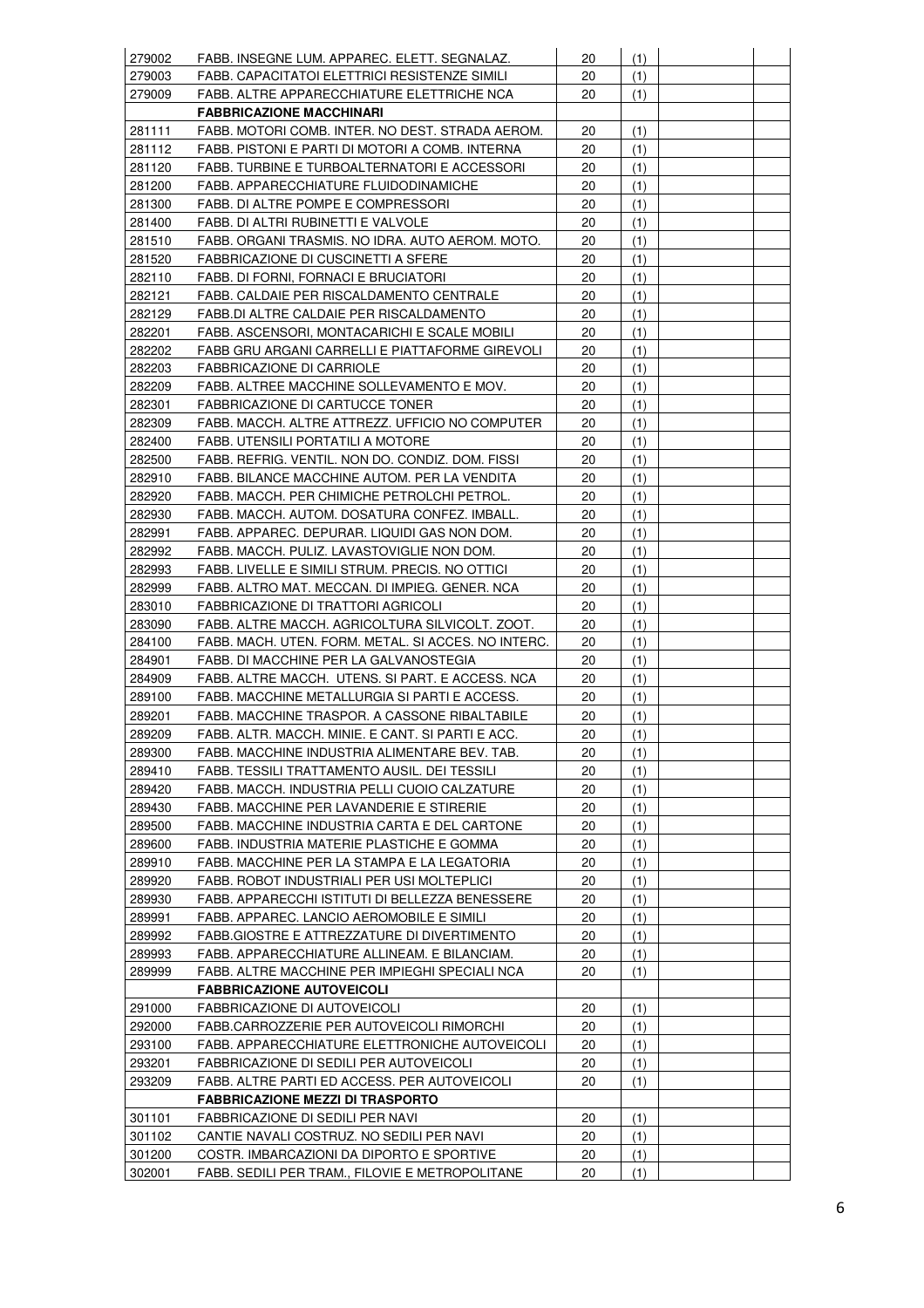| 279002 | FABB. INSEGNE LUM. APPAREC. ELETT. SEGNALAZ.                                                   | 20 | (1) |  |
|--------|------------------------------------------------------------------------------------------------|----|-----|--|
| 279003 | FABB. CAPACITATOI ELETTRICI RESISTENZE SIMILI                                                  | 20 | (1) |  |
| 279009 | FABB. ALTRE APPARECCHIATURE ELETTRICHE NCA                                                     | 20 | (1) |  |
|        | <b>FABBRICAZIONE MACCHINARI</b>                                                                |    |     |  |
| 281111 | FABB. MOTORI COMB. INTER. NO DEST. STRADA AEROM.                                               | 20 | (1) |  |
| 281112 | FABB. PISTONI E PARTI DI MOTORI A COMB. INTERNA                                                | 20 | (1) |  |
| 281120 | FABB. TURBINE E TURBOALTERNATORI E ACCESSORI                                                   | 20 | (1) |  |
|        |                                                                                                | 20 |     |  |
| 281200 | FABB. APPARECCHIATURE FLUIDODINAMICHE                                                          |    | (1) |  |
| 281300 | FABB. DI ALTRE POMPE E COMPRESSORI                                                             | 20 | (1) |  |
| 281400 | FABB. DI ALTRI RUBINETTI E VALVOLE                                                             | 20 | (1) |  |
| 281510 | FABB. ORGANI TRASMIS. NO IDRA. AUTO AEROM. MOTO.                                               | 20 | (1) |  |
| 281520 | FABBRICAZIONE DI CUSCINETTI A SFERE                                                            | 20 | (1) |  |
| 282110 | FABB. DI FORNI, FORNACI E BRUCIATORI                                                           | 20 | (1) |  |
| 282121 | FABB. CALDAIE PER RISCALDAMENTO CENTRALE                                                       | 20 | (1) |  |
| 282129 | FABB.DI ALTRE CALDAIE PER RISCALDAMENTO                                                        | 20 | (1) |  |
| 282201 | FABB. ASCENSORI, MONTACARICHI E SCALE MOBILI                                                   | 20 | (1) |  |
| 282202 | FABB GRU ARGANI CARRELLI E PIATTAFORME GIREVOLI                                                | 20 | (1) |  |
| 282203 | FABBRICAZIONE DI CARRIOLE                                                                      | 20 | (1) |  |
| 282209 | FABB. ALTREE MACCHINE SOLLEVAMENTO E MOV.                                                      | 20 | (1) |  |
| 282301 | FABBRICAZIONE DI CARTUCCE TONER                                                                | 20 | (1) |  |
| 282309 | FABB. MACCH. ALTRE ATTREZZ. UFFICIO NO COMPUTER                                                | 20 | (1) |  |
| 282400 | FABB. UTENSILI PORTATILI A MOTORE                                                              | 20 | (1) |  |
| 282500 | FABB. REFRIG. VENTIL. NON DO. CONDIZ. DOM. FISSI                                               | 20 | (1) |  |
| 282910 | FABB. BILANCE MACCHINE AUTOM. PER LA VENDITA                                                   | 20 | (1) |  |
| 282920 | FABB. MACCH. PER CHIMICHE PETROLCHI PETROL.                                                    | 20 | (1) |  |
| 282930 | FABB. MACCH. AUTOM. DOSATURA CONFEZ. IMBALL.                                                   | 20 | (1) |  |
| 282991 | FABB. APPAREC. DEPURAR. LIQUIDI GAS NON DOM.                                                   | 20 | (1) |  |
| 282992 | FABB. MACCH. PULIZ. LAVASTOVIGLIE NON DOM.                                                     | 20 | (1) |  |
| 282993 | FABB. LIVELLE E SIMILI STRUM. PRECIS. NO OTTICI                                                | 20 | (1) |  |
| 282999 | FABB. ALTRO MAT. MECCAN. DI IMPIEG. GENER. NCA                                                 | 20 | (1) |  |
| 283010 | FABBRICAZIONE DI TRATTORI AGRICOLI                                                             | 20 | (1) |  |
| 283090 | FABB. ALTRE MACCH. AGRICOLTURA SILVICOLT. ZOOT.                                                | 20 | (1) |  |
| 284100 | FABB. MACH. UTEN. FORM. METAL. SI ACCES. NO INTERC.                                            | 20 | (1) |  |
| 284901 | FABB. DI MACCHINE PER LA GALVANOSTEGIA                                                         | 20 | (1) |  |
| 284909 | FABB. ALTRE MACCH. UTENS. SI PART. E ACCESS. NCA                                               | 20 | (1) |  |
| 289100 | FABB. MACCHINE METALLURGIA SI PARTI E ACCESS.                                                  | 20 | (1) |  |
| 289201 | FABB. MACCHINE TRASPOR. A CASSONE RIBALTABILE                                                  | 20 | (1) |  |
| 289209 | FABB. ALTR. MACCH. MINIE. E CANT. SI PARTI E ACC.                                              | 20 | (1) |  |
| 289300 | FABB. MACCHINE INDUSTRIA ALIMENTARE BEV. TAB.                                                  | 20 | (1) |  |
| 289410 | FABB. TESSILI TRATTAMENTO AUSIL. DEI TESSILI                                                   | 20 | (1) |  |
| 289420 | FABB. MACCH. INDUSTRIA PELLI CUOIO CALZATURE                                                   | 20 | (1) |  |
| 289430 | FABB. MACCHINE PER LAVANDERIE E STIRERIE                                                       | 20 | (1) |  |
| 289500 | FABB. MACCHINE INDUSTRIA CARTA E DEL CARTONE                                                   | 20 | (1) |  |
| 289600 | FABB. INDUSTRIA MATERIE PLASTICHE E GOMMA                                                      | 20 | (1) |  |
| 289910 | FABB. MACCHINE PER LA STAMPA E LA LEGATORIA                                                    | 20 | (1) |  |
| 289920 | FABB. ROBOT INDUSTRIALI PER USI MOLTEPLICI                                                     | 20 | (1) |  |
| 289930 | FABB. APPARECCHI ISTITUTI DI BELLEZZA BENESSERE                                                | 20 | (1) |  |
| 289991 | FABB. APPAREC. LANCIO AEROMOBILE E SIMILI                                                      | 20 | (1) |  |
| 289992 | FABB.GIOSTRE E ATTREZZATURE DI DIVERTIMENTO                                                    | 20 | (1) |  |
| 289993 |                                                                                                | 20 |     |  |
| 289999 | FABB. APPARECCHIATURE ALLINEAM. E BILANCIAM.<br>FABB. ALTRE MACCHINE PER IMPIEGHI SPECIALI NCA |    | (1) |  |
|        |                                                                                                | 20 | (1) |  |
|        | <b>FABBRICAZIONE AUTOVEICOLI</b>                                                               |    |     |  |
| 291000 | FABBRICAZIONE DI AUTOVEICOLI                                                                   | 20 | (1) |  |
| 292000 | FABB.CARROZZERIE PER AUTOVEICOLI RIMORCHI                                                      | 20 | (1) |  |
| 293100 | FABB. APPARECCHIATURE ELETTRONICHE AUTOVEICOLI                                                 | 20 | (1) |  |
| 293201 | FABBRICAZIONE DI SEDILI PER AUTOVEICOLI                                                        | 20 | (1) |  |
| 293209 | FABB. ALTRE PARTI ED ACCESS. PER AUTOVEICOLI                                                   | 20 | (1) |  |
|        | <b>FABBRICAZIONE MEZZI DI TRASPORTO</b>                                                        |    |     |  |
| 301101 | FABBRICAZIONE DI SEDILI PER NAVI                                                               | 20 | (1) |  |
| 301102 | CANTIE NAVALI COSTRUZ. NO SEDILI PER NAVI                                                      | 20 | (1) |  |
| 301200 | COSTR. IMBARCAZIONI DA DIPORTO E SPORTIVE                                                      | 20 | (1) |  |
| 302001 | FABB. SEDILI PER TRAM., FILOVIE E METROPOLITANE                                                | 20 | (1) |  |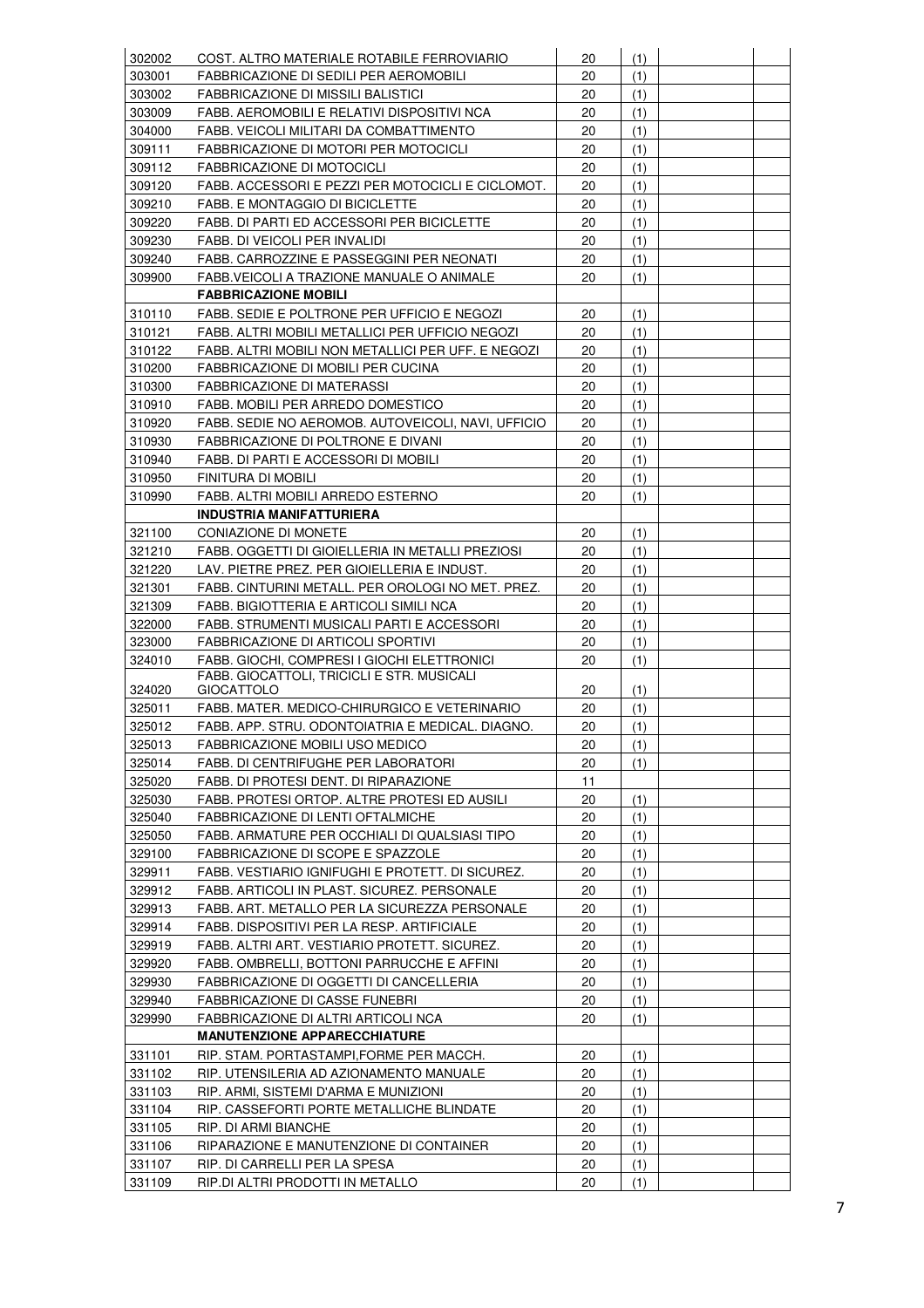| 302002 | COST. ALTRO MATERIALE ROTABILE FERROVIARIO                                                | 20 | (1) |  |
|--------|-------------------------------------------------------------------------------------------|----|-----|--|
| 303001 | FABBRICAZIONE DI SEDILI PER AEROMOBILI                                                    | 20 | (1) |  |
| 303002 | <b>FABBRICAZIONE DI MISSILI BALISTICI</b>                                                 | 20 | (1) |  |
| 303009 | FABB. AEROMOBILI E RELATIVI DISPOSITIVI NCA                                               | 20 | (1) |  |
| 304000 | FABB. VEICOLI MILITARI DA COMBATTIMENTO                                                   | 20 | (1) |  |
| 309111 | FABBRICAZIONE DI MOTORI PER MOTOCICLI                                                     | 20 | (1) |  |
| 309112 | <b>FABBRICAZIONE DI MOTOCICLI</b>                                                         | 20 | (1) |  |
| 309120 | FABB. ACCESSORI E PEZZI PER MOTOCICLI E CICLOMOT.                                         | 20 | (1) |  |
| 309210 | <b>FABB. E MONTAGGIO DI BICICLETTE</b>                                                    | 20 | (1) |  |
| 309220 | FABB. DI PARTI ED ACCESSORI PER BICICLETTE                                                | 20 | (1) |  |
| 309230 | FABB. DI VEICOLI PER INVALIDI                                                             | 20 | (1) |  |
| 309240 | FABB. CARROZZINE E PASSEGGINI PER NEONATI                                                 | 20 | (1) |  |
| 309900 | FABB VEICOLI A TRAZIONE MANUALE O ANIMALE                                                 | 20 | (1) |  |
|        | <b>FABBRICAZIONE MOBILI</b>                                                               |    |     |  |
| 310110 | FABB. SEDIE E POLTRONE PER UFFICIO E NEGOZI                                               | 20 | (1) |  |
| 310121 | FABB. ALTRI MOBILI METALLICI PER UFFICIO NEGOZI                                           | 20 | (1) |  |
| 310122 | FABB. ALTRI MOBILI NON METALLICI PER UFF. E NEGOZI                                        | 20 | (1) |  |
| 310200 | FABBRICAZIONE DI MOBILI PER CUCINA                                                        | 20 | (1) |  |
| 310300 | <b>FABBRICAZIONE DI MATERASSI</b>                                                         | 20 | (1) |  |
| 310910 | FABB. MOBILI PER ARREDO DOMESTICO                                                         | 20 | (1) |  |
| 310920 | FABB. SEDIE NO AEROMOB. AUTOVEICOLI, NAVI, UFFICIO                                        | 20 | (1) |  |
| 310930 | FABBRICAZIONE DI POLTRONE E DIVANI                                                        | 20 | (1) |  |
| 310940 | FABB. DI PARTI E ACCESSORI DI MOBILI                                                      | 20 | (1) |  |
| 310950 |                                                                                           | 20 |     |  |
| 310990 | FINITURA DI MOBILI                                                                        | 20 | (1) |  |
|        | FABB. ALTRI MOBILI ARREDO ESTERNO<br><b>INDUSTRIA MANIFATTURIERA</b>                      |    | (1) |  |
|        |                                                                                           |    |     |  |
| 321100 | CONIAZIONE DI MONETE                                                                      | 20 | (1) |  |
| 321210 | FABB. OGGETTI DI GIOIELLERIA IN METALLI PREZIOSI                                          | 20 | (1) |  |
| 321220 | LAV. PIETRE PREZ. PER GIOIELLERIA E INDUST.                                               | 20 | (1) |  |
| 321301 | FABB. CINTURINI METALL. PER OROLOGI NO MET. PREZ.                                         | 20 | (1) |  |
| 321309 | FABB. BIGIOTTERIA E ARTICOLI SIMILI NCA                                                   | 20 | (1) |  |
| 322000 | FABB. STRUMENTI MUSICALI PARTI E ACCESSORI                                                | 20 | (1) |  |
| 323000 | FABBRICAZIONE DI ARTICOLI SPORTIVI                                                        | 20 | (1) |  |
| 324010 | FABB, GIOCHI, COMPRESI I GIOCHI ELETTRONICI<br>FABB. GIOCATTOLI, TRICICLI E STR. MUSICALI | 20 | (1) |  |
| 324020 | <b>GIOCATTOLO</b>                                                                         | 20 | (1) |  |
| 325011 | FABB. MATER. MEDICO-CHIRURGICO E VETERINARIO                                              | 20 | (1) |  |
| 325012 | FABB. APP. STRU. ODONTOIATRIA E MEDICAL. DIAGNO.                                          | 20 | (1) |  |
| 325013 | FABBRICAZIONE MOBILI USO MEDICO                                                           | 20 | (1) |  |
| 325014 | FABB. DI CENTRIFUGHE PER LABORATORI                                                       | 20 | (1) |  |
| 325020 | FABB. DI PROTESI DENT. DI RIPARAZIONE                                                     | 11 |     |  |
| 325030 | FABB. PROTESI ORTOP. ALTRE PROTESI ED AUSILI                                              | 20 | (1) |  |
| 325040 | FABBRICAZIONE DI LENTI OFTALMICHE                                                         | 20 | (1) |  |
| 325050 | FABB. ARMATURE PER OCCHIALI DI QUALSIASI TIPO                                             | 20 | (1) |  |
| 329100 | FABBRICAZIONE DI SCOPE E SPAZZOLE                                                         | 20 | (1) |  |
| 329911 | FABB. VESTIARIO IGNIFUGHI E PROTETT. DI SICUREZ.                                          | 20 | (1) |  |
| 329912 | FABB. ARTICOLI IN PLAST. SICUREZ. PERSONALE                                               | 20 | (1) |  |
| 329913 | FABB. ART. METALLO PER LA SICUREZZA PERSONALE                                             | 20 | (1) |  |
| 329914 | FABB. DISPOSITIVI PER LA RESP. ARTIFICIALE                                                | 20 | (1) |  |
| 329919 | FABB. ALTRI ART. VESTIARIO PROTETT. SICUREZ.                                              | 20 | (1) |  |
| 329920 | FABB. OMBRELLI, BOTTONI PARRUCCHE E AFFINI                                                | 20 | (1) |  |
| 329930 | FABBRICAZIONE DI OGGETTI DI CANCELLERIA                                                   | 20 | (1) |  |
| 329940 |                                                                                           | 20 |     |  |
| 329990 | <b>FABBRICAZIONE DI CASSE FUNEBRI</b>                                                     | 20 | (1) |  |
|        | FABBRICAZIONE DI ALTRI ARTICOLI NCA                                                       |    | (1) |  |
|        | <b>MANUTENZIONE APPARECCHIATURE</b>                                                       |    |     |  |
| 331101 | RIP. STAM. PORTASTAMPI, FORME PER MACCH.                                                  | 20 | (1) |  |
| 331102 | RIP. UTENSILERIA AD AZIONAMENTO MANUALE                                                   | 20 | (1) |  |
| 331103 | RIP. ARMI, SISTEMI D'ARMA E MUNIZIONI                                                     | 20 | (1) |  |
| 331104 | RIP. CASSEFORTI PORTE METALLICHE BLINDATE                                                 | 20 | (1) |  |
| 331105 | RIP. DI ARMI BIANCHE                                                                      | 20 | (1) |  |
| 331106 | RIPARAZIONE E MANUTENZIONE DI CONTAINER                                                   | 20 | (1) |  |
| 331107 | RIP. DI CARRELLI PER LA SPESA                                                             | 20 | (1) |  |
| 331109 | RIP.DI ALTRI PRODOTTI IN METALLO                                                          | 20 | (1) |  |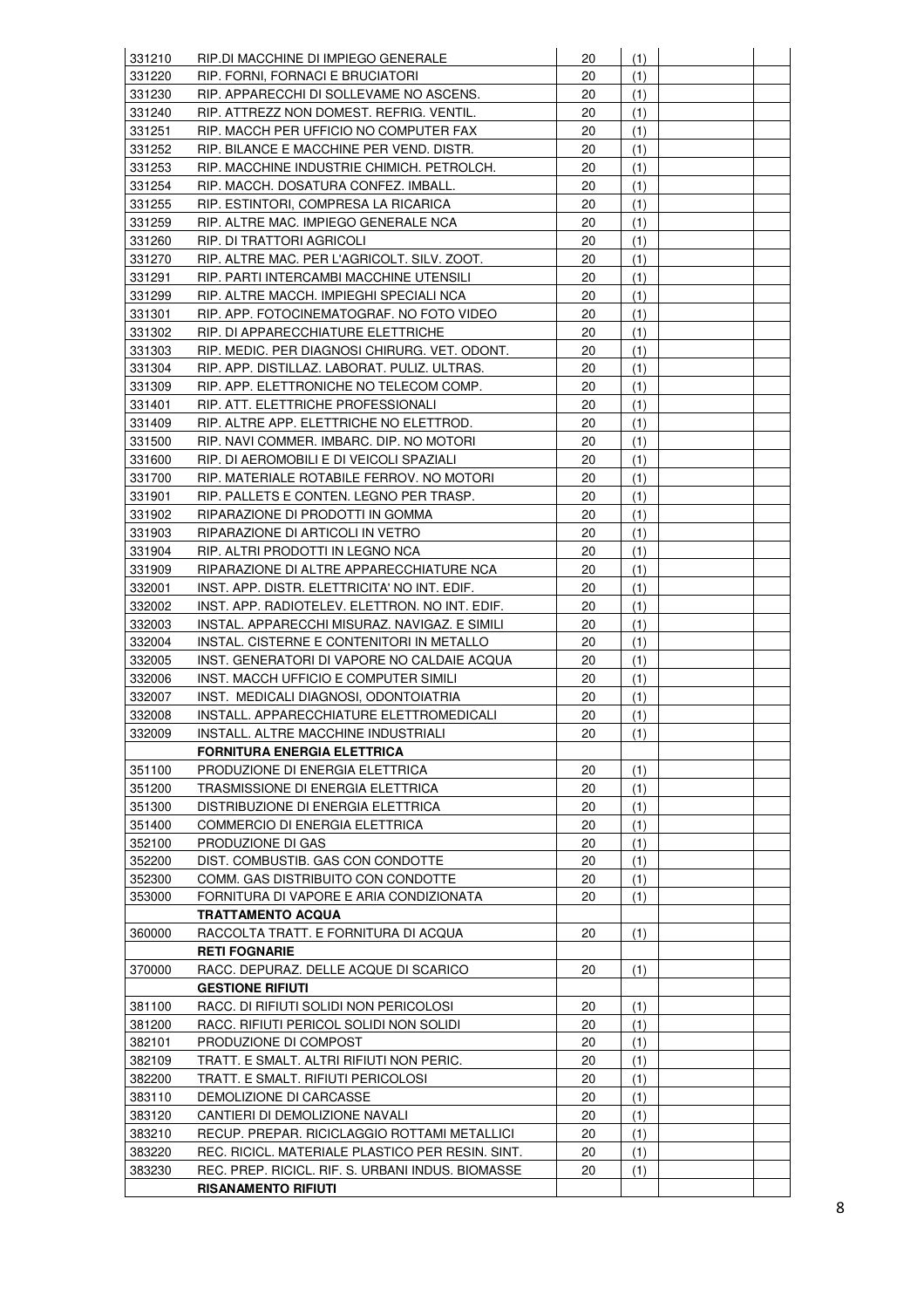| 331210 | RIP.DI MACCHINE DI IMPIEGO GENERALE               | 20 | (1) |  |
|--------|---------------------------------------------------|----|-----|--|
| 331220 | RIP. FORNI, FORNACI E BRUCIATORI                  | 20 | (1) |  |
| 331230 | RIP. APPARECCHI DI SOLLEVAME NO ASCENS.           | 20 | (1) |  |
| 331240 | RIP. ATTREZZ NON DOMEST. REFRIG. VENTIL.          | 20 | (1) |  |
| 331251 | RIP. MACCH PER UFFICIO NO COMPUTER FAX            | 20 | (1) |  |
| 331252 | RIP. BILANCE E MACCHINE PER VEND. DISTR.          | 20 | (1) |  |
| 331253 | RIP. MACCHINE INDUSTRIE CHIMICH. PETROLCH.        | 20 | (1) |  |
| 331254 | RIP. MACCH. DOSATURA CONFEZ. IMBALL.              | 20 | (1) |  |
| 331255 | RIP. ESTINTORI, COMPRESA LA RICARICA              | 20 | (1) |  |
| 331259 | RIP. ALTRE MAC. IMPIEGO GENERALE NCA              | 20 | (1) |  |
| 331260 | RIP. DI TRATTORI AGRICOLI                         | 20 | (1) |  |
| 331270 | RIP. ALTRE MAC. PER L'AGRICOLT. SILV. ZOOT.       | 20 | (1) |  |
| 331291 | RIP. PARTI INTERCAMBI MACCHINE UTENSILI           | 20 | (1) |  |
| 331299 | RIP. ALTRE MACCH. IMPIEGHI SPECIALI NCA           | 20 | (1) |  |
|        |                                                   |    |     |  |
| 331301 | RIP. APP. FOTOCINEMATOGRAF. NO FOTO VIDEO         | 20 | (1) |  |
| 331302 | RIP. DI APPARECCHIATURE ELETTRICHE                | 20 | (1) |  |
| 331303 | RIP. MEDIC. PER DIAGNOSI CHIRURG. VET. ODONT.     | 20 | (1) |  |
| 331304 | RIP. APP. DISTILLAZ. LABORAT. PULIZ. ULTRAS.      | 20 | (1) |  |
| 331309 | RIP. APP. ELETTRONICHE NO TELECOM COMP.           | 20 | (1) |  |
| 331401 | RIP. ATT. ELETTRICHE PROFESSIONALI                | 20 | (1) |  |
| 331409 | RIP. ALTRE APP. ELETTRICHE NO ELETTROD.           | 20 | (1) |  |
| 331500 | RIP. NAVI COMMER. IMBARC. DIP. NO MOTORI          | 20 | (1) |  |
| 331600 | RIP. DI AEROMOBILI E DI VEICOLI SPAZIALI          | 20 | (1) |  |
| 331700 | RIP. MATERIALE ROTABILE FERROV. NO MOTORI         | 20 | (1) |  |
| 331901 | RIP. PALLETS E CONTEN. LEGNO PER TRASP.           | 20 | (1) |  |
| 331902 | RIPARAZIONE DI PRODOTTI IN GOMMA                  | 20 | (1) |  |
| 331903 | RIPARAZIONE DI ARTICOLI IN VETRO                  | 20 | (1) |  |
| 331904 | RIP. ALTRI PRODOTTI IN LEGNO NCA                  | 20 | (1) |  |
| 331909 | RIPARAZIONE DI ALTRE APPARECCHIATURE NCA          | 20 | (1) |  |
| 332001 | INST. APP. DISTR. ELETTRICITA' NO INT. EDIF.      | 20 | (1) |  |
| 332002 | INST. APP. RADIOTELEV. ELETTRON. NO INT. EDIF.    | 20 | (1) |  |
| 332003 | INSTAL. APPARECCHI MISURAZ. NAVIGAZ. E SIMILI     | 20 | (1) |  |
| 332004 | INSTAL. CISTERNE E CONTENITORI IN METALLO         | 20 | (1) |  |
| 332005 | INST. GENERATORI DI VAPORE NO CALDAIE ACQUA       | 20 | (1) |  |
| 332006 | INST. MACCH UFFICIO E COMPUTER SIMILI             | 20 | (1) |  |
| 332007 | INST. MEDICALI DIAGNOSI, ODONTOIATRIA             | 20 | (1) |  |
| 332008 | INSTALL. APPARECCHIATURE ELETTROMEDICALI          | 20 | (1) |  |
| 332009 | INSTALL. ALTRE MACCHINE INDUSTRIALI               | 20 | (1) |  |
|        | <b>FORNITURA ENERGIA ELETTRICA</b>                |    |     |  |
| 351100 | PRODUZIONE DI ENERGIA ELETTRICA                   | 20 | (1) |  |
| 351200 | TRASMISSIONE DI ENERGIA ELETTRICA                 | 20 | (1) |  |
| 351300 | DISTRIBUZIONE DI ENERGIA ELETTRICA                | 20 | (1) |  |
| 351400 |                                                   |    |     |  |
|        | COMMERCIO DI ENERGIA ELETTRICA                    | 20 | (1) |  |
| 352100 | PRODUZIONE DI GAS                                 | 20 | (1) |  |
| 352200 | DIST. COMBUSTIB. GAS CON CONDOTTE                 | 20 | (1) |  |
| 352300 | COMM. GAS DISTRIBUITO CON CONDOTTE                | 20 | (1) |  |
| 353000 | FORNITURA DI VAPORE E ARIA CONDIZIONATA           | 20 | (1) |  |
|        | <b>TRATTAMENTO ACQUA</b>                          |    |     |  |
| 360000 | RACCOLTA TRATT. E FORNITURA DI ACQUA              | 20 | (1) |  |
|        | <b>RETI FOGNARIE</b>                              |    |     |  |
| 370000 | RACC. DEPURAZ. DELLE ACQUE DI SCARICO             | 20 | (1) |  |
|        | <b>GESTIONE RIFIUTI</b>                           |    |     |  |
| 381100 | RACC. DI RIFIUTI SOLIDI NON PERICOLOSI            | 20 | (1) |  |
| 381200 | RACC. RIFIUTI PERICOL SOLIDI NON SOLIDI           | 20 | (1) |  |
| 382101 | PRODUZIONE DI COMPOST                             | 20 | (1) |  |
| 382109 | TRATT. E SMALT. ALTRI RIFIUTI NON PERIC.          | 20 | (1) |  |
| 382200 | TRATT. E SMALT. RIFIUTI PERICOLOSI                | 20 | (1) |  |
| 383110 | DEMOLIZIONE DI CARCASSE                           | 20 | (1) |  |
| 383120 | CANTIERI DI DEMOLIZIONE NAVALI                    | 20 | (1) |  |
| 383210 | RECUP. PREPAR. RICICLAGGIO ROTTAMI METALLICI      | 20 | (1) |  |
| 383220 | REC. RICICL. MATERIALE PLASTICO PER RESIN. SINT.  | 20 | (1) |  |
| 383230 | REC. PREP. RICICL. RIF. S. URBANI INDUS. BIOMASSE | 20 | (1) |  |
|        | <b>RISANAMENTO RIFIUTI</b>                        |    |     |  |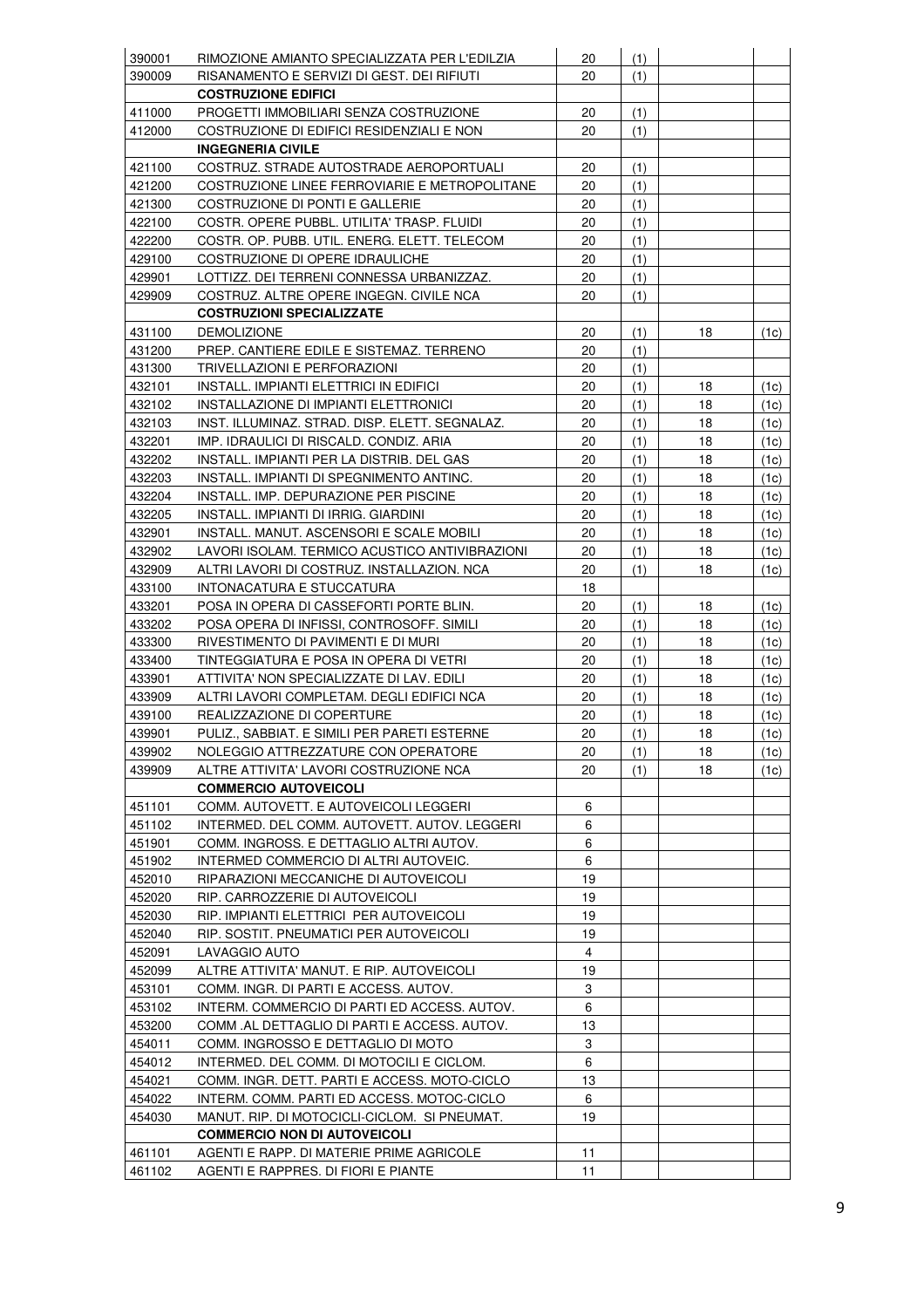| 390001 | RIMOZIONE AMIANTO SPECIALIZZATA PER L'EDILZIA  | 20 | (1) |    |      |
|--------|------------------------------------------------|----|-----|----|------|
| 390009 | RISANAMENTO E SERVIZI DI GEST. DEI RIFIUTI     | 20 | (1) |    |      |
|        | <b>COSTRUZIONE EDIFICI</b>                     |    |     |    |      |
| 411000 | PROGETTI IMMOBILIARI SENZA COSTRUZIONE         | 20 | (1) |    |      |
| 412000 | COSTRUZIONE DI EDIFICI RESIDENZIALI E NON      | 20 | (1) |    |      |
|        | <b>INGEGNERIA CIVILE</b>                       |    |     |    |      |
| 421100 | COSTRUZ. STRADE AUTOSTRADE AEROPORTUALI        | 20 | (1) |    |      |
| 421200 | COSTRUZIONE LINEE FERROVIARIE E METROPOLITANE  | 20 | (1) |    |      |
| 421300 | COSTRUZIONE DI PONTI E GALLERIE                | 20 | (1) |    |      |
| 422100 | COSTR. OPERE PUBBL. UTILITA' TRASP. FLUIDI     | 20 |     |    |      |
| 422200 | COSTR. OP. PUBB. UTIL. ENERG. ELETT. TELECOM   | 20 | (1) |    |      |
|        |                                                |    | (1) |    |      |
| 429100 | COSTRUZIONE DI OPERE IDRAULICHE                | 20 | (1) |    |      |
| 429901 | LOTTIZZ. DEI TERRENI CONNESSA URBANIZZAZ.      | 20 | (1) |    |      |
| 429909 | COSTRUZ. ALTRE OPERE INGEGN. CIVILE NCA        | 20 | (1) |    |      |
|        | <b>COSTRUZIONI SPECIALIZZATE</b>               |    |     |    |      |
| 431100 | <b>DEMOLIZIONE</b>                             | 20 | (1) | 18 | (1c) |
| 431200 | PREP. CANTIERE EDILE E SISTEMAZ. TERRENO       | 20 | (1) |    |      |
| 431300 | TRIVELLAZIONI E PERFORAZIONI                   | 20 | (1) |    |      |
| 432101 | INSTALL. IMPIANTI ELETTRICI IN EDIFICI         | 20 | (1) | 18 | (1c) |
| 432102 | INSTALLAZIONE DI IMPIANTI ELETTRONICI          | 20 | (1) | 18 | (1c) |
| 432103 | INST. ILLUMINAZ. STRAD. DISP. ELETT. SEGNALAZ. | 20 | (1) | 18 | (1c) |
| 432201 | IMP. IDRAULICI DI RISCALD. CONDIZ. ARIA        | 20 | (1) | 18 | (1c) |
| 432202 | INSTALL. IMPIANTI PER LA DISTRIB. DEL GAS      | 20 | (1) | 18 | (1c) |
| 432203 | INSTALL. IMPIANTI DI SPEGNIMENTO ANTINC.       | 20 | (1) | 18 | (1c) |
| 432204 | INSTALL. IMP. DEPURAZIONE PER PISCINE          | 20 | (1) | 18 | (1c) |
| 432205 | INSTALL. IMPIANTI DI IRRIG. GIARDINI           | 20 | (1) | 18 | (1c) |
| 432901 | INSTALL. MANUT. ASCENSORI E SCALE MOBILI       | 20 | (1) | 18 | (1c) |
| 432902 | LAVORI ISOLAM. TERMICO ACUSTICO ANTIVIBRAZIONI | 20 | (1) | 18 | (1c) |
| 432909 | ALTRI LAVORI DI COSTRUZ. INSTALLAZION. NCA     | 20 | (1) | 18 | (1c) |
| 433100 | INTONACATURA E STUCCATURA                      | 18 |     |    |      |
| 433201 | POSA IN OPERA DI CASSEFORTI PORTE BLIN.        | 20 | (1) | 18 | (1c) |
| 433202 | POSA OPERA DI INFISSI, CONTROSOFF. SIMILI      | 20 | (1) | 18 | (1c) |
| 433300 | RIVESTIMENTO DI PAVIMENTI E DI MURI            | 20 | (1) | 18 | (1c) |
| 433400 | TINTEGGIATURA E POSA IN OPERA DI VETRI         | 20 | (1) | 18 | (1c) |
| 433901 | ATTIVITA' NON SPECIALIZZATE DI LAV. EDILI      | 20 | (1) | 18 | (1c) |
| 433909 | ALTRI LAVORI COMPLETAM. DEGLI EDIFICI NCA      | 20 | (1) | 18 | (1c) |
| 439100 | REALIZZAZIONE DI COPERTURE                     | 20 | (1) | 18 | (1c) |
| 439901 | PULIZ., SABBIAT. E SIMILI PER PARETI ESTERNE   | 20 | (1) | 18 | (1c) |
| 439902 | NOLEGGIO ATTREZZATURE CON OPERATORE            | 20 | (1) | 18 | (1c) |
| 439909 | ALTRE ATTIVITA' LAVORI COSTRUZIONE NCA         | 20 | (1) | 18 | (1c) |
|        | <b>COMMERCIO AUTOVEICOLI</b>                   |    |     |    |      |
| 451101 | COMM. AUTOVETT. E AUTOVEICOLI LEGGERI          | 6  |     |    |      |
| 451102 | INTERMED. DEL COMM. AUTOVETT. AUTOV. LEGGERI   | 6  |     |    |      |
| 451901 | COMM. INGROSS. E DETTAGLIO ALTRI AUTOV.        | 6  |     |    |      |
| 451902 | INTERMED COMMERCIO DI ALTRI AUTOVEIC.          | 6  |     |    |      |
| 452010 | RIPARAZIONI MECCANICHE DI AUTOVEICOLI          | 19 |     |    |      |
| 452020 | RIP. CARROZZERIE DI AUTOVEICOLI                | 19 |     |    |      |
| 452030 | RIP. IMPIANTI ELETTRICI PER AUTOVEICOLI        | 19 |     |    |      |
| 452040 | RIP. SOSTIT. PNEUMATICI PER AUTOVEICOLI        | 19 |     |    |      |
| 452091 |                                                | 4  |     |    |      |
|        | LAVAGGIO AUTO                                  |    |     |    |      |
| 452099 | ALTRE ATTIVITA' MANUT. E RIP. AUTOVEICOLI      | 19 |     |    |      |
| 453101 | COMM. INGR. DI PARTI E ACCESS. AUTOV.          | 3  |     |    |      |
| 453102 | INTERM. COMMERCIO DI PARTI ED ACCESS. AUTOV.   | 6  |     |    |      |
| 453200 | COMM .AL DETTAGLIO DI PARTI E ACCESS. AUTOV.   | 13 |     |    |      |
| 454011 | COMM. INGROSSO E DETTAGLIO DI MOTO             | 3  |     |    |      |
| 454012 | INTERMED. DEL COMM. DI MOTOCILI E CICLOM.      | 6  |     |    |      |
| 454021 | COMM. INGR. DETT. PARTI E ACCESS. MOTO-CICLO   | 13 |     |    |      |
| 454022 | INTERM. COMM. PARTI ED ACCESS. MOTOC-CICLO     | 6  |     |    |      |
| 454030 | MANUT. RIP. DI MOTOCICLI-CICLOM. SI PNEUMAT.   | 19 |     |    |      |
|        | <b>COMMERCIO NON DI AUTOVEICOLI</b>            |    |     |    |      |
| 461101 | AGENTI E RAPP. DI MATERIE PRIME AGRICOLE       | 11 |     |    |      |
| 461102 | AGENTI E RAPPRES. DI FIORI E PIANTE            | 11 |     |    |      |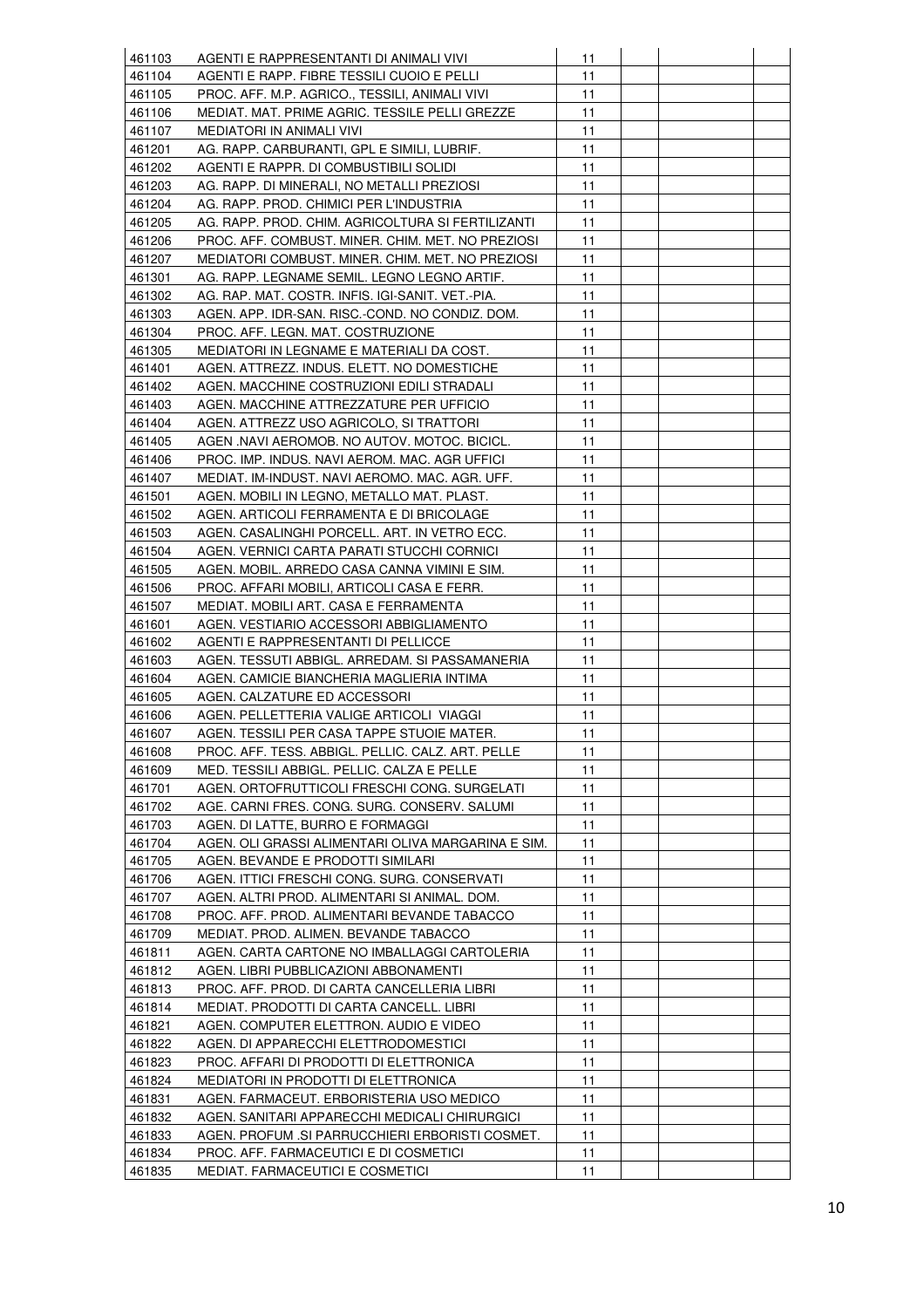| 461103 | AGENTI E RAPPRESENTANTI DI ANIMALI VIVI            | 11 |  |  |
|--------|----------------------------------------------------|----|--|--|
| 461104 | AGENTI E RAPP. FIBRE TESSILI CUOIO E PELLI         | 11 |  |  |
| 461105 | PROC. AFF. M.P. AGRICO., TESSILI, ANIMALI VIVI     | 11 |  |  |
| 461106 | MEDIAT. MAT. PRIME AGRIC. TESSILE PELLI GREZZE     | 11 |  |  |
| 461107 | MEDIATORI IN ANIMALI VIVI                          | 11 |  |  |
| 461201 | AG. RAPP. CARBURANTI, GPL E SIMILI, LUBRIF.        | 11 |  |  |
| 461202 | AGENTI E RAPPR. DI COMBUSTIBILI SOLIDI             | 11 |  |  |
| 461203 | AG. RAPP. DI MINERALI, NO METALLI PREZIOSI         | 11 |  |  |
| 461204 | AG. RAPP. PROD. CHIMICI PER L'INDUSTRIA            | 11 |  |  |
| 461205 | AG. RAPP. PROD. CHIM. AGRICOLTURA SI FERTILIZANTI  | 11 |  |  |
| 461206 | PROC. AFF. COMBUST. MINER. CHIM. MET. NO PREZIOSI  | 11 |  |  |
|        |                                                    |    |  |  |
| 461207 | MEDIATORI COMBUST. MINER. CHIM. MET. NO PREZIOSI   | 11 |  |  |
| 461301 | AG. RAPP. LEGNAME SEMIL. LEGNO LEGNO ARTIF.        | 11 |  |  |
| 461302 | AG. RAP. MAT. COSTR. INFIS. IGI-SANIT. VET.-PIA.   | 11 |  |  |
| 461303 | AGEN. APP. IDR-SAN. RISC.-COND. NO CONDIZ. DOM.    | 11 |  |  |
| 461304 | PROC. AFF. LEGN. MAT. COSTRUZIONE                  | 11 |  |  |
| 461305 | MEDIATORI IN LEGNAME E MATERIALI DA COST.          | 11 |  |  |
| 461401 | AGEN. ATTREZZ. INDUS. ELETT. NO DOMESTICHE         | 11 |  |  |
| 461402 | AGEN. MACCHINE COSTRUZIONI EDILI STRADALI          | 11 |  |  |
| 461403 | AGEN. MACCHINE ATTREZZATURE PER UFFICIO            | 11 |  |  |
| 461404 | AGEN. ATTREZZ USO AGRICOLO, SI TRATTORI            | 11 |  |  |
| 461405 | AGEN .NAVI AEROMOB. NO AUTOV. MOTOC. BICICL.       | 11 |  |  |
| 461406 | PROC. IMP. INDUS. NAVI AEROM. MAC. AGR UFFICI      | 11 |  |  |
| 461407 | MEDIAT. IM-INDUST. NAVI AEROMO. MAC. AGR. UFF.     | 11 |  |  |
| 461501 | AGEN. MOBILI IN LEGNO, METALLO MAT. PLAST.         | 11 |  |  |
| 461502 | AGEN. ARTICOLI FERRAMENTA E DI BRICOLAGE           | 11 |  |  |
| 461503 | AGEN. CASALINGHI PORCELL. ART. IN VETRO ECC.       | 11 |  |  |
| 461504 | AGEN. VERNICI CARTA PARATI STUCCHI CORNICI         | 11 |  |  |
| 461505 | AGEN. MOBIL. ARREDO CASA CANNA VIMINI E SIM.       | 11 |  |  |
| 461506 | PROC. AFFARI MOBILI, ARTICOLI CASA E FERR.         | 11 |  |  |
| 461507 | MEDIAT. MOBILI ART. CASA E FERRAMENTA              | 11 |  |  |
| 461601 | AGEN. VESTIARIO ACCESSORI ABBIGLIAMENTO            | 11 |  |  |
| 461602 | AGENTI E RAPPRESENTANTI DI PELLICCE                | 11 |  |  |
| 461603 | AGEN. TESSUTI ABBIGL. ARREDAM. SI PASSAMANERIA     | 11 |  |  |
| 461604 | AGEN. CAMICIE BIANCHERIA MAGLIERIA INTIMA          | 11 |  |  |
| 461605 | AGEN. CALZATURE ED ACCESSORI                       | 11 |  |  |
| 461606 | AGEN. PELLETTERIA VALIGE ARTICOLI VIAGGI           | 11 |  |  |
| 461607 | AGEN. TESSILI PER CASA TAPPE STUOIE MATER.         | 11 |  |  |
| 461608 | PROC. AFF. TESS. ABBIGL. PELLIC. CALZ. ART. PELLE  | 11 |  |  |
| 461609 | MED. TESSILI ABBIGL. PELLIC. CALZA E PELLE         | 11 |  |  |
| 461701 | AGEN. ORTOFRUTTICOLI FRESCHI CONG. SURGELATI       | 11 |  |  |
| 461702 | AGE. CARNI FRES. CONG. SURG. CONSERV. SALUMI       | 11 |  |  |
| 461703 | AGEN. DI LATTE, BURRO E FORMAGGI                   | 11 |  |  |
| 461704 | AGEN. OLI GRASSI ALIMENTARI OLIVA MARGARINA E SIM. | 11 |  |  |
| 461705 | AGEN. BEVANDE E PRODOTTI SIMILARI                  | 11 |  |  |
| 461706 | AGEN. ITTICI FRESCHI CONG. SURG. CONSERVATI        | 11 |  |  |
| 461707 | AGEN. ALTRI PROD. ALIMENTARI SI ANIMAL. DOM.       | 11 |  |  |
|        |                                                    | 11 |  |  |
| 461708 | PROC. AFF. PROD. ALIMENTARI BEVANDE TABACCO        |    |  |  |
| 461709 | MEDIAT. PROD. ALIMEN. BEVANDE TABACCO              | 11 |  |  |
| 461811 | AGEN. CARTA CARTONE NO IMBALLAGGI CARTOLERIA       | 11 |  |  |
| 461812 | AGEN. LIBRI PUBBLICAZIONI ABBONAMENTI              | 11 |  |  |
| 461813 | PROC. AFF. PROD. DI CARTA CANCELLERIA LIBRI        | 11 |  |  |
| 461814 | MEDIAT. PRODOTTI DI CARTA CANCELL. LIBRI           | 11 |  |  |
| 461821 | AGEN. COMPUTER ELETTRON. AUDIO E VIDEO             | 11 |  |  |
| 461822 | AGEN. DI APPARECCHI ELETTRODOMESTICI               | 11 |  |  |
| 461823 | PROC. AFFARI DI PRODOTTI DI ELETTRONICA            | 11 |  |  |
| 461824 | MEDIATORI IN PRODOTTI DI ELETTRONICA               | 11 |  |  |
| 461831 | AGEN. FARMACEUT. ERBORISTERIA USO MEDICO           | 11 |  |  |
| 461832 | AGEN. SANITARI APPARECCHI MEDICALI CHIRURGICI      | 11 |  |  |
| 461833 | AGEN. PROFUM .SI PARRUCCHIERI ERBORISTI COSMET.    | 11 |  |  |
| 461834 | PROC. AFF. FARMACEUTICI E DI COSMETICI             | 11 |  |  |
| 461835 | MEDIAT. FARMACEUTICI E COSMETICI                   | 11 |  |  |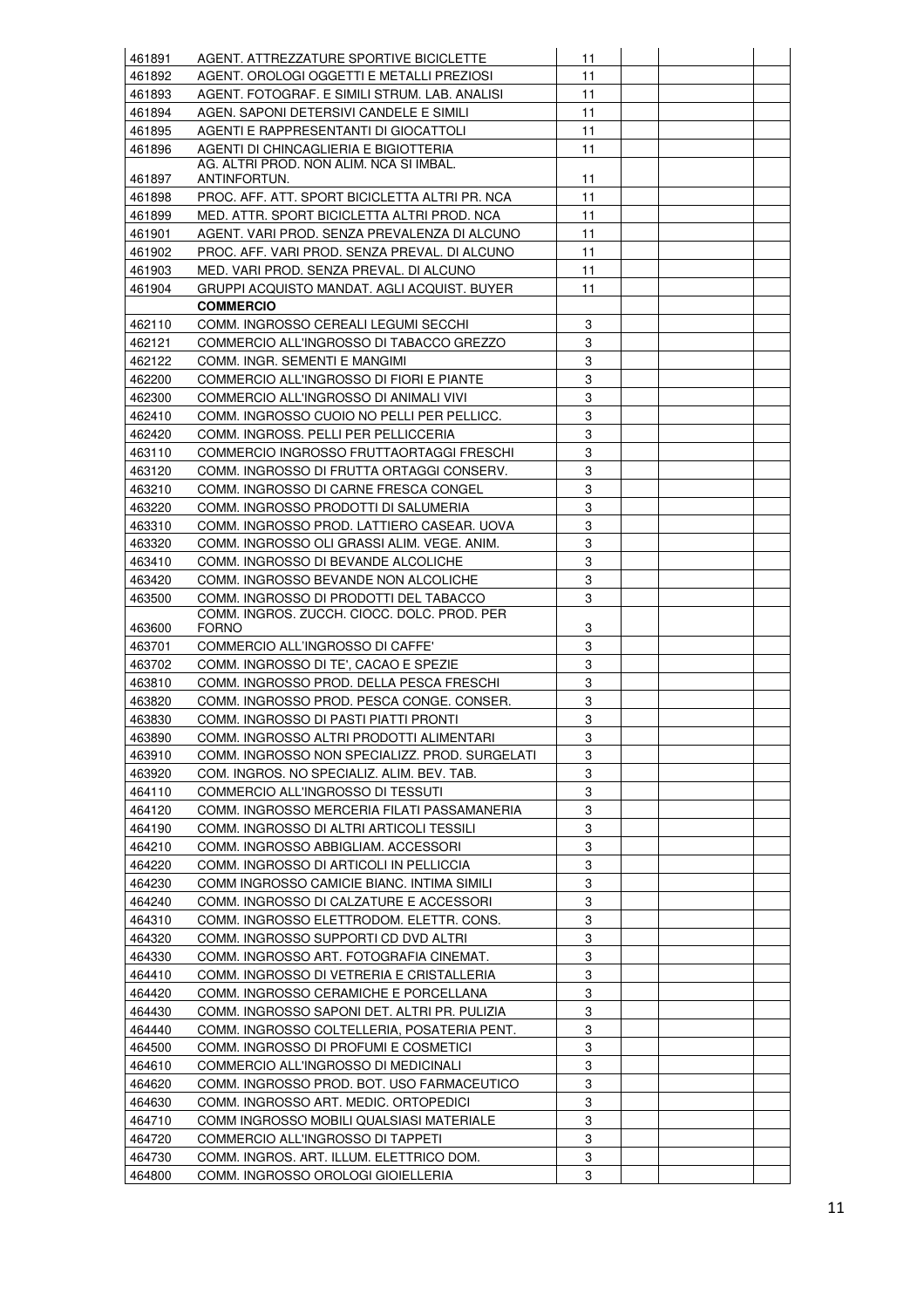| 461891 | AGENT. ATTREZZATURE SPORTIVE BICICLETTE                                                 | 11     |  |  |
|--------|-----------------------------------------------------------------------------------------|--------|--|--|
| 461892 | AGENT. OROLOGI OGGETTI E METALLI PREZIOSI                                               | 11     |  |  |
| 461893 | AGENT. FOTOGRAF. E SIMILI STRUM. LAB. ANALISI                                           | 11     |  |  |
| 461894 | AGEN. SAPONI DETERSIVI CANDELE E SIMILI                                                 | 11     |  |  |
| 461895 | AGENTI E RAPPRESENTANTI DI GIOCATTOLI                                                   | 11     |  |  |
| 461896 | AGENTI DI CHINCAGLIERIA E BIGIOTTERIA                                                   | 11     |  |  |
|        | AG. ALTRI PROD. NON ALIM. NCA SI IMBAL.                                                 |        |  |  |
| 461897 | ANTINFORTUN.                                                                            | 11     |  |  |
| 461898 | PROC. AFF. ATT. SPORT BICICLETTA ALTRI PR. NCA                                          | 11     |  |  |
| 461899 | MED. ATTR. SPORT BICICLETTA ALTRI PROD. NCA                                             | 11     |  |  |
| 461901 | AGENT. VARI PROD. SENZA PREVALENZA DI ALCUNO                                            | 11     |  |  |
| 461902 | PROC. AFF. VARI PROD. SENZA PREVAL. DI ALCUNO                                           | 11     |  |  |
| 461903 | MED. VARI PROD. SENZA PREVAL. DI ALCUNO                                                 | 11     |  |  |
| 461904 | GRUPPI ACQUISTO MANDAT. AGLI ACQUIST. BUYER                                             | 11     |  |  |
|        | <b>COMMERCIO</b>                                                                        |        |  |  |
| 462110 | COMM. INGROSSO CEREALI LEGUMI SECCHI                                                    | 3      |  |  |
| 462121 | COMMERCIO ALL'INGROSSO DI TABACCO GREZZO                                                | 3      |  |  |
| 462122 | COMM. INGR. SEMENTI E MANGIMI                                                           | 3      |  |  |
| 462200 | COMMERCIO ALL'INGROSSO DI FIORI E PIANTE                                                | 3      |  |  |
| 462300 | COMMERCIO ALL'INGROSSO DI ANIMALI VIVI                                                  | 3      |  |  |
| 462410 | COMM. INGROSSO CUOIO NO PELLI PER PELLICC.                                              | 3      |  |  |
| 462420 | COMM. INGROSS. PELLI PER PELLICCERIA                                                    | 3      |  |  |
| 463110 | COMMERCIO INGROSSO FRUTTAORTAGGI FRESCHI                                                | 3      |  |  |
| 463120 | COMM. INGROSSO DI FRUTTA ORTAGGI CONSERV.                                               | 3      |  |  |
| 463210 | COMM. INGROSSO DI CARNE FRESCA CONGEL                                                   | 3      |  |  |
| 463220 | COMM. INGROSSO PRODOTTI DI SALUMERIA                                                    | 3      |  |  |
| 463310 |                                                                                         | 3      |  |  |
|        | COMM. INGROSSO PROD. LATTIERO CASEAR. UOVA                                              |        |  |  |
| 463320 | COMM. INGROSSO OLI GRASSI ALIM. VEGE. ANIM.                                             | 3<br>3 |  |  |
| 463410 | COMM. INGROSSO DI BEVANDE ALCOLICHE                                                     |        |  |  |
| 463420 | COMM. INGROSSO BEVANDE NON ALCOLICHE                                                    | 3      |  |  |
| 463500 | COMM. INGROSSO DI PRODOTTI DEL TABACCO<br>COMM. INGROS. ZUCCH. CIOCC. DOLC. PROD. PER   | 3      |  |  |
| 463600 | <b>FORNO</b>                                                                            | 3      |  |  |
| 463701 | COMMERCIO ALL'INGROSSO DI CAFFE'                                                        | 3      |  |  |
| 463702 | COMM. INGROSSO DI TE', CACAO E SPEZIE                                                   | 3      |  |  |
| 463810 | COMM. INGROSSO PROD. DELLA PESCA FRESCHI                                                | 3      |  |  |
| 463820 | COMM. INGROSSO PROD. PESCA CONGE. CONSER.                                               | 3      |  |  |
| 463830 | COMM. INGROSSO DI PASTI PIATTI PRONTI                                                   | 3      |  |  |
| 463890 | COMM. INGROSSO ALTRI PRODOTTI ALIMENTARI                                                | 3      |  |  |
| 463910 | COMM. INGROSSO NON SPECIALIZZ. PROD. SURGELATI                                          | 3      |  |  |
| 463920 | COM. INGROS. NO SPECIALIZ. ALIM. BEV. TAB.                                              | 3      |  |  |
| 464110 | COMMERCIO ALL'INGROSSO DI TESSUTI                                                       | 3      |  |  |
| 464120 |                                                                                         | 3      |  |  |
|        | COMM. INGROSSO MERCERIA FILATI PASSAMANERIA<br>COMM. INGROSSO DI ALTRI ARTICOLI TESSILI | 3      |  |  |
| 464190 |                                                                                         | 3      |  |  |
| 464210 | COMM. INGROSSO ABBIGLIAM. ACCESSORI                                                     |        |  |  |
| 464220 | COMM. INGROSSO DI ARTICOLI IN PELLICCIA                                                 | 3      |  |  |
| 464230 | COMM INGROSSO CAMICIE BIANC. INTIMA SIMILI                                              | 3      |  |  |
| 464240 | COMM. INGROSSO DI CALZATURE E ACCESSORI                                                 | 3      |  |  |
| 464310 | COMM. INGROSSO ELETTRODOM. ELETTR. CONS.                                                | 3      |  |  |
| 464320 | COMM. INGROSSO SUPPORTI CD DVD ALTRI                                                    | 3      |  |  |
| 464330 | COMM. INGROSSO ART. FOTOGRAFIA CINEMAT.                                                 | 3      |  |  |
| 464410 | COMM. INGROSSO DI VETRERIA E CRISTALLERIA                                               | 3      |  |  |
| 464420 | COMM. INGROSSO CERAMICHE E PORCELLANA                                                   | 3      |  |  |
| 464430 | COMM. INGROSSO SAPONI DET. ALTRI PR. PULIZIA                                            | 3      |  |  |
| 464440 | COMM. INGROSSO COLTELLERIA, POSATERIA PENT.                                             | 3      |  |  |
| 464500 | COMM. INGROSSO DI PROFUMI E COSMETICI                                                   | 3      |  |  |
| 464610 | COMMERCIO ALL'INGROSSO DI MEDICINALI                                                    | 3      |  |  |
| 464620 | COMM. INGROSSO PROD. BOT. USO FARMACEUTICO                                              | 3      |  |  |
| 464630 | COMM. INGROSSO ART. MEDIC. ORTOPEDICI                                                   | 3      |  |  |
| 464710 | COMM INGROSSO MOBILI QUALSIASI MATERIALE                                                | 3      |  |  |
| 464720 | COMMERCIO ALL'INGROSSO DI TAPPETI                                                       | 3      |  |  |
| 464730 | COMM. INGROS. ART. ILLUM. ELETTRICO DOM.                                                | 3      |  |  |
| 464800 | COMM. INGROSSO OROLOGI GIOIELLERIA                                                      | 3      |  |  |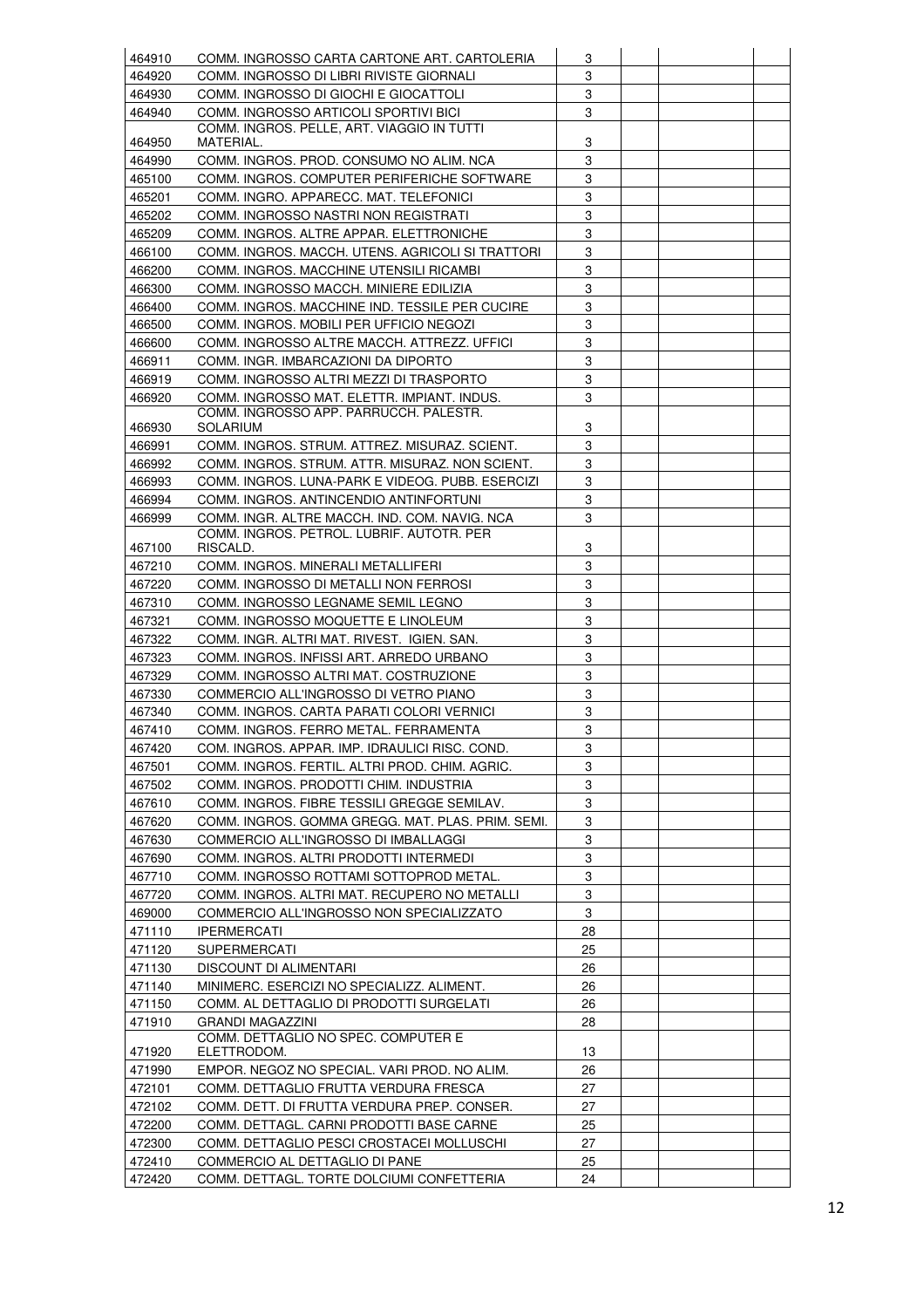| 464910 | COMM. INGROSSO CARTA CARTONE ART. CARTOLERIA      | 3  |  |  |
|--------|---------------------------------------------------|----|--|--|
| 464920 | COMM. INGROSSO DI LIBRI RIVISTE GIORNALI          | 3  |  |  |
| 464930 | COMM. INGROSSO DI GIOCHI E GIOCATTOLI             | 3  |  |  |
| 464940 | COMM. INGROSSO ARTICOLI SPORTIVI BICI             | 3  |  |  |
|        | COMM. INGROS. PELLE, ART. VIAGGIO IN TUTTI        |    |  |  |
| 464950 | MATERIAL.                                         | 3  |  |  |
| 464990 | COMM. INGROS. PROD. CONSUMO NO ALIM. NCA          | 3  |  |  |
| 465100 | COMM. INGROS. COMPUTER PERIFERICHE SOFTWARE       | 3  |  |  |
| 465201 | COMM. INGRO. APPARECC. MAT. TELEFONICI            | 3  |  |  |
| 465202 | COMM. INGROSSO NASTRI NON REGISTRATI              | 3  |  |  |
| 465209 | COMM. INGROS. ALTRE APPAR. ELETTRONICHE           | 3  |  |  |
| 466100 | COMM. INGROS. MACCH. UTENS. AGRICOLI SI TRATTORI  | 3  |  |  |
| 466200 | COMM. INGROS. MACCHINE UTENSILI RICAMBI           | 3  |  |  |
| 466300 | COMM. INGROSSO MACCH. MINIERE EDILIZIA            | 3  |  |  |
| 466400 | COMM. INGROS. MACCHINE IND. TESSILE PER CUCIRE    | 3  |  |  |
| 466500 | COMM. INGROS. MOBILI PER UFFICIO NEGOZI           | 3  |  |  |
| 466600 | COMM. INGROSSO ALTRE MACCH. ATTREZZ. UFFICI       | 3  |  |  |
| 466911 | COMM. INGR. IMBARCAZIONI DA DIPORTO               | 3  |  |  |
| 466919 | COMM. INGROSSO ALTRI MEZZI DI TRASPORTO           | 3  |  |  |
| 466920 | COMM. INGROSSO MAT. ELETTR. IMPIANT. INDUS.       | 3  |  |  |
|        | COMM. INGROSSO APP. PARRUCCH. PALESTR.            |    |  |  |
| 466930 | <b>SOLARIUM</b>                                   | 3  |  |  |
| 466991 | COMM. INGROS. STRUM. ATTREZ. MISURAZ. SCIENT.     | 3  |  |  |
| 466992 | COMM. INGROS. STRUM. ATTR. MISURAZ. NON SCIENT.   | 3  |  |  |
| 466993 | COMM. INGROS. LUNA-PARK E VIDEOG. PUBB. ESERCIZI  | 3  |  |  |
| 466994 | COMM. INGROS. ANTINCENDIO ANTINFORTUNI            | 3  |  |  |
| 466999 | COMM. INGR. ALTRE MACCH. IND. COM. NAVIG. NCA     | 3  |  |  |
|        | COMM. INGROS. PETROL. LUBRIF. AUTOTR. PER         |    |  |  |
| 467100 | RISCALD.                                          | 3  |  |  |
| 467210 | COMM. INGROS. MINERALI METALLIFERI                | 3  |  |  |
| 467220 | COMM. INGROSSO DI METALLI NON FERROSI             | 3  |  |  |
| 467310 | COMM. INGROSSO LEGNAME SEMIL LEGNO                | 3  |  |  |
| 467321 | COMM. INGROSSO MOQUETTE E LINOLEUM                | 3  |  |  |
| 467322 | COMM. INGR. ALTRI MAT. RIVEST. IGIEN. SAN.        | 3  |  |  |
| 467323 | COMM. INGROS. INFISSI ART. ARREDO URBANO          | 3  |  |  |
| 467329 | COMM. INGROSSO ALTRI MAT. COSTRUZIONE             | 3  |  |  |
| 467330 | COMMERCIO ALL'INGROSSO DI VETRO PIANO             | 3  |  |  |
| 467340 | COMM. INGROS. CARTA PARATI COLORI VERNICI         | 3  |  |  |
| 467410 | COMM. INGROS. FERRO METAL. FERRAMENTA             | 3  |  |  |
| 467420 | COM. INGROS. APPAR. IMP. IDRAULICI RISC. COND.    | 3  |  |  |
| 467501 | COMM. INGROS. FERTIL. ALTRI PROD. CHIM. AGRIC.    | 3  |  |  |
| 467502 | COMM. INGROS. PRODOTTI CHIM. INDUSTRIA            | 3  |  |  |
| 467610 | COMM. INGROS. FIBRE TESSILI GREGGE SEMILAV.       | 3  |  |  |
| 467620 | COMM. INGROS. GOMMA GREGG. MAT. PLAS. PRIM. SEMI. | 3  |  |  |
| 467630 | COMMERCIO ALL'INGROSSO DI IMBALLAGGI              | 3  |  |  |
| 467690 | COMM. INGROS. ALTRI PRODOTTI INTERMEDI            | 3  |  |  |
| 467710 | COMM. INGROSSO ROTTAMI SOTTOPROD METAL.           | 3  |  |  |
| 467720 | COMM. INGROS. ALTRI MAT. RECUPERO NO METALLI      | 3  |  |  |
| 469000 | COMMERCIO ALL'INGROSSO NON SPECIALIZZATO          | 3  |  |  |
| 471110 | <b>IPERMERCATI</b>                                | 28 |  |  |
| 471120 | <b>SUPERMERCATI</b>                               | 25 |  |  |
| 471130 | DISCOUNT DI ALIMENTARI                            | 26 |  |  |
| 471140 | MINIMERC. ESERCIZI NO SPECIALIZZ. ALIMENT.        | 26 |  |  |
| 471150 | COMM. AL DETTAGLIO DI PRODOTTI SURGELATI          | 26 |  |  |
| 471910 | <b>GRANDI MAGAZZINI</b>                           | 28 |  |  |
|        | COMM. DETTAGLIO NO SPEC. COMPUTER E               |    |  |  |
| 471920 | ELETTRODOM.                                       | 13 |  |  |
| 471990 | EMPOR. NEGOZ NO SPECIAL. VARI PROD. NO ALIM.      | 26 |  |  |
| 472101 | COMM. DETTAGLIO FRUTTA VERDURA FRESCA             | 27 |  |  |
| 472102 | COMM. DETT. DI FRUTTA VERDURA PREP. CONSER.       | 27 |  |  |
| 472200 | COMM. DETTAGL. CARNI PRODOTTI BASE CARNE          | 25 |  |  |
| 472300 | COMM. DETTAGLIO PESCI CROSTACEI MOLLUSCHI         | 27 |  |  |
| 472410 | COMMERCIO AL DETTAGLIO DI PANE                    | 25 |  |  |
| 472420 | COMM. DETTAGL. TORTE DOLCIUMI CONFETTERIA         | 24 |  |  |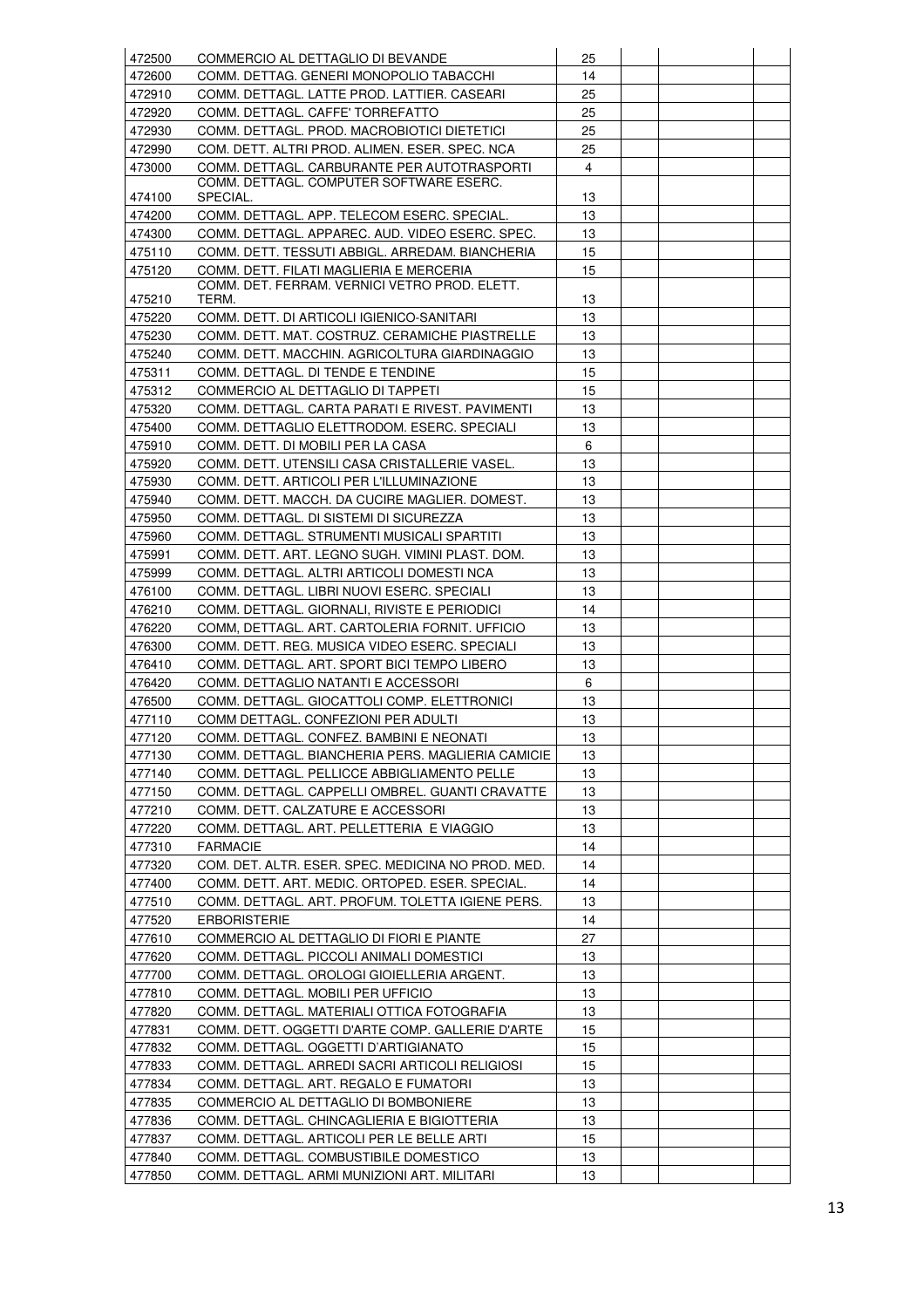| 472500 | COMMERCIO AL DETTAGLIO DI BEVANDE                  | 25 |  |  |
|--------|----------------------------------------------------|----|--|--|
| 472600 | COMM. DETTAG. GENERI MONOPOLIO TABACCHI            | 14 |  |  |
| 472910 | COMM. DETTAGL. LATTE PROD. LATTIER. CASEARI        | 25 |  |  |
| 472920 | COMM. DETTAGL. CAFFE' TORREFATTO                   | 25 |  |  |
| 472930 | COMM. DETTAGL. PROD. MACROBIOTICI DIETETICI        | 25 |  |  |
| 472990 | COM. DETT. ALTRI PROD. ALIMEN. ESER. SPEC. NCA     | 25 |  |  |
| 473000 | COMM. DETTAGL. CARBURANTE PER AUTOTRASPORTI        | 4  |  |  |
|        | COMM. DETTAGL. COMPUTER SOFTWARE ESERC.            |    |  |  |
| 474100 | SPECIAL.                                           | 13 |  |  |
| 474200 | COMM. DETTAGL. APP. TELECOM ESERC. SPECIAL.        | 13 |  |  |
| 474300 | COMM. DETTAGL. APPAREC. AUD. VIDEO ESERC. SPEC.    | 13 |  |  |
| 475110 | COMM. DETT. TESSUTI ABBIGL. ARREDAM. BIANCHERIA    | 15 |  |  |
| 475120 | COMM. DETT. FILATI MAGLIERIA E MERCERIA            | 15 |  |  |
|        | COMM. DET. FERRAM. VERNICI VETRO PROD. ELETT.      |    |  |  |
| 475210 | TERM.                                              | 13 |  |  |
| 475220 | COMM. DETT. DI ARTICOLI IGIENICO-SANITARI          | 13 |  |  |
| 475230 | COMM. DETT. MAT. COSTRUZ. CERAMICHE PIASTRELLE     | 13 |  |  |
| 475240 | COMM. DETT. MACCHIN. AGRICOLTURA GIARDINAGGIO      | 13 |  |  |
| 475311 | COMM. DETTAGL. DI TENDE E TENDINE                  | 15 |  |  |
| 475312 | COMMERCIO AL DETTAGLIO DI TAPPETI                  | 15 |  |  |
| 475320 | COMM. DETTAGL. CARTA PARATI E RIVEST. PAVIMENTI    | 13 |  |  |
| 475400 | COMM. DETTAGLIO ELETTRODOM. ESERC. SPECIALI        | 13 |  |  |
| 475910 | COMM. DETT. DI MOBILI PER LA CASA                  | 6  |  |  |
| 475920 | COMM. DETT. UTENSILI CASA CRISTALLERIE VASEL.      | 13 |  |  |
| 475930 | COMM. DETT. ARTICOLI PER L'ILLUMINAZIONE           | 13 |  |  |
| 475940 | COMM. DETT. MACCH. DA CUCIRE MAGLIER. DOMEST.      | 13 |  |  |
| 475950 | COMM. DETTAGL. DI SISTEMI DI SICUREZZA             | 13 |  |  |
| 475960 | COMM. DETTAGL. STRUMENTI MUSICALI SPARTITI         | 13 |  |  |
| 475991 | COMM. DETT. ART. LEGNO SUGH. VIMINI PLAST. DOM.    | 13 |  |  |
| 475999 | COMM. DETTAGL. ALTRI ARTICOLI DOMESTI NCA          | 13 |  |  |
| 476100 | COMM. DETTAGL. LIBRI NUOVI ESERC. SPECIALI         | 13 |  |  |
| 476210 | COMM. DETTAGL. GIORNALI, RIVISTE E PERIODICI       | 14 |  |  |
| 476220 | COMM, DETTAGL. ART. CARTOLERIA FORNIT. UFFICIO     | 13 |  |  |
| 476300 | COMM. DETT. REG. MUSICA VIDEO ESERC. SPECIALI      | 13 |  |  |
| 476410 | COMM. DETTAGL. ART. SPORT BICI TEMPO LIBERO        | 13 |  |  |
| 476420 | COMM. DETTAGLIO NATANTI E ACCESSORI                | 6  |  |  |
| 476500 | COMM. DETTAGL. GIOCATTOLI COMP. ELETTRONICI        | 13 |  |  |
| 477110 | COMM DETTAGL. CONFEZIONI PER ADULTI                | 13 |  |  |
| 477120 | COMM. DETTAGL. CONFEZ. BAMBINI E NEONATI           | 13 |  |  |
| 477130 | COMM. DETTAGL. BIANCHERIA PERS. MAGLIERIA CAMICIE  | 13 |  |  |
| 477140 | COMM. DETTAGL. PELLICCE ABBIGLIAMENTO PELLE        | 13 |  |  |
| 477150 | COMM. DETTAGL. CAPPELLI OMBREL. GUANTI CRAVATTE    | 13 |  |  |
| 477210 | COMM. DETT. CALZATURE E ACCESSORI                  | 13 |  |  |
| 477220 | COMM. DETTAGL. ART. PELLETTERIA E VIAGGIO          | 13 |  |  |
| 477310 | <b>FARMACIE</b>                                    | 14 |  |  |
| 477320 | COM. DET. ALTR. ESER. SPEC. MEDICINA NO PROD. MED. | 14 |  |  |
| 477400 | COMM. DETT. ART. MEDIC. ORTOPED. ESER. SPECIAL.    | 14 |  |  |
| 477510 | COMM. DETTAGL. ART. PROFUM. TOLETTA IGIENE PERS.   | 13 |  |  |
|        |                                                    |    |  |  |
| 477520 | <b>ERBORISTERIE</b>                                | 14 |  |  |
| 477610 | COMMERCIO AL DETTAGLIO DI FIORI E PIANTE           | 27 |  |  |
| 477620 | COMM. DETTAGL. PICCOLI ANIMALI DOMESTICI           | 13 |  |  |
| 477700 | COMM. DETTAGL. OROLOGI GIOIELLERIA ARGENT.         | 13 |  |  |
| 477810 | COMM. DETTAGL. MOBILI PER UFFICIO                  | 13 |  |  |
| 477820 | COMM. DETTAGL. MATERIALI OTTICA FOTOGRAFIA         | 13 |  |  |
| 477831 | COMM. DETT. OGGETTI D'ARTE COMP. GALLERIE D'ARTE   | 15 |  |  |
| 477832 | COMM. DETTAGL. OGGETTI D'ARTIGIANATO               | 15 |  |  |
| 477833 | COMM. DETTAGL. ARREDI SACRI ARTICOLI RELIGIOSI     | 15 |  |  |
| 477834 | COMM. DETTAGL. ART. REGALO E FUMATORI              | 13 |  |  |
| 477835 | COMMERCIO AL DETTAGLIO DI BOMBONIERE               | 13 |  |  |
| 477836 | COMM. DETTAGL. CHINCAGLIERIA E BIGIOTTERIA         | 13 |  |  |
| 477837 | COMM. DETTAGL. ARTICOLI PER LE BELLE ARTI          | 15 |  |  |
| 477840 | COMM. DETTAGL. COMBUSTIBILE DOMESTICO              | 13 |  |  |
| 477850 | COMM. DETTAGL. ARMI MUNIZIONI ART. MILITARI        | 13 |  |  |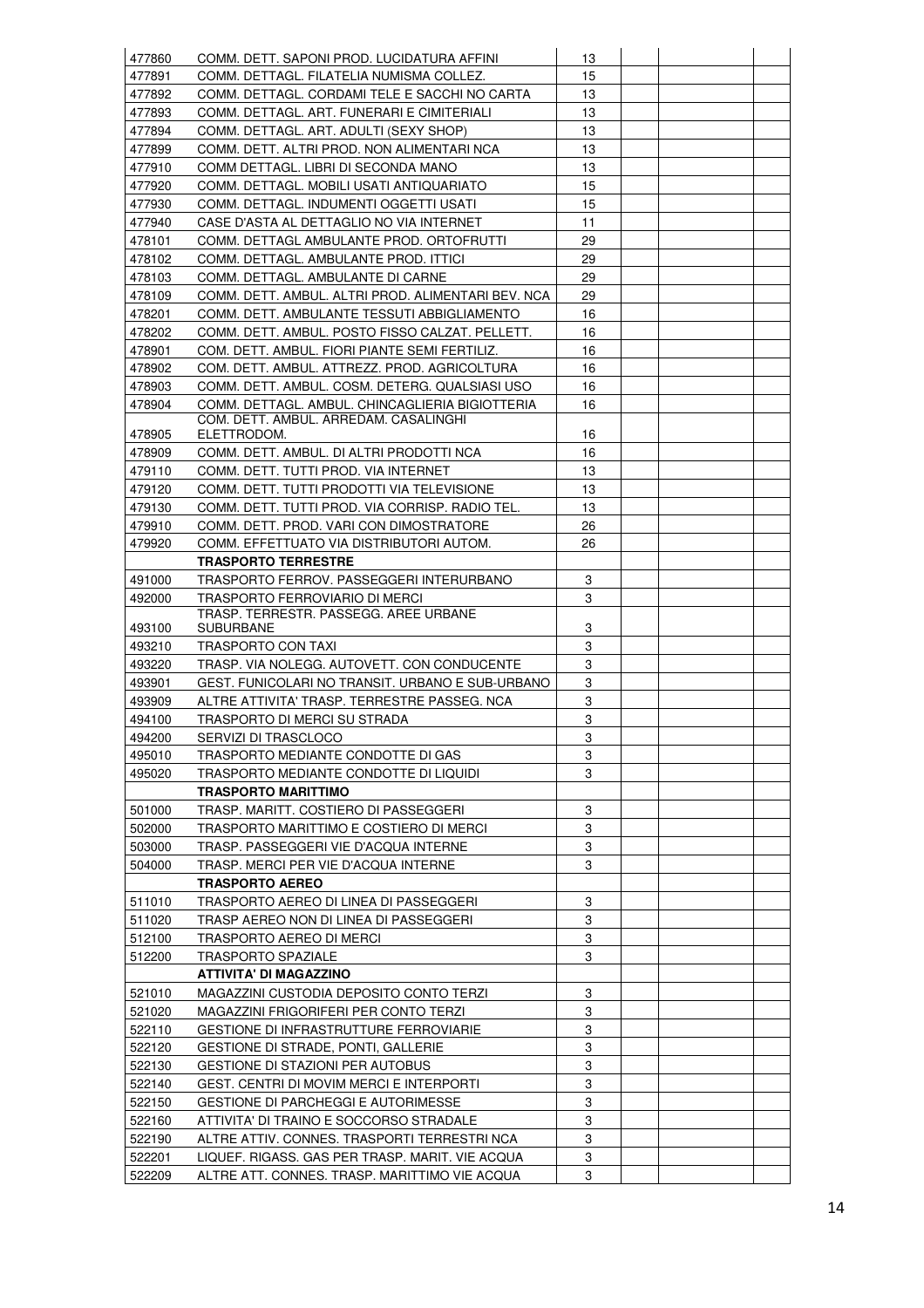| 477860           | COMM. DETT. SAPONI PROD. LUCIDATURA AFFINI                                                       | 13     |  |  |
|------------------|--------------------------------------------------------------------------------------------------|--------|--|--|
| 477891           | COMM. DETTAGL. FILATELIA NUMISMA COLLEZ.                                                         | 15     |  |  |
| 477892           | COMM. DETTAGL. CORDAMI TELE E SACCHI NO CARTA                                                    | 13     |  |  |
| 477893           | COMM. DETTAGL. ART. FUNERARI E CIMITERIALI                                                       | 13     |  |  |
| 477894           | COMM. DETTAGL. ART. ADULTI (SEXY SHOP)                                                           | 13     |  |  |
| 477899           | COMM. DETT. ALTRI PROD. NON ALIMENTARI NCA                                                       | 13     |  |  |
| 477910           | COMM DETTAGL. LIBRI DI SECONDA MANO                                                              | 13     |  |  |
| 477920           | COMM. DETTAGL. MOBILI USATI ANTIQUARIATO                                                         | 15     |  |  |
| 477930           | COMM. DETTAGL. INDUMENTI OGGETTI USATI                                                           | 15     |  |  |
| 477940           | CASE D'ASTA AL DETTAGLIO NO VIA INTERNET                                                         | 11     |  |  |
| 478101           | COMM. DETTAGL AMBULANTE PROD. ORTOFRUTTI                                                         | 29     |  |  |
| 478102           | COMM. DETTAGL. AMBULANTE PROD. ITTICI                                                            | 29     |  |  |
| 478103           | COMM. DETTAGL. AMBULANTE DI CARNE                                                                | 29     |  |  |
| 478109           | COMM. DETT. AMBUL. ALTRI PROD. ALIMENTARI BEV. NCA                                               | 29     |  |  |
| 478201           | COMM. DETT. AMBULANTE TESSUTI ABBIGLIAMENTO                                                      | 16     |  |  |
| 478202           | COMM. DETT. AMBUL. POSTO FISSO CALZAT. PELLETT.                                                  | 16     |  |  |
| 478901           | COM. DETT. AMBUL. FIORI PIANTE SEMI FERTILIZ.                                                    | 16     |  |  |
| 478902           | COM. DETT. AMBUL. ATTREZZ. PROD. AGRICOLTURA                                                     | 16     |  |  |
| 478903           | COMM. DETT. AMBUL. COSM. DETERG. QUALSIASI USO                                                   | 16     |  |  |
|                  |                                                                                                  |        |  |  |
| 478904           | COMM. DETTAGL. AMBUL. CHINCAGLIERIA BIGIOTTERIA<br>COM. DETT. AMBUL. ARREDAM. CASALINGHI         | 16     |  |  |
| 478905           | ELETTRODOM.                                                                                      | 16     |  |  |
| 478909           | COMM. DETT. AMBUL. DI ALTRI PRODOTTI NCA                                                         | 16     |  |  |
| 479110           | COMM. DETT. TUTTI PROD. VIA INTERNET                                                             | 13     |  |  |
| 479120           | COMM. DETT. TUTTI PRODOTTI VIA TELEVISIONE                                                       | 13     |  |  |
| 479130           | COMM. DETT. TUTTI PROD. VIA CORRISP. RADIO TEL.                                                  | 13     |  |  |
| 479910           | COMM. DETT. PROD. VARI CON DIMOSTRATORE                                                          | 26     |  |  |
| 479920           | COMM. EFFETTUATO VIA DISTRIBUTORI AUTOM.                                                         | 26     |  |  |
|                  | <b>TRASPORTO TERRESTRE</b>                                                                       |        |  |  |
| 491000           | TRASPORTO FERROV. PASSEGGERI INTERURBANO                                                         | 3      |  |  |
| 492000           | TRASPORTO FERROVIARIO DI MERCI                                                                   | 3      |  |  |
|                  | TRASP. TERRESTR. PASSEGG. AREE URBANE                                                            |        |  |  |
| 493100           | <b>SUBURBANE</b>                                                                                 | 3      |  |  |
| 493210           | TRASPORTO CON TAXI                                                                               | 3      |  |  |
| 493220           | TRASP. VIA NOLEGG. AUTOVETT. CON CONDUCENTE                                                      | 3      |  |  |
| 493901           | GEST. FUNICOLARI NO TRANSIT. URBANO E SUB-URBANO                                                 | 3      |  |  |
| 493909           | ALTRE ATTIVITA' TRASP. TERRESTRE PASSEG. NCA                                                     | 3      |  |  |
| 494100           | TRASPORTO DI MERCI SU STRADA                                                                     | 3      |  |  |
| 494200           | SERVIZI DI TRASCLOCO                                                                             | 3      |  |  |
| 495010           | TRASPORTO MEDIANTE CONDOTTE DI GAS                                                               | 3      |  |  |
| 495020           | TRASPORTO MEDIANTE CONDOTTE DI LIQUIDI                                                           | 3      |  |  |
|                  | <b>TRASPORTO MARITTIMO</b>                                                                       |        |  |  |
| 501000           | TRASP. MARITT. COSTIERO DI PASSEGGERI                                                            | 3      |  |  |
| 502000           | TRASPORTO MARITTIMO E COSTIERO DI MERCI                                                          | 3      |  |  |
| 503000           | TRASP. PASSEGGERI VIE D'ACQUA INTERNE                                                            | 3      |  |  |
| 504000           | TRASP. MERCI PER VIE D'ACQUA INTERNE                                                             | 3      |  |  |
|                  | <b>TRASPORTO AEREO</b>                                                                           |        |  |  |
| 511010           | TRASPORTO AEREO DI LINEA DI PASSEGGERI                                                           | 3      |  |  |
| 511020           | TRASP AEREO NON DI LINEA DI PASSEGGERI                                                           | 3      |  |  |
| 512100           | TRASPORTO AEREO DI MERCI                                                                         | 3      |  |  |
| 512200           | <b>TRASPORTO SPAZIALE</b>                                                                        | 3      |  |  |
|                  | <b>ATTIVITA' DI MAGAZZINO</b>                                                                    |        |  |  |
| 521010           | MAGAZZINI CUSTODIA DEPOSITO CONTO TERZI                                                          | 3      |  |  |
| 521020           | MAGAZZINI FRIGORIFERI PER CONTO TERZI                                                            | 3      |  |  |
| 522110           | GESTIONE DI INFRASTRUTTURE FERROVIARIE                                                           | 3      |  |  |
| 522120           | GESTIONE DI STRADE, PONTI, GALLERIE                                                              | 3      |  |  |
| 522130           | <b>GESTIONE DI STAZIONI PER AUTOBUS</b>                                                          | 3      |  |  |
| 522140           |                                                                                                  | 3      |  |  |
|                  |                                                                                                  |        |  |  |
|                  | GEST. CENTRI DI MOVIM MERCI E INTERPORTI                                                         |        |  |  |
| 522150           | <b>GESTIONE DI PARCHEGGI E AUTORIMESSE</b>                                                       | 3      |  |  |
| 522160           | ATTIVITA' DI TRAINO E SOCCORSO STRADALE                                                          | 3      |  |  |
| 522190           | ALTRE ATTIV. CONNES. TRASPORTI TERRESTRI NCA                                                     | 3      |  |  |
| 522201<br>522209 | LIQUEF. RIGASS. GAS PER TRASP. MARIT. VIE ACQUA<br>ALTRE ATT. CONNES. TRASP. MARITTIMO VIE ACQUA | 3<br>3 |  |  |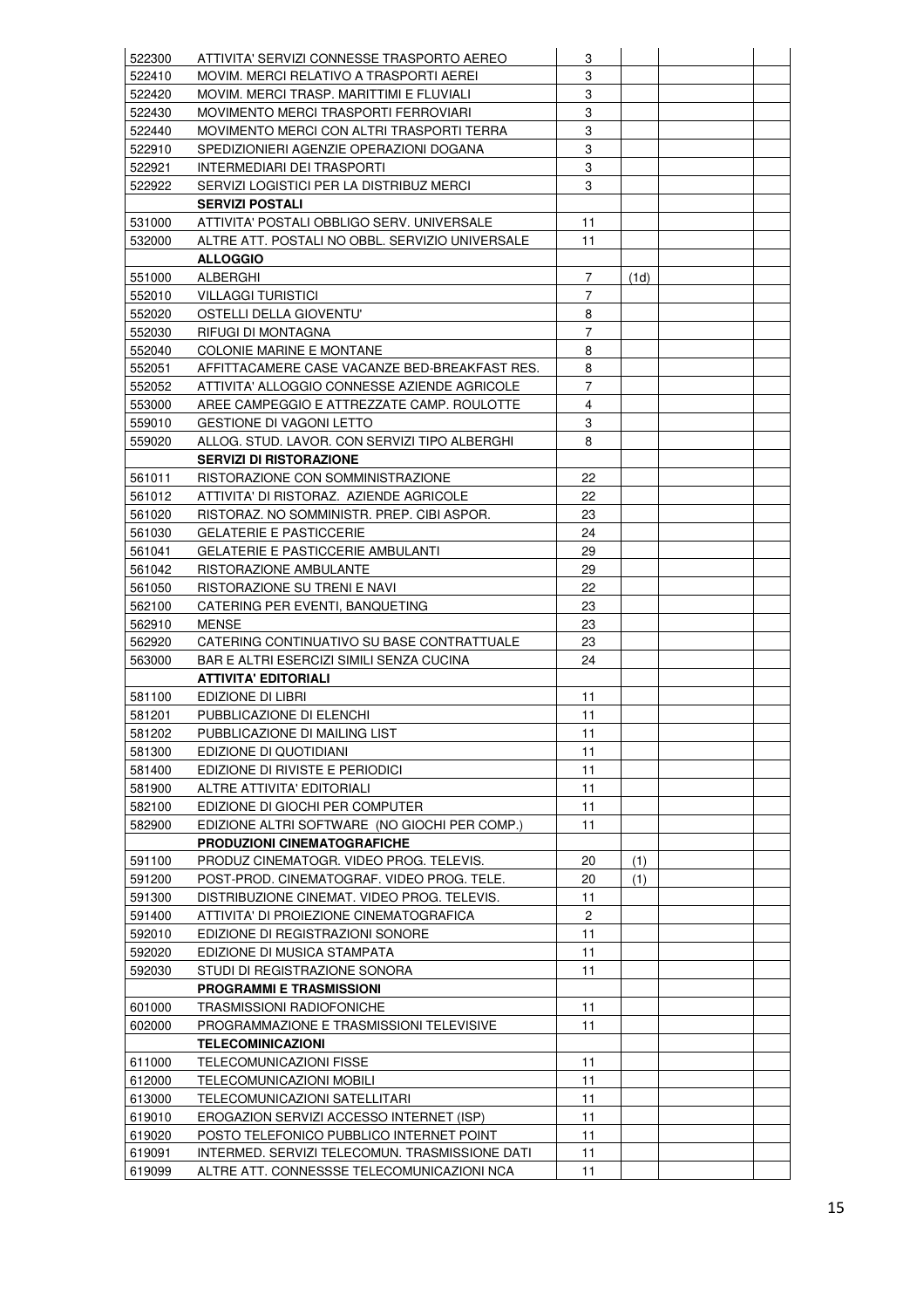| 522300 | ATTIVITA' SERVIZI CONNESSE TRASPORTO AEREO      | 3              |      |  |
|--------|-------------------------------------------------|----------------|------|--|
| 522410 | MOVIM. MERCI RELATIVO A TRASPORTI AEREI         | 3              |      |  |
| 522420 | MOVIM. MERCI TRASP. MARITTIMI E FLUVIALI        | 3              |      |  |
| 522430 | MOVIMENTO MERCI TRASPORTI FERROVIARI            | 3              |      |  |
| 522440 | MOVIMENTO MERCI CON ALTRI TRASPORTI TERRA       | 3              |      |  |
| 522910 | SPEDIZIONIERI AGENZIE OPERAZIONI DOGANA         | 3              |      |  |
| 522921 | INTERMEDIARI DEI TRASPORTI                      | 3              |      |  |
| 522922 | SERVIZI LOGISTICI PER LA DISTRIBUZ MERCI        | 3              |      |  |
|        | <b>SERVIZI POSTALI</b>                          |                |      |  |
| 531000 | ATTIVITA' POSTALI OBBLIGO SERV. UNIVERSALE      | 11             |      |  |
| 532000 | ALTRE ATT. POSTALI NO OBBL. SERVIZIO UNIVERSALE | 11             |      |  |
|        | <b>ALLOGGIO</b>                                 |                |      |  |
|        |                                                 |                |      |  |
| 551000 | ALBERGHI                                        | 7              | (1d) |  |
| 552010 | <b>VILLAGGI TURISTICI</b>                       | $\overline{7}$ |      |  |
| 552020 | OSTELLI DELLA GIOVENTU'                         | 8              |      |  |
| 552030 | RIFUGI DI MONTAGNA                              | $\overline{7}$ |      |  |
| 552040 | <b>COLONIE MARINE E MONTANE</b>                 | 8              |      |  |
| 552051 | AFFITTACAMERE CASE VACANZE BED-BREAKFAST RES.   | 8              |      |  |
| 552052 | ATTIVITA' ALLOGGIO CONNESSE AZIENDE AGRICOLE    | 7              |      |  |
| 553000 | AREE CAMPEGGIO E ATTREZZATE CAMP. ROULOTTE      | 4              |      |  |
| 559010 | <b>GESTIONE DI VAGONI LETTO</b>                 | 3              |      |  |
| 559020 | ALLOG. STUD. LAVOR. CON SERVIZI TIPO ALBERGHI   | 8              |      |  |
|        | <b>SERVIZI DI RISTORAZIONE</b>                  |                |      |  |
| 561011 | RISTORAZIONE CON SOMMINISTRAZIONE               | 22             |      |  |
| 561012 | ATTIVITA' DI RISTORAZ. AZIENDE AGRICOLE         | 22             |      |  |
| 561020 | RISTORAZ. NO SOMMINISTR. PREP. CIBI ASPOR.      | 23             |      |  |
| 561030 | <b>GELATERIE E PASTICCERIE</b>                  | 24             |      |  |
| 561041 | <b>GELATERIE E PASTICCERIE AMBULANTI</b>        | 29             |      |  |
| 561042 | RISTORAZIONE AMBULANTE                          | 29             |      |  |
| 561050 | <b>RISTORAZIONE SU TRENI E NAVI</b>             | 22             |      |  |
| 562100 | CATERING PER EVENTI, BANQUETING                 | 23             |      |  |
| 562910 | <b>MENSE</b>                                    | 23             |      |  |
| 562920 | CATERING CONTINUATIVO SU BASE CONTRATTUALE      | 23             |      |  |
| 563000 | <b>BAR E ALTRI ESERCIZI SIMILI SENZA CUCINA</b> | 24             |      |  |
|        | <b>ATTIVITA' EDITORIALI</b>                     |                |      |  |
| 581100 | EDIZIONE DI LIBRI                               | 11             |      |  |
| 581201 | PUBBLICAZIONE DI ELENCHI                        | 11             |      |  |
| 581202 | PUBBLICAZIONE DI MAILING LIST                   | 11             |      |  |
| 581300 | EDIZIONE DI QUOTIDIANI                          | 11             |      |  |
| 581400 | EDIZIONE DI RIVISTE E PERIODICI                 | 11             |      |  |
| 581900 | ALTRE ATTIVITA' EDITORIALI                      | 11             |      |  |
| 582100 | EDIZIONE DI GIOCHI PER COMPUTER                 | 11             |      |  |
| 582900 | EDIZIONE ALTRI SOFTWARE (NO GIOCHI PER COMP.)   | 11             |      |  |
|        | <b>PRODUZIONI CINEMATOGRAFICHE</b>              |                |      |  |
|        |                                                 |                |      |  |
| 591100 | PRODUZ CINEMATOGR. VIDEO PROG. TELEVIS.         | 20             | (1)  |  |
| 591200 | POST-PROD. CINEMATOGRAF. VIDEO PROG. TELE.      | 20             | (1)  |  |
| 591300 | DISTRIBUZIONE CINEMAT. VIDEO PROG. TELEVIS.     | 11             |      |  |
| 591400 | ATTIVITA' DI PROIEZIONE CINEMATOGRAFICA         | $\overline{2}$ |      |  |
| 592010 | EDIZIONE DI REGISTRAZIONI SONORE                | 11             |      |  |
| 592020 | EDIZIONE DI MUSICA STAMPATA                     | 11             |      |  |
| 592030 | STUDI DI REGISTRAZIONE SONORA                   | 11             |      |  |
|        | <b>PROGRAMMI E TRASMISSIONI</b>                 |                |      |  |
| 601000 | <b>TRASMISSIONI RADIOFONICHE</b>                | 11             |      |  |
| 602000 | PROGRAMMAZIONE E TRASMISSIONI TELEVISIVE        | 11             |      |  |
|        | <b>TELECOMINICAZIONI</b>                        |                |      |  |
| 611000 | <b>TELECOMUNICAZIONI FISSE</b>                  | 11             |      |  |
| 612000 | TELECOMUNICAZIONI MOBILI                        | 11             |      |  |
| 613000 | TELECOMUNICAZIONI SATELLITARI                   | 11             |      |  |
| 619010 | EROGAZION SERVIZI ACCESSO INTERNET (ISP)        | 11             |      |  |
| 619020 | POSTO TELEFONICO PUBBLICO INTERNET POINT        | 11             |      |  |
| 619091 | INTERMED. SERVIZI TELECOMUN. TRASMISSIONE DATI  | 11             |      |  |
|        |                                                 |                |      |  |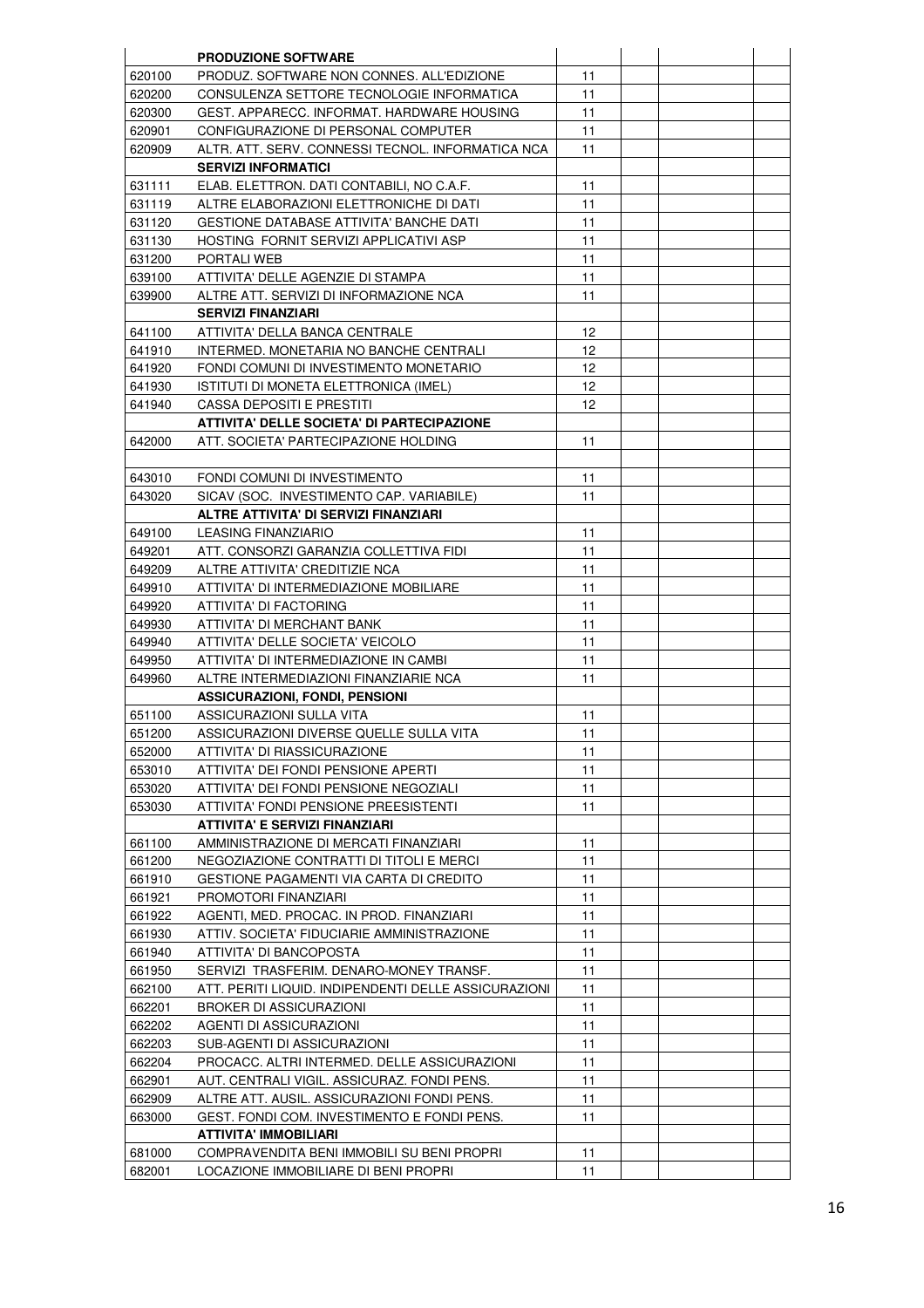|                  | <b>PRODUZIONE SOFTWARE</b>                                                                  |          |  |  |
|------------------|---------------------------------------------------------------------------------------------|----------|--|--|
| 620100           | PRODUZ. SOFTWARE NON CONNES. ALL'EDIZIONE                                                   | 11       |  |  |
| 620200           | CONSULENZA SETTORE TECNOLOGIE INFORMATICA                                                   | 11       |  |  |
| 620300           | GEST. APPARECC. INFORMAT. HARDWARE HOUSING                                                  | 11       |  |  |
| 620901           | CONFIGURAZIONE DI PERSONAL COMPUTER                                                         | 11       |  |  |
| 620909           | ALTR. ATT. SERV. CONNESSI TECNOL. INFORMATICA NCA                                           | 11       |  |  |
|                  | <b>SERVIZI INFORMATICI</b>                                                                  |          |  |  |
| 631111           | ELAB. ELETTRON. DATI CONTABILI, NO C.A.F.                                                   | 11       |  |  |
| 631119           | ALTRE ELABORAZIONI ELETTRONICHE DI DATI                                                     | 11       |  |  |
| 631120           | GESTIONE DATABASE ATTIVITA' BANCHE DATI                                                     | 11       |  |  |
| 631130           | HOSTING FORNIT SERVIZI APPLICATIVI ASP                                                      | 11       |  |  |
| 631200           | <b>PORTALI WEB</b>                                                                          | 11       |  |  |
| 639100           | ATTIVITA' DELLE AGENZIE DI STAMPA                                                           | 11       |  |  |
| 639900           | ALTRE ATT. SERVIZI DI INFORMAZIONE NCA                                                      | 11       |  |  |
|                  | <b>SERVIZI FINANZIARI</b>                                                                   |          |  |  |
| 641100           | ATTIVITA' DELLA BANCA CENTRALE                                                              | 12       |  |  |
| 641910           | INTERMED. MONETARIA NO BANCHE CENTRALI                                                      | 12       |  |  |
| 641920           | FONDI COMUNI DI INVESTIMENTO MONETARIO                                                      | 12       |  |  |
| 641930           | ISTITUTI DI MONETA ELETTRONICA (IMEL)                                                       | 12       |  |  |
| 641940           | CASSA DEPOSITI E PRESTITI                                                                   | 12       |  |  |
|                  | ATTIVITA' DELLE SOCIETA' DI PARTECIPAZIONE                                                  |          |  |  |
| 642000           | ATT. SOCIETA' PARTECIPAZIONE HOLDING                                                        | 11       |  |  |
|                  |                                                                                             |          |  |  |
| 643010           | FONDI COMUNI DI INVESTIMENTO                                                                | 11       |  |  |
| 643020           | SICAV (SOC. INVESTIMENTO CAP. VARIABILE)                                                    | 11       |  |  |
|                  | ALTRE ATTIVITA' DI SERVIZI FINANZIARI                                                       |          |  |  |
| 649100           | <b>LEASING FINANZIARIO</b>                                                                  | 11       |  |  |
| 649201           | ATT. CONSORZI GARANZIA COLLETTIVA FIDI                                                      | 11       |  |  |
| 649209           | ALTRE ATTIVITA' CREDITIZIE NCA                                                              | 11       |  |  |
| 649910           | ATTIVITA' DI INTERMEDIAZIONE MOBILIARE                                                      | 11       |  |  |
| 649920           | ATTIVITA' DI FACTORING                                                                      | 11       |  |  |
| 649930           | ATTIVITA' DI MERCHANT BANK                                                                  | 11       |  |  |
| 649940           | ATTIVITA' DELLE SOCIETA' VEICOLO                                                            | 11       |  |  |
| 649950           | ATTIVITA' DI INTERMEDIAZIONE IN CAMBI                                                       | 11       |  |  |
| 649960           | ALTRE INTERMEDIAZIONI FINANZIARIE NCA                                                       | 11       |  |  |
|                  | <b>ASSICURAZIONI, FONDI, PENSIONI</b>                                                       |          |  |  |
| 651100           | ASSICURAZIONI SULLA VITA                                                                    | 11       |  |  |
| 651200           | ASSICURAZIONI DIVERSE QUELLE SULLA VITA                                                     | 11       |  |  |
| 652000           | ATTIVITA' DI RIASSICURAZIONE                                                                | 11       |  |  |
| 653010           | ATTIVITA' DEI FONDI PENSIONE APERTI                                                         | 11       |  |  |
| 653020           | ATTIVITA' DEI FONDI PENSIONE NEGOZIALI                                                      | 11       |  |  |
| 653030           | ATTIVITA' FONDI PENSIONE PREESISTENTI                                                       | 11       |  |  |
|                  | <b>ATTIVITA' E SERVIZI FINANZIARI</b>                                                       |          |  |  |
| 661100           | AMMINISTRAZIONE DI MERCATI FINANZIARI                                                       | 11       |  |  |
| 661200           | NEGOZIAZIONE CONTRATTI DI TITOLI E MERCI                                                    | 11       |  |  |
| 661910           | GESTIONE PAGAMENTI VIA CARTA DI CREDITO                                                     | 11       |  |  |
| 661921           | PROMOTORI FINANZIARI                                                                        | 11       |  |  |
| 661922           | AGENTI, MED. PROCAC. IN PROD. FINANZIARI                                                    | 11       |  |  |
| 661930           | ATTIV. SOCIETA' FIDUCIARIE AMMINISTRAZIONE                                                  | 11       |  |  |
| 661940           | ATTIVITA' DI BANCOPOSTA                                                                     | 11       |  |  |
| 661950           | SERVIZI TRASFERIM. DENARO-MONEY TRANSF.                                                     | 11       |  |  |
| 662100           | ATT. PERITI LIQUID. INDIPENDENTI DELLE ASSICURAZIONI                                        | 11       |  |  |
| 662201           | <b>BROKER DI ASSICURAZIONI</b>                                                              | 11       |  |  |
| 662202           | AGENTI DI ASSICURAZIONI                                                                     | 11       |  |  |
|                  |                                                                                             |          |  |  |
| 662203<br>662204 | SUB-AGENTI DI ASSICURAZIONI                                                                 | 11<br>11 |  |  |
| 662901           | PROCACC. ALTRI INTERMED. DELLE ASSICURAZIONI<br>AUT. CENTRALI VIGIL. ASSICURAZ. FONDI PENS. | 11       |  |  |
| 662909           | ALTRE ATT. AUSIL. ASSICURAZIONI FONDI PENS.                                                 | 11       |  |  |
|                  |                                                                                             | 11       |  |  |
| 663000           | GEST. FONDI COM. INVESTIMENTO E FONDI PENS.                                                 |          |  |  |
|                  | ATTIVITA' IMMOBILIARI                                                                       |          |  |  |
| 681000           | COMPRAVENDITA BENI IMMOBILI SU BENI PROPRI                                                  | 11       |  |  |
| 682001           | LOCAZIONE IMMOBILIARE DI BENI PROPRI                                                        | 11       |  |  |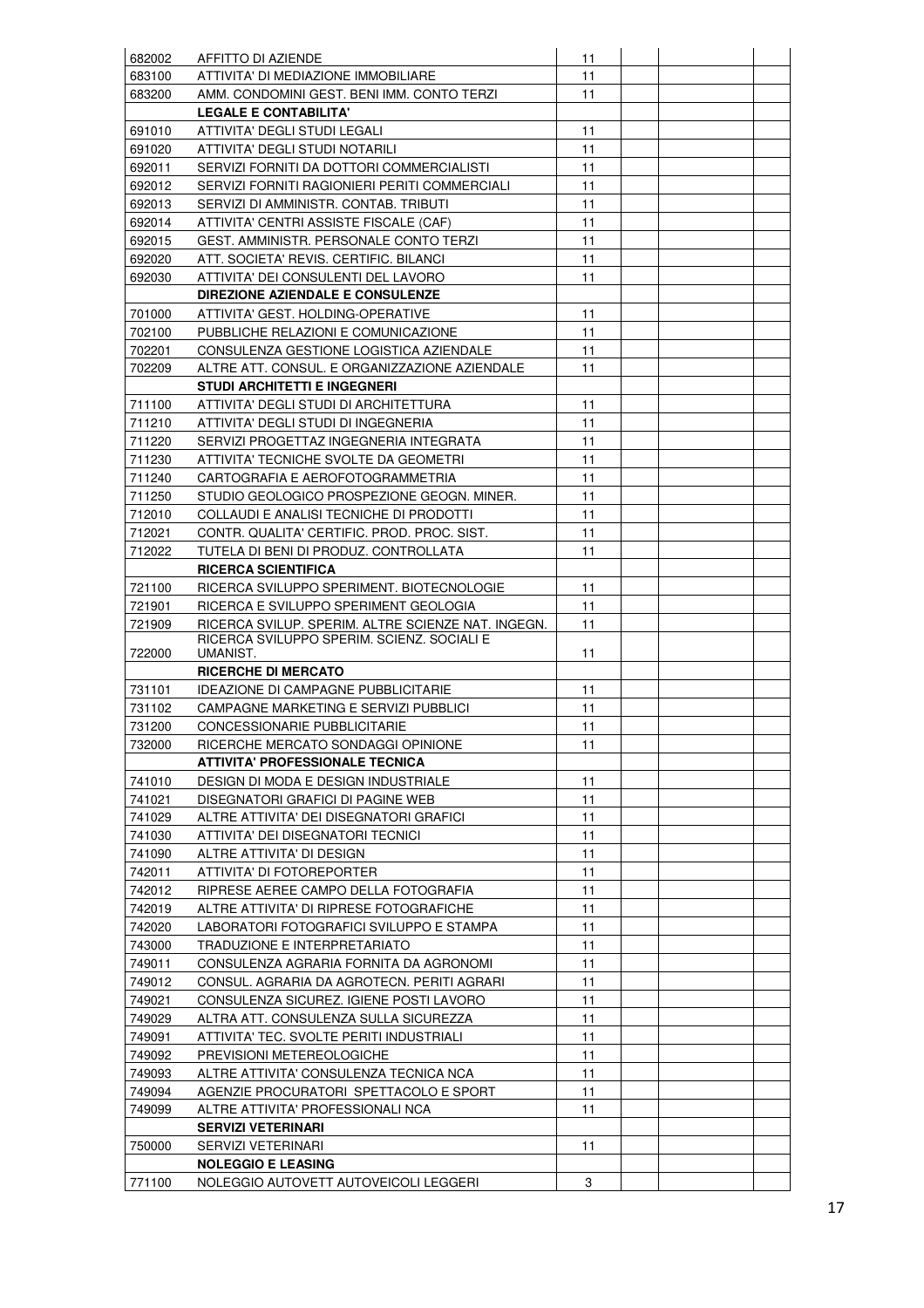| 682002           | AFFITTO DI AZIENDE                                                                    | 11       |  |  |
|------------------|---------------------------------------------------------------------------------------|----------|--|--|
| 683100           | ATTIVITA' DI MEDIAZIONE IMMOBILIARE                                                   | 11       |  |  |
| 683200           | AMM. CONDOMINI GEST. BENI IMM. CONTO TERZI                                            | 11       |  |  |
|                  | <b>LEGALE E CONTABILITA'</b>                                                          |          |  |  |
| 691010           | ATTIVITA' DEGLI STUDI LEGALI                                                          | 11       |  |  |
| 691020           | ATTIVITA' DEGLI STUDI NOTARILI                                                        | 11       |  |  |
| 692011           | SERVIZI FORNITI DA DOTTORI COMMERCIALISTI                                             | 11       |  |  |
| 692012           | SERVIZI FORNITI RAGIONIERI PERITI COMMERCIALI                                         | 11       |  |  |
| 692013           | SERVIZI DI AMMINISTR. CONTAB. TRIBUTI                                                 | 11       |  |  |
| 692014           | ATTIVITA' CENTRI ASSISTE FISCALE (CAF)                                                | 11       |  |  |
| 692015           | GEST. AMMINISTR. PERSONALE CONTO TERZI                                                | 11       |  |  |
| 692020           | ATT. SOCIETA' REVIS. CERTIFIC. BILANCI                                                | 11       |  |  |
| 692030           | ATTIVITA' DEI CONSULENTI DEL LAVORO                                                   | 11       |  |  |
|                  | DIREZIONE AZIENDALE E CONSULENZE                                                      |          |  |  |
| 701000           | ATTIVITA' GEST. HOLDING-OPERATIVE                                                     | 11       |  |  |
| 702100           | PUBBLICHE RELAZIONI E COMUNICAZIONE                                                   | 11       |  |  |
| 702201           | CONSULENZA GESTIONE LOGISTICA AZIENDALE                                               | 11       |  |  |
| 702209           | ALTRE ATT. CONSUL. E ORGANIZZAZIONE AZIENDALE                                         | 11       |  |  |
|                  | <b>STUDI ARCHITETTI E INGEGNERI</b>                                                   |          |  |  |
| 711100           | ATTIVITA' DEGLI STUDI DI ARCHITETTURA                                                 | 11       |  |  |
| 711210           | ATTIVITA' DEGLI STUDI DI INGEGNERIA                                                   | 11       |  |  |
| 711220           | SERVIZI PROGETTAZ INGEGNERIA INTEGRATA                                                | 11       |  |  |
| 711230           | ATTIVITA' TECNICHE SVOLTE DA GEOMETRI                                                 | 11       |  |  |
| 711240           | CARTOGRAFIA E AEROFOTOGRAMMETRIA                                                      | 11       |  |  |
| 711250           | STUDIO GEOLOGICO PROSPEZIONE GEOGN. MINER.                                            | 11       |  |  |
| 712010           | COLLAUDI E ANALISI TECNICHE DI PRODOTTI                                               | 11       |  |  |
| 712021           | CONTR. QUALITA' CERTIFIC. PROD. PROC. SIST.                                           | 11       |  |  |
| 712022           | TUTELA DI BENI DI PRODUZ. CONTROLLATA                                                 | 11       |  |  |
|                  | <b>RICERCA SCIENTIFICA</b>                                                            |          |  |  |
| 721100           | RICERCA SVILUPPO SPERIMENT. BIOTECNOLOGIE                                             | 11       |  |  |
| 721901           | RICERCA E SVILUPPO SPERIMENT GEOLOGIA                                                 | 11       |  |  |
| 721909           | RICERCA SVILUP. SPERIM. ALTRE SCIENZE NAT. INGEGN.                                    | 11       |  |  |
|                  | RICERCA SVILUPPO SPERIM. SCIENZ. SOCIALI E                                            |          |  |  |
| 722000           | UMANIST.                                                                              | 11       |  |  |
|                  | <b>RICERCHE DI MERCATO</b>                                                            |          |  |  |
| 731101           | <b>IDEAZIONE DI CAMPAGNE PUBBLICITARIE</b>                                            | 11       |  |  |
| 731102           | CAMPAGNE MARKETING E SERVIZI PUBBLICI                                                 | 11       |  |  |
| 731200           | CONCESSIONARIE PUBBLICITARIE                                                          | 11       |  |  |
| 732000           | RICERCHE MERCATO SONDAGGI OPINIONE                                                    | 11       |  |  |
|                  | <b>ATTIVITA' PROFESSIONALE TECNICA</b>                                                |          |  |  |
| 741010           | <b>DESIGN DI MODA E DESIGN INDUSTRIALE</b>                                            | 11       |  |  |
| 741021           | DISEGNATORI GRAFICI DI PAGINE WEB                                                     | 11       |  |  |
| 741029           | ALTRE ATTIVITA' DEI DISEGNATORI GRAFICI                                               | 11       |  |  |
| 741030<br>741090 | ATTIVITA' DEI DISEGNATORI TECNICI                                                     | 11       |  |  |
|                  | ALTRE ATTIVITA' DI DESIGN<br>ATTIVITA' DI FOTOREPORTER                                | 11       |  |  |
| 742011           |                                                                                       | 11       |  |  |
| 742012<br>742019 | RIPRESE AEREE CAMPO DELLA FOTOGRAFIA<br>ALTRE ATTIVITA' DI RIPRESE FOTOGRAFICHE       | 11       |  |  |
|                  | LABORATORI FOTOGRAFICI SVILUPPO E STAMPA                                              | 11       |  |  |
| 742020           |                                                                                       | 11       |  |  |
| 743000           | TRADUZIONE E INTERPRETARIATO                                                          | 11       |  |  |
| 749011           | CONSULENZA AGRARIA FORNITA DA AGRONOMI                                                | 11<br>11 |  |  |
| 749012<br>749021 | CONSUL. AGRARIA DA AGROTECN. PERITI AGRARI<br>CONSULENZA SICUREZ. IGIENE POSTI LAVORO | 11       |  |  |
| 749029           |                                                                                       | 11       |  |  |
| 749091           | ALTRA ATT. CONSULENZA SULLA SICUREZZA<br>ATTIVITA' TEC. SVOLTE PERITI INDUSTRIALI     | 11       |  |  |
| 749092           | PREVISIONI METEREOLOGICHE                                                             | 11       |  |  |
| 749093           | ALTRE ATTIVITA' CONSULENZA TECNICA NCA                                                | 11       |  |  |
| 749094           | AGENZIE PROCURATORI SPETTACOLO E SPORT                                                | 11       |  |  |
| 749099           | ALTRE ATTIVITA' PROFESSIONALI NCA                                                     | 11       |  |  |
|                  | <b>SERVIZI VETERINARI</b>                                                             |          |  |  |
| 750000           | SERVIZI VETERINARI                                                                    | 11       |  |  |
|                  | <b>NOLEGGIO E LEASING</b>                                                             |          |  |  |
| 771100           | NOLEGGIO AUTOVETT AUTOVEICOLI LEGGERI                                                 | 3        |  |  |
|                  |                                                                                       |          |  |  |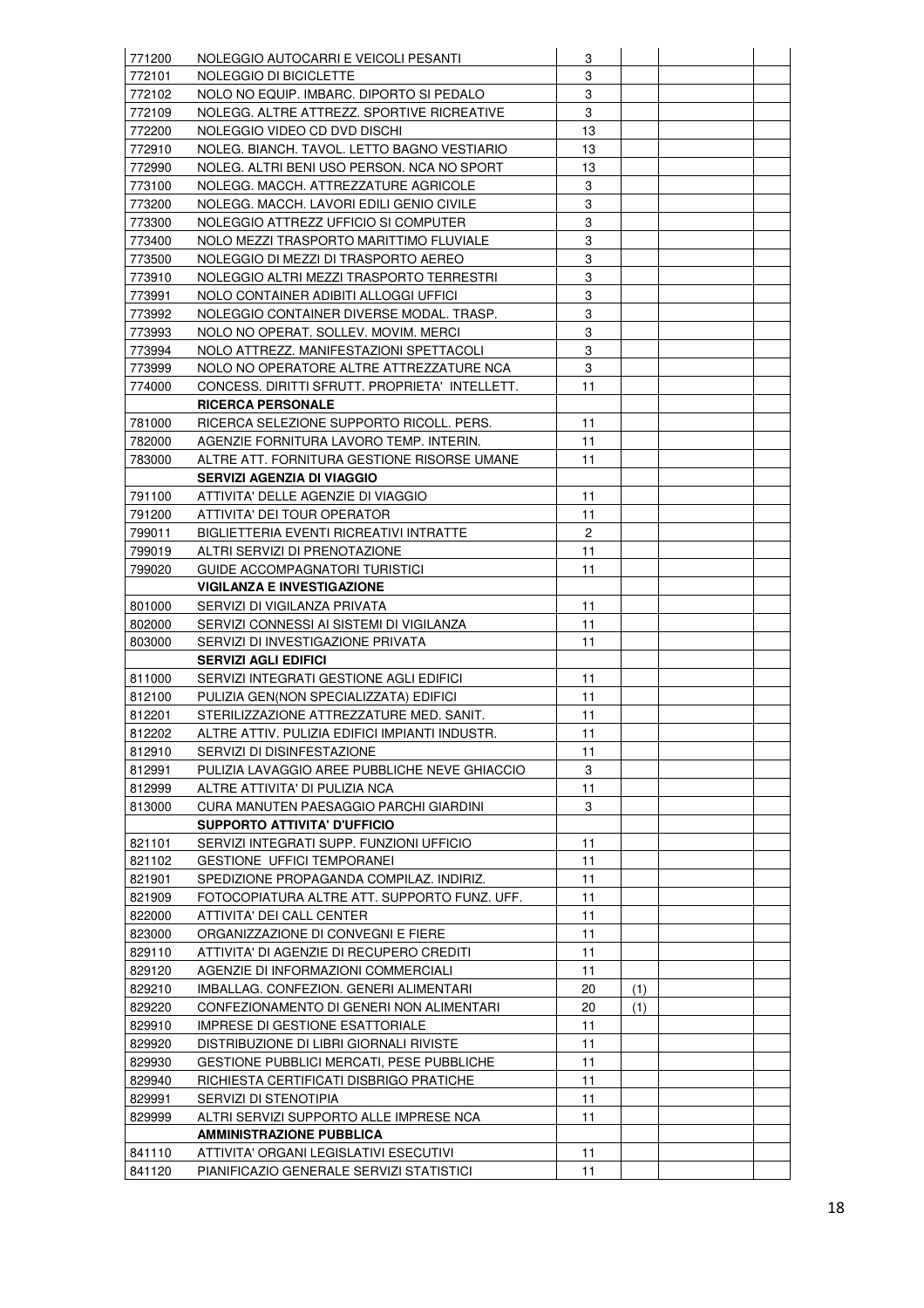| 771200 | NOLEGGIO AUTOCARRI E VEICOLI PESANTI           | 3            |     |  |
|--------|------------------------------------------------|--------------|-----|--|
| 772101 | NOLEGGIO DI BICICLETTE                         | 3            |     |  |
| 772102 | NOLO NO EQUIP. IMBARC. DIPORTO SI PEDALO       | 3            |     |  |
| 772109 | NOLEGG. ALTRE ATTREZZ. SPORTIVE RICREATIVE     | 3            |     |  |
| 772200 | NOLEGGIO VIDEO CD DVD DISCHI                   | 13           |     |  |
| 772910 | NOLEG. BIANCH. TAVOL. LETTO BAGNO VESTIARIO    | 13           |     |  |
| 772990 | NOLEG. ALTRI BENI USO PERSON. NCA NO SPORT     | 13           |     |  |
| 773100 | NOLEGG. MACCH. ATTREZZATURE AGRICOLE           | 3            |     |  |
|        | NOLEGG. MACCH. LAVORI EDILI GENIO CIVILE       | 3            |     |  |
| 773200 |                                                | 3            |     |  |
| 773300 | NOLEGGIO ATTREZZ UFFICIO SI COMPUTER           | 3            |     |  |
| 773400 | NOLO MEZZI TRASPORTO MARITTIMO FLUVIALE        |              |     |  |
| 773500 | NOLEGGIO DI MEZZI DI TRASPORTO AEREO           | 3            |     |  |
| 773910 | NOLEGGIO ALTRI MEZZI TRASPORTO TERRESTRI       | 3            |     |  |
| 773991 | NOLO CONTAINER ADIBITI ALLOGGI UFFICI          | 3            |     |  |
| 773992 | NOLEGGIO CONTAINER DIVERSE MODAL. TRASP.       | 3            |     |  |
| 773993 | NOLO NO OPERAT. SOLLEV. MOVIM. MERCI           | 3            |     |  |
| 773994 | NOLO ATTREZZ. MANIFESTAZIONI SPETTACOLI        | 3            |     |  |
| 773999 | NOLO NO OPERATORE ALTRE ATTREZZATURE NCA       | 3            |     |  |
| 774000 | CONCESS, DIRITTI SFRUTT, PROPRIETA' INTELLETT. | 11           |     |  |
|        | <b>RICERCA PERSONALE</b>                       |              |     |  |
| 781000 | RICERCA SELEZIONE SUPPORTO RICOLL, PERS.       | 11           |     |  |
| 782000 | AGENZIE FORNITURA LAVORO TEMP. INTERIN.        | 11           |     |  |
| 783000 | ALTRE ATT. FORNITURA GESTIONE RISORSE UMANE    | 11           |     |  |
|        | SERVIZI AGENZIA DI VIAGGIO                     |              |     |  |
| 791100 | ATTIVITA' DELLE AGENZIE DI VIAGGIO             | 11           |     |  |
| 791200 | ATTIVITA' DEI TOUR OPERATOR                    | 11           |     |  |
| 799011 | BIGLIETTERIA EVENTI RICREATIVI INTRATTE        | $\mathbf{2}$ |     |  |
| 799019 | ALTRI SERVIZI DI PRENOTAZIONE                  | 11           |     |  |
| 799020 | GUIDE ACCOMPAGNATORI TURISTICI                 | 11           |     |  |
|        | <b>VIGILANZA E INVESTIGAZIONE</b>              |              |     |  |
| 801000 | SERVIZI DI VIGILANZA PRIVATA                   | 11           |     |  |
| 802000 | SERVIZI CONNESSI AI SISTEMI DI VIGILANZA       | 11           |     |  |
| 803000 | SERVIZI DI INVESTIGAZIONE PRIVATA              | 11           |     |  |
|        | <b>SERVIZI AGLI EDIFICI</b>                    |              |     |  |
| 811000 | SERVIZI INTEGRATI GESTIONE AGLI EDIFICI        | 11           |     |  |
| 812100 | PULIZIA GEN(NON SPECIALIZZATA) EDIFICI         | 11           |     |  |
| 812201 | STERILIZZAZIONE ATTREZZATURE MED. SANIT.       | 11           |     |  |
| 812202 | ALTRE ATTIV. PULIZIA EDIFICI IMPIANTI INDUSTR. | 11           |     |  |
| 812910 | SERVIZI DI DISINFESTAZIONE                     | 11           |     |  |
| 812991 | PULIZIA LAVAGGIO AREE PUBBLICHE NEVE GHIACCIO  | 3            |     |  |
| 812999 | ALTRE ATTIVITA' DI PULIZIA NCA                 | 11           |     |  |
| 813000 | CURA MANUTEN PAESAGGIO PARCHI GIARDINI         | 3            |     |  |
|        | <b>SUPPORTO ATTIVITA' D'UFFICIO</b>            |              |     |  |
| 821101 | SERVIZI INTEGRATI SUPP. FUNZIONI UFFICIO       | 11           |     |  |
| 821102 | <b>GESTIONE UFFICI TEMPORANEI</b>              | 11           |     |  |
| 821901 | SPEDIZIONE PROPAGANDA COMPILAZ. INDIRIZ.       | 11           |     |  |
| 821909 | FOTOCOPIATURA ALTRE ATT. SUPPORTO FUNZ. UFF.   | 11           |     |  |
| 822000 | ATTIVITA' DEI CALL CENTER                      | 11           |     |  |
| 823000 | ORGANIZZAZIONE DI CONVEGNI E FIERE             | 11           |     |  |
| 829110 | ATTIVITA' DI AGENZIE DI RECUPERO CREDITI       | 11           |     |  |
|        |                                                |              |     |  |
| 829120 | AGENZIE DI INFORMAZIONI COMMERCIALI            | 11           |     |  |
| 829210 | IMBALLAG. CONFEZION. GENERI ALIMENTARI         | 20           | (1) |  |
| 829220 | CONFEZIONAMENTO DI GENERI NON ALIMENTARI       | 20           | (1) |  |
| 829910 | <b>IMPRESE DI GESTIONE ESATTORIALE</b>         | 11           |     |  |
| 829920 | DISTRIBUZIONE DI LIBRI GIORNALI RIVISTE        | 11           |     |  |
| 829930 | GESTIONE PUBBLICI MERCATI, PESE PUBBLICHE      | 11           |     |  |
| 829940 | RICHIESTA CERTIFICATI DISBRIGO PRATICHE        | 11           |     |  |
| 829991 | SERVIZI DI STENOTIPIA                          | 11           |     |  |
| 829999 | ALTRI SERVIZI SUPPORTO ALLE IMPRESE NCA        | 11           |     |  |
|        | <b>AMMINISTRAZIONE PUBBLICA</b>                |              |     |  |
| 841110 | ATTIVITA' ORGANI LEGISLATIVI ESECUTIVI         | 11           |     |  |
| 841120 | PIANIFICAZIO GENERALE SERVIZI STATISTICI       | 11           |     |  |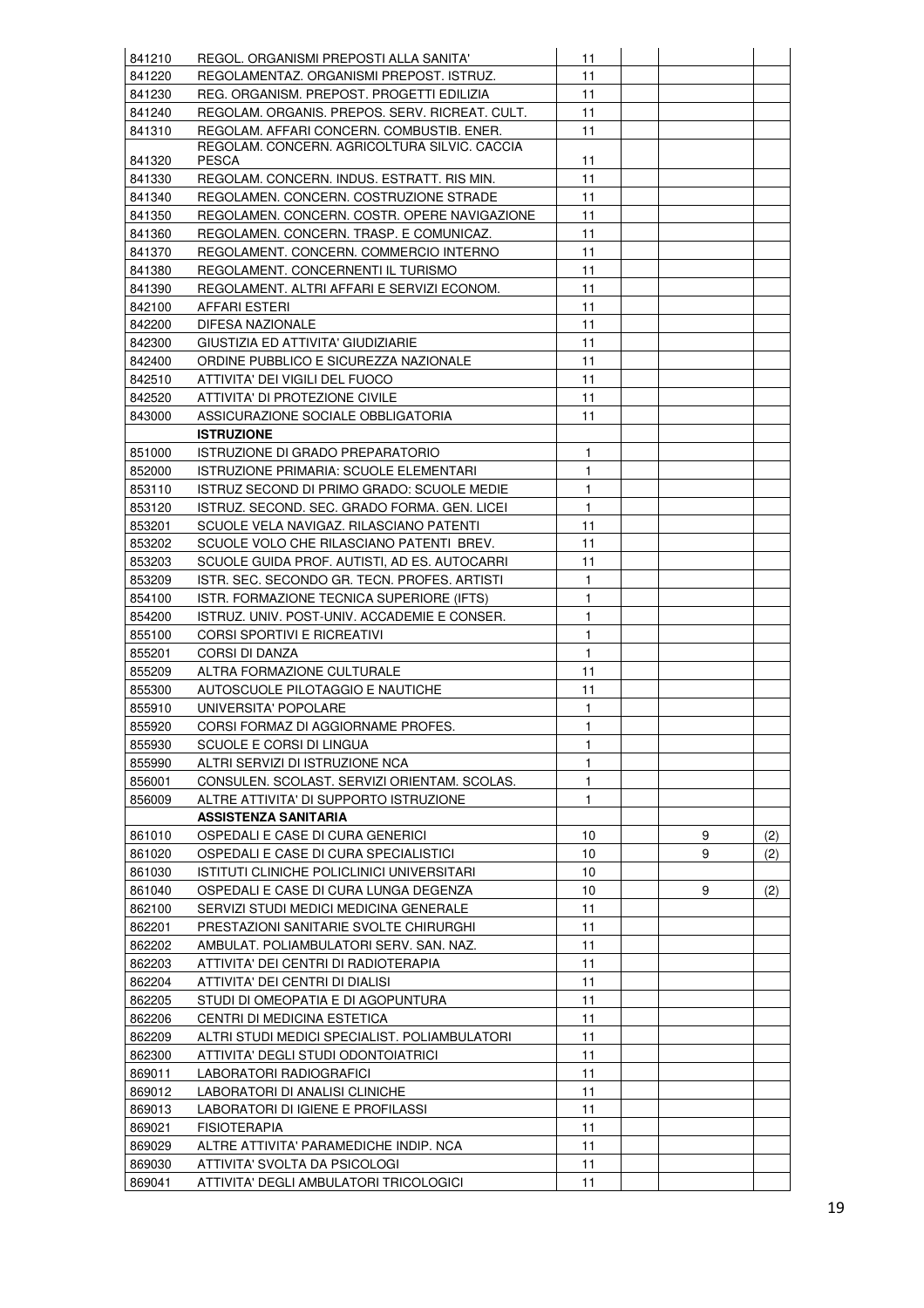| 841210           | REGOL. ORGANISMI PREPOSTI ALLA SANITA'                                  | 11           |   |     |
|------------------|-------------------------------------------------------------------------|--------------|---|-----|
| 841220           | REGOLAMENTAZ. ORGANISMI PREPOST. ISTRUZ.                                | 11           |   |     |
| 841230           | REG. ORGANISM. PREPOST. PROGETTI EDILIZIA                               | 11           |   |     |
| 841240           | REGOLAM. ORGANIS. PREPOS. SERV. RICREAT. CULT.                          | 11           |   |     |
| 841310           | REGOLAM, AFFARI CONCERN, COMBUSTIB, ENER.                               | 11           |   |     |
|                  | REGOLAM. CONCERN. AGRICOLTURA SILVIC. CACCIA                            |              |   |     |
| 841320           | <b>PESCA</b>                                                            | 11           |   |     |
| 841330           | REGOLAM. CONCERN. INDUS. ESTRATT. RIS MIN.                              | 11           |   |     |
| 841340           | REGOLAMEN. CONCERN. COSTRUZIONE STRADE                                  | 11           |   |     |
| 841350           | REGOLAMEN. CONCERN. COSTR. OPERE NAVIGAZIONE                            | 11           |   |     |
| 841360           | REGOLAMEN. CONCERN. TRASP. E COMUNICAZ.                                 | 11           |   |     |
| 841370           | REGOLAMENT. CONCERN. COMMERCIO INTERNO                                  | 11           |   |     |
| 841380           | REGOLAMENT. CONCERNENTI IL TURISMO                                      | 11           |   |     |
| 841390           | REGOLAMENT. ALTRI AFFARI E SERVIZI ECONOM.                              | 11           |   |     |
|                  |                                                                         | 11           |   |     |
| 842100           | AFFARI ESTERI                                                           |              |   |     |
| 842200           | DIFESA NAZIONALE                                                        | 11           |   |     |
| 842300           | GIUSTIZIA ED ATTIVITA' GIUDIZIARIE                                      | 11           |   |     |
| 842400           | ORDINE PUBBLICO E SICUREZZA NAZIONALE                                   | 11           |   |     |
| 842510           | ATTIVITA' DEI VIGILI DEL FUOCO                                          | 11           |   |     |
| 842520           | ATTIVITA' DI PROTEZIONE CIVILE                                          | 11           |   |     |
| 843000           | ASSICURAZIONE SOCIALE OBBLIGATORIA                                      | 11           |   |     |
|                  | <b>ISTRUZIONE</b>                                                       |              |   |     |
| 851000           | <b>ISTRUZIONE DI GRADO PREPARATORIO</b>                                 | $\mathbf{1}$ |   |     |
| 852000           | <b>ISTRUZIONE PRIMARIA: SCUOLE ELEMENTARI</b>                           | 1            |   |     |
| 853110           | ISTRUZ SECOND DI PRIMO GRADO: SCUOLE MEDIE                              | 1            |   |     |
| 853120           | ISTRUZ. SECOND. SEC. GRADO FORMA. GEN. LICEI                            | 1            |   |     |
| 853201           | SCUOLE VELA NAVIGAZ. RILASCIANO PATENTI                                 | 11           |   |     |
| 853202           | SCUOLE VOLO CHE RILASCIANO PATENTI BREV.                                | 11           |   |     |
| 853203           | SCUOLE GUIDA PROF. AUTISTI, AD ES. AUTOCARRI                            | 11           |   |     |
| 853209           | ISTR. SEC. SECONDO GR. TECN. PROFES. ARTISTI                            | 1            |   |     |
| 854100           | ISTR. FORMAZIONE TECNICA SUPERIORE (IFTS)                               | 1            |   |     |
| 854200           | ISTRUZ. UNIV. POST-UNIV. ACCADEMIE E CONSER.                            | 1            |   |     |
| 855100           | <b>CORSI SPORTIVI E RICREATIVI</b>                                      | 1            |   |     |
| 855201           |                                                                         | 1            |   |     |
|                  | CORSI DI DANZA                                                          |              |   |     |
| 855209           | ALTRA FORMAZIONE CULTURALE                                              | 11           |   |     |
| 855300           | AUTOSCUOLE PILOTAGGIO E NAUTICHE                                        | 11           |   |     |
| 855910           | UNIVERSITA' POPOLARE                                                    | 1            |   |     |
| 855920           | CORSI FORMAZ DI AGGIORNAME PROFES.                                      | 1.           |   |     |
| 855930           | SCUOLE E CORSI DI LINGUA                                                | 1            |   |     |
| 855990           | ALTRI SERVIZI DI ISTRUZIONE NCA                                         | 1            |   |     |
| 856001           | CONSULEN. SCOLAST. SERVIZI ORIENTAM. SCOLAS.                            | 1.           |   |     |
| 856009           |                                                                         |              |   |     |
|                  | ALTRE ATTIVITA' DI SUPPORTO ISTRUZIONE                                  | 1.           |   |     |
|                  | ASSISTENZA SANITARIA                                                    |              |   |     |
| 861010           | OSPEDALI E CASE DI CURA GENERICI                                        | 10           | 9 | (2) |
| 861020           | OSPEDALI E CASE DI CURA SPECIALISTICI                                   | 10           | 9 | (2) |
| 861030           | ISTITUTI CLINICHE POLICLINICI UNIVERSITARI                              | 10           |   |     |
| 861040           | OSPEDALI E CASE DI CURA LUNGA DEGENZA                                   | 10           | 9 | (2) |
| 862100           | SERVIZI STUDI MEDICI MEDICINA GENERALE                                  | 11           |   |     |
| 862201           | PRESTAZIONI SANITARIE SVOLTE CHIRURGHI                                  | 11           |   |     |
|                  |                                                                         |              |   |     |
| 862202           | AMBULAT. POLIAMBULATORI SERV. SAN. NAZ.                                 | 11           |   |     |
| 862203           | ATTIVITA' DEI CENTRI DI RADIOTERAPIA                                    | 11           |   |     |
| 862204           | ATTIVITA' DEI CENTRI DI DIALISI                                         | 11           |   |     |
| 862205           | STUDI DI OMEOPATIA E DI AGOPUNTURA                                      | 11           |   |     |
| 862206           | CENTRI DI MEDICINA ESTETICA                                             | 11           |   |     |
| 862209           | ALTRI STUDI MEDICI SPECIALIST. POLIAMBULATORI                           | 11           |   |     |
| 862300           | ATTIVITA' DEGLI STUDI ODONTOIATRICI                                     | 11           |   |     |
| 869011           | LABORATORI RADIOGRAFICI                                                 | 11           |   |     |
| 869012           | LABORATORI DI ANALISI CLINICHE                                          | 11           |   |     |
| 869013           | LABORATORI DI IGIENE E PROFILASSI                                       | 11           |   |     |
| 869021           | <b>FISIOTERAPIA</b>                                                     | 11           |   |     |
| 869029           | ALTRE ATTIVITA' PARAMEDICHE INDIP. NCA                                  | 11           |   |     |
| 869030<br>869041 | ATTIVITA' SVOLTA DA PSICOLOGI<br>ATTIVITA' DEGLI AMBULATORI TRICOLOGICI | 11           |   |     |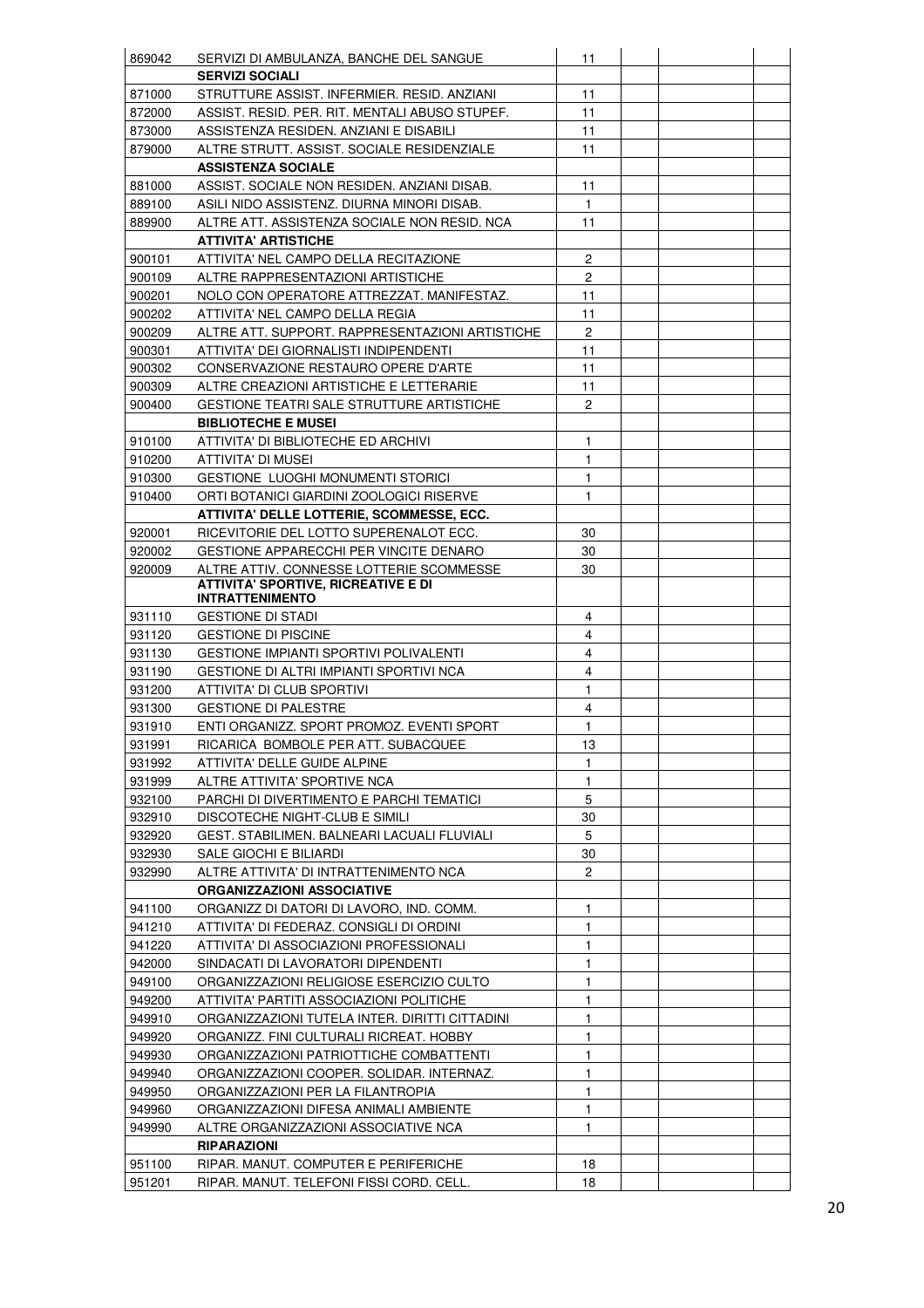| 869042 | SERVIZI DI AMBULANZA, BANCHE DEL SANGUE          | 11             |  |  |
|--------|--------------------------------------------------|----------------|--|--|
|        | <b>SERVIZI SOCIALI</b>                           |                |  |  |
| 871000 | STRUTTURE ASSIST. INFERMIER. RESID. ANZIANI      | 11             |  |  |
| 872000 | ASSIST. RESID. PER. RIT. MENTALI ABUSO STUPEF.   | 11             |  |  |
| 873000 | ASSISTENZA RESIDEN. ANZIANI E DISABILI           | 11             |  |  |
| 879000 | ALTRE STRUTT. ASSIST. SOCIALE RESIDENZIALE       | 11             |  |  |
|        | <b>ASSISTENZA SOCIALE</b>                        |                |  |  |
| 881000 | ASSIST. SOCIALE NON RESIDEN. ANZIANI DISAB.      | 11             |  |  |
| 889100 | ASILI NIDO ASSISTENZ. DIURNA MINORI DISAB.       | 1              |  |  |
| 889900 | ALTRE ATT. ASSISTENZA SOCIALE NON RESID. NCA     | 11             |  |  |
|        | <b>ATTIVITA' ARTISTICHE</b>                      |                |  |  |
| 900101 | ATTIVITA' NEL CAMPO DELLA RECITAZIONE            | $\mathbf{2}$   |  |  |
| 900109 | ALTRE RAPPRESENTAZIONI ARTISTICHE                | $\mathbf{2}$   |  |  |
| 900201 | NOLO CON OPERATORE ATTREZZAT. MANIFESTAZ.        | 11             |  |  |
| 900202 | ATTIVITA' NEL CAMPO DELLA REGIA                  | 11             |  |  |
| 900209 | ALTRE ATT. SUPPORT. RAPPRESENTAZIONI ARTISTICHE  | $\overline{c}$ |  |  |
| 900301 | ATTIVITA' DEI GIORNALISTI INDIPENDENTI           | 11             |  |  |
| 900302 | CONSERVAZIONE RESTAURO OPERE D'ARTE              | 11             |  |  |
| 900309 | ALTRE CREAZIONI ARTISTICHE E LETTERARIE          | 11             |  |  |
| 900400 | <b>GESTIONE TEATRI SALE STRUTTURE ARTISTICHE</b> | $\mathbf{2}$   |  |  |
|        | <b>BIBLIOTECHE E MUSEI</b>                       |                |  |  |
| 910100 | ATTIVITA' DI BIBLIOTECHE ED ARCHIVI              | 1              |  |  |
| 910200 | ATTIVITA' DI MUSEI                               | 1              |  |  |
| 910300 | <b>GESTIONE LUOGHI MONUMENTI STORICI</b>         | 1              |  |  |
| 910400 | ORTI BOTANICI GIARDINI ZOOLOGICI RISERVE         | 1              |  |  |
|        | ATTIVITA' DELLE LOTTERIE, SCOMMESSE, ECC.        |                |  |  |
| 920001 | RICEVITORIE DEL LOTTO SUPERENALOT ECC.           | 30             |  |  |
| 920002 | GESTIONE APPARECCHI PER VINCITE DENARO           | 30             |  |  |
| 920009 | ALTRE ATTIV. CONNESSE LOTTERIE SCOMMESSE         | 30             |  |  |
|        | <b>ATTIVITA' SPORTIVE, RICREATIVE E DI</b>       |                |  |  |
|        | <b>INTRATTENIMENTO</b>                           |                |  |  |
| 931110 | <b>GESTIONE DI STADI</b>                         | 4              |  |  |
| 931120 | <b>GESTIONE DI PISCINE</b>                       | 4              |  |  |
| 931130 | <b>GESTIONE IMPIANTI SPORTIVI POLIVALENTI</b>    | 4              |  |  |
| 931190 | GESTIONE DI ALTRI IMPIANTI SPORTIVI NCA          | 4              |  |  |
| 931200 | ATTIVITA' DI CLUB SPORTIVI                       | 1              |  |  |
| 931300 | <b>GESTIONE DI PALESTRE</b>                      | 4              |  |  |
| 931910 | ENTI ORGANIZZ. SPORT PROMOZ. EVENTI SPORT        | 1              |  |  |
| 931991 | RICARICA BOMBOLE PER ATT. SUBACQUEE              | 13             |  |  |
| 931992 | ATTIVITA' DELLE GUIDE ALPINE                     | 1              |  |  |
| 931999 | ALTRE ATTIVITA' SPORTIVE NCA                     | 1              |  |  |
| 932100 | PARCHI DI DIVERTIMENTO E PARCHI TEMATICI         | 5              |  |  |
| 932910 | DISCOTECHE NIGHT-CLUB E SIMILI                   | 30             |  |  |
| 932920 | GEST. STABILIMEN. BALNEARI LACUALI FLUVIALI      | 5              |  |  |
| 932930 | SALE GIOCHI E BILIARDI                           | 30             |  |  |
| 932990 | ALTRE ATTIVITA' DI INTRATTENIMENTO NCA           | $\overline{2}$ |  |  |
|        | <b>ORGANIZZAZIONI ASSOCIATIVE</b>                |                |  |  |
| 941100 | ORGANIZZ DI DATORI DI LAVORO, IND. COMM.         | 1              |  |  |
| 941210 | ATTIVITA' DI FEDERAZ. CONSIGLI DI ORDINI         | 1              |  |  |
| 941220 | ATTIVITA' DI ASSOCIAZIONI PROFESSIONALI          | 1              |  |  |
| 942000 | SINDACATI DI LAVORATORI DIPENDENTI               | 1              |  |  |
| 949100 | ORGANIZZAZIONI RELIGIOSE ESERCIZIO CULTO         | 1              |  |  |
| 949200 | ATTIVITA' PARTITI ASSOCIAZIONI POLITICHE         | 1              |  |  |
| 949910 | ORGANIZZAZIONI TUTELA INTER. DIRITTI CITTADINI   | 1              |  |  |
| 949920 | ORGANIZZ. FINI CULTURALI RICREAT. HOBBY          | 1              |  |  |
| 949930 | ORGANIZZAZIONI PATRIOTTICHE COMBATTENTI          | 1              |  |  |
| 949940 | ORGANIZZAZIONI COOPER. SOLIDAR. INTERNAZ.        | 1              |  |  |
| 949950 | ORGANIZZAZIONI PER LA FILANTROPIA                | 1              |  |  |
| 949960 | ORGANIZZAZIONI DIFESA ANIMALI AMBIENTE           | 1              |  |  |
| 949990 | ALTRE ORGANIZZAZIONI ASSOCIATIVE NCA             | 1              |  |  |
|        | <b>RIPARAZIONI</b>                               |                |  |  |
| 951100 | RIPAR. MANUT. COMPUTER E PERIFERICHE             | 18             |  |  |
| 951201 | RIPAR. MANUT. TELEFONI FISSI CORD. CELL.         | 18             |  |  |